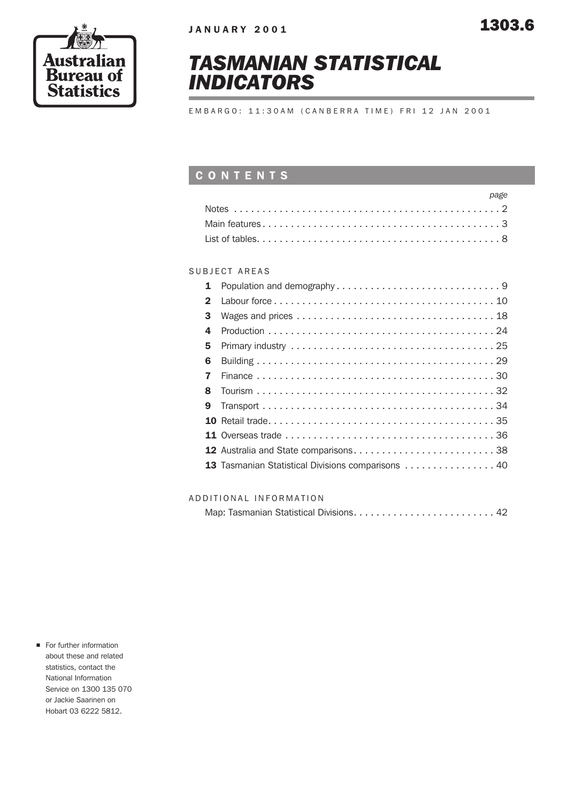



# TASMANIAN STATISTICAL INDICATORS

EMBARGO: 11:30AM (CANBERRA TIME) FRI 12 JAN 2001

## **CONTENTS**

| page |
|------|
|      |
|      |
|      |

### SUBJECT AREAS

| 1            |                                                   |
|--------------|---------------------------------------------------|
| $\mathbf{2}$ |                                                   |
| 3            |                                                   |
| 4            |                                                   |
| 5            |                                                   |
| 6            |                                                   |
| 7            |                                                   |
| 8            |                                                   |
| 9            |                                                   |
|              |                                                   |
|              |                                                   |
|              |                                                   |
|              | 13 Tasmanian Statistical Divisions comparisons 40 |
|              |                                                   |

#### ADDITIONAL INFORMATION

|--|--|--|--|

**n** For further information about these and related statistics, contact the National Information Service on 1300 135 070 or Jackie Saarinen on Hobart 03 6222 5812.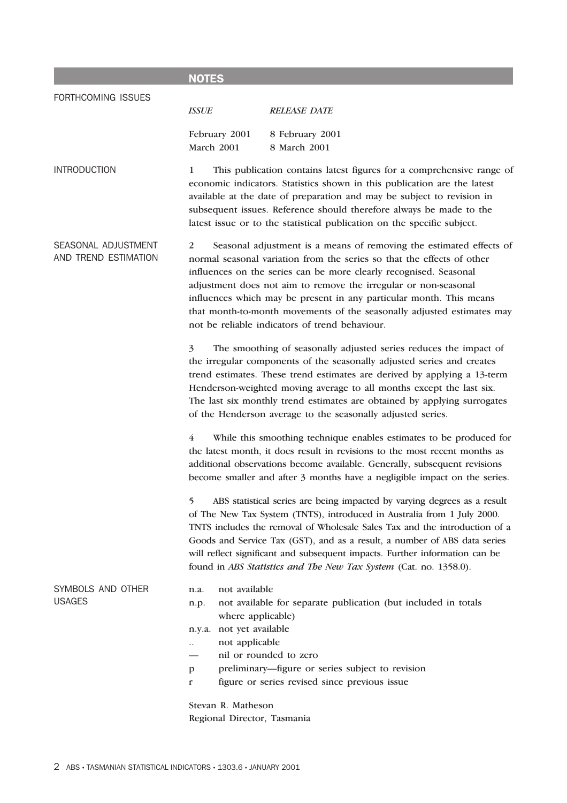| <b>NOTES</b>                                                                                                                                                                                                                                                                                                                                                                                                                                                                                  |  |  |  |  |
|-----------------------------------------------------------------------------------------------------------------------------------------------------------------------------------------------------------------------------------------------------------------------------------------------------------------------------------------------------------------------------------------------------------------------------------------------------------------------------------------------|--|--|--|--|
| <b>ISSUE</b><br><b>RELEASE DATE</b>                                                                                                                                                                                                                                                                                                                                                                                                                                                           |  |  |  |  |
| February 2001<br>8 February 2001<br>March 2001<br>8 March 2001                                                                                                                                                                                                                                                                                                                                                                                                                                |  |  |  |  |
| This publication contains latest figures for a comprehensive range of<br>1<br>economic indicators. Statistics shown in this publication are the latest<br>available at the date of preparation and may be subject to revision in<br>subsequent issues. Reference should therefore always be made to the<br>latest issue or to the statistical publication on the specific subject.                                                                                                            |  |  |  |  |
| 2<br>Seasonal adjustment is a means of removing the estimated effects of<br>normal seasonal variation from the series so that the effects of other<br>influences on the series can be more clearly recognised. Seasonal<br>adjustment does not aim to remove the irregular or non-seasonal<br>influences which may be present in any particular month. This means<br>that month-to-month movements of the seasonally adjusted estimates may<br>not be reliable indicators of trend behaviour. |  |  |  |  |
| 3<br>The smoothing of seasonally adjusted series reduces the impact of<br>the irregular components of the seasonally adjusted series and creates<br>trend estimates. These trend estimates are derived by applying a 13-term<br>Henderson-weighted moving average to all months except the last six.<br>The last six monthly trend estimates are obtained by applying surrogates<br>of the Henderson average to the seasonally adjusted series.                                               |  |  |  |  |
| $\overline{4}$<br>While this smoothing technique enables estimates to be produced for<br>the latest month, it does result in revisions to the most recent months as<br>additional observations become available. Generally, subsequent revisions<br>become smaller and after 3 months have a negligible impact on the series.                                                                                                                                                                 |  |  |  |  |
| ABS statistical series are being impacted by varying degrees as a result<br>5<br>of The New Tax System (TNTS), introduced in Australia from 1 July 2000.<br>TNTS includes the removal of Wholesale Sales Tax and the introduction of a<br>Goods and Service Tax (GST), and as a result, a number of ABS data series<br>will reflect significant and subsequent impacts. Further information can be<br>found in ABS Statistics and The New Tax System (Cat. no. 1358.0).                       |  |  |  |  |
| not available<br>n.a.<br>not available for separate publication (but included in totals<br>n.p.<br>where applicable)<br>not yet available<br>n.y.a.<br>not applicable<br>$\ddots$<br>nil or rounded to zero<br>preliminary---figure or series subject to revision<br>p<br>figure or series revised since previous issue<br>r<br>Stevan R. Matheson<br>Regional Director, Tasmania                                                                                                             |  |  |  |  |
|                                                                                                                                                                                                                                                                                                                                                                                                                                                                                               |  |  |  |  |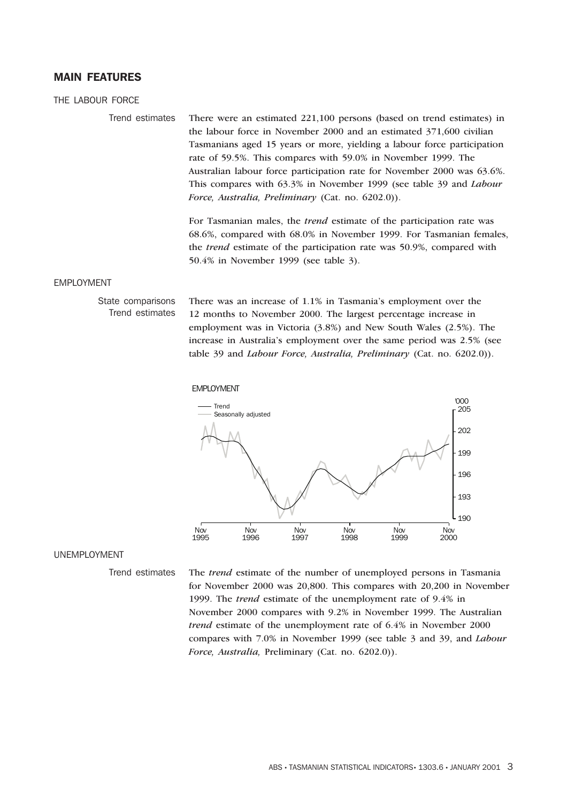#### **MAIN FEATURES**

THE LABOUR FORCE

Trend estimates There were an estimated 221,100 persons (based on trend estimates) in the labour force in November 2000 and an estimated 371,600 civilian Tasmanians aged 15 years or more, yielding a labour force participation rate of 59.5%. This compares with 59.0% in November 1999. The Australian labour force participation rate for November 2000 was 63.6%. This compares with 63.3% in November 1999 (see table 39 and *Labour Force, Australia, Preliminary* (Cat. no. 6202.0)).

> For Tasmanian males, the *trend* estimate of the participation rate was 68.6%, compared with 68.0% in November 1999. For Tasmanian females, the *trend* estimate of the participation rate was 50.9%, compared with 50.4% in November 1999 (see table 3).

#### EMPLOYMENT

State comparisons Trend estimates There was an increase of 1.1% in Tasmania's employment over the 12 months to November 2000. The largest percentage increase in employment was in Victoria (3.8%) and New South Wales (2.5%). The increase in Australia's employment over the same period was 2.5% (see table 39 and *Labour Force, Australia, Preliminary* (Cat. no. 6202.0)).





#### UNEMPLOYMENT

Trend estimates The *trend* estimate of the number of unemployed persons in Tasmania for November 2000 was 20,800. This compares with 20,200 in November 1999. The *trend* estimate of the unemployment rate of 9.4% in November 2000 compares with 9.2% in November 1999. The Australian *trend* estimate of the unemployment rate of 6.4% in November 2000 compares with 7.0% in November 1999 (see table 3 and 39, and *Labour Force, Australia,* Preliminary (Cat. no. 6202.0)).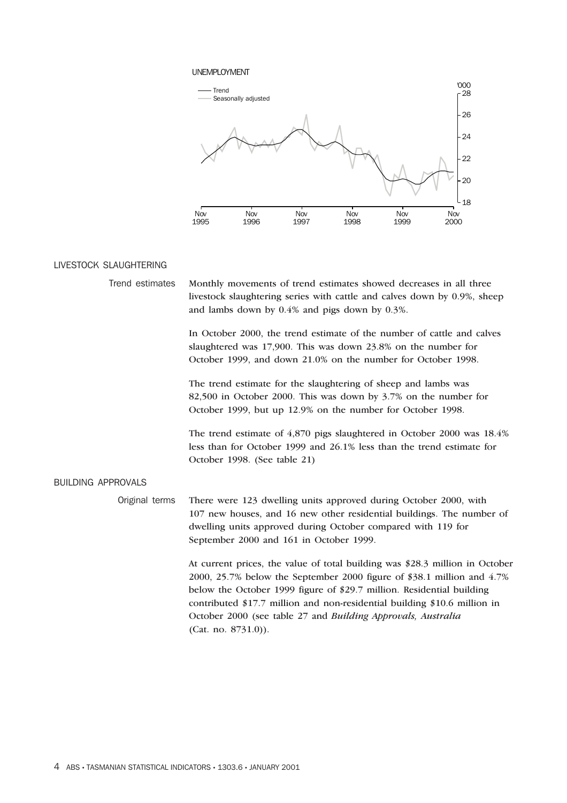#### UNEMPLOYMENT



#### LIVESTOCK SLAUGHTERING

| Trend estimates Monthly movements of trend estimates showed decreases in all three |
|------------------------------------------------------------------------------------|
| livestock slaughtering series with cattle and calves down by 0.9%, sheep           |
| and lambs down by $0.4\%$ and pigs down by $0.3\%$ .                               |

In October 2000, the trend estimate of the number of cattle and calves slaughtered was 17,900. This was down 23.8% on the number for October 1999, and down 21.0% on the number for October 1998.

The trend estimate for the slaughtering of sheep and lambs was 82,500 in October 2000. This was down by 3.7% on the number for October 1999, but up 12.9% on the number for October 1998.

The trend estimate of 4,870 pigs slaughtered in October 2000 was 18.4% less than for October 1999 and 26.1% less than the trend estimate for October 1998. (See table 21)

#### BUILDING APPROVALS

Original terms There were 123 dwelling units approved during October 2000, with 107 new houses, and 16 new other residential buildings. The number of dwelling units approved during October compared with 119 for September 2000 and 161 in October 1999.

> At current prices, the value of total building was \$28.3 million in October 2000, 25.7% below the September 2000 figure of \$38.1 million and 4.7% below the October 1999 figure of \$29.7 million. Residential building contributed \$17.7 million and non-residential building \$10.6 million in October 2000 (see table 27 and *Building Approvals, Australia* (Cat. no. 8731.0)).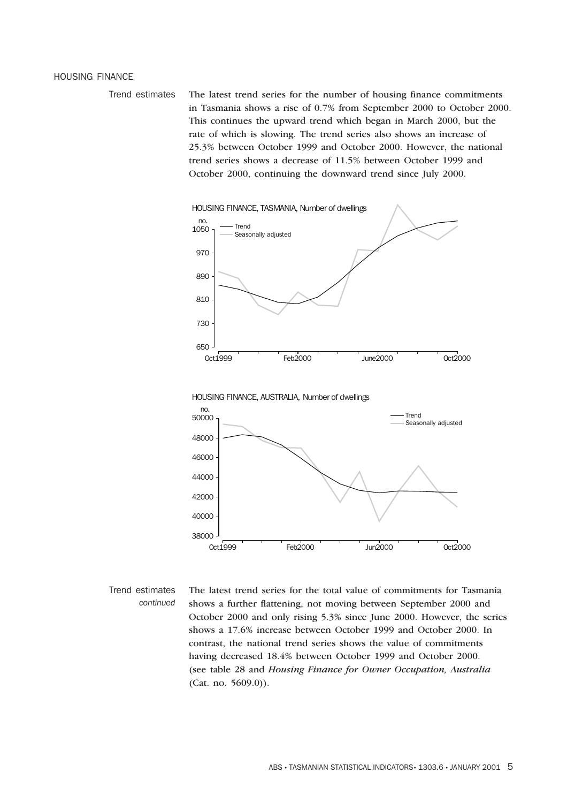#### HOUSING FINANCE

Trend estimates The latest trend series for the number of housing finance commitments in Tasmania shows a rise of 0.7% from September 2000 to October 2000. This continues the upward trend which began in March 2000, but the rate of which is slowing. The trend series also shows an increase of 25.3% between October 1999 and October 2000. However, the national trend series shows a decrease of 11.5% between October 1999 and October 2000, continuing the downward trend since July 2000.



Trend estimates *continued* The latest trend series for the total value of commitments for Tasmania shows a further flattening, not moving between September 2000 and October 2000 and only rising 5.3% since June 2000. However, the series shows a 17.6% increase between October 1999 and October 2000. In contrast, the national trend series shows the value of commitments having decreased 18.4% between October 1999 and October 2000. (see table 28 and *Housing Finance for Owner Occupation, Australia* (Cat. no. 5609.0)).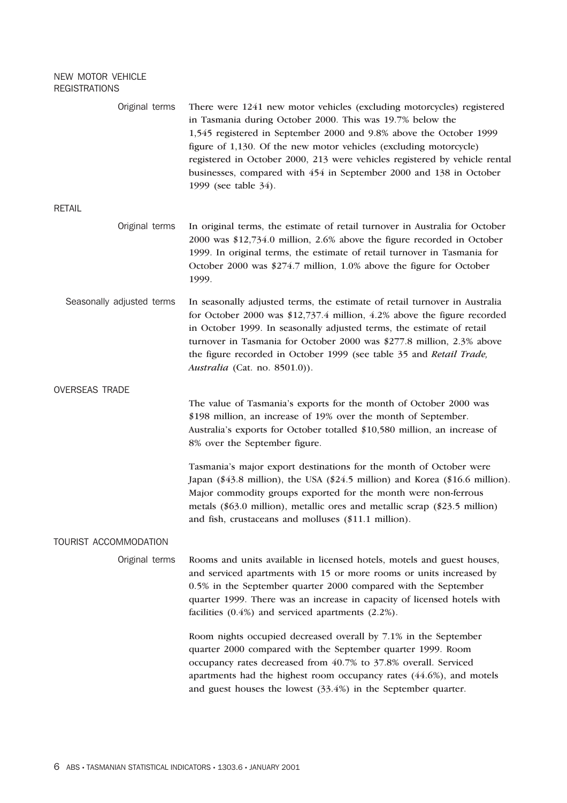#### NEW MOTOR VEHICLE REGISTRATIONS

| Original terms            | There were 1241 new motor vehicles (excluding motorcycles) registered<br>in Tasmania during October 2000. This was 19.7% below the<br>1,545 registered in September 2000 and 9.8% above the October 1999<br>figure of 1,130. Of the new motor vehicles (excluding motorcycle)<br>registered in October 2000, 213 were vehicles registered by vehicle rental<br>businesses, compared with 454 in September 2000 and 138 in October<br>1999 (see table 34). |
|---------------------------|-----------------------------------------------------------------------------------------------------------------------------------------------------------------------------------------------------------------------------------------------------------------------------------------------------------------------------------------------------------------------------------------------------------------------------------------------------------|
| <b>RETAIL</b>             |                                                                                                                                                                                                                                                                                                                                                                                                                                                           |
| Original terms            | In original terms, the estimate of retail turnover in Australia for October<br>2000 was \$12,734.0 million, 2.6% above the figure recorded in October<br>1999. In original terms, the estimate of retail turnover in Tasmania for<br>October 2000 was \$274.7 million, 1.0% above the figure for October<br>1999.                                                                                                                                         |
| Seasonally adjusted terms | In seasonally adjusted terms, the estimate of retail turnover in Australia<br>for October 2000 was \$12,737.4 million, 4.2% above the figure recorded<br>in October 1999. In seasonally adjusted terms, the estimate of retail<br>turnover in Tasmania for October 2000 was \$277.8 million, 2.3% above<br>the figure recorded in October 1999 (see table 35 and Retail Trade,<br>Australia (Cat. no. 8501.0)).                                           |
| <b>OVERSEAS TRADE</b>     |                                                                                                                                                                                                                                                                                                                                                                                                                                                           |
|                           | The value of Tasmania's exports for the month of October 2000 was<br>\$198 million, an increase of 19% over the month of September.<br>Australia's exports for October totalled \$10,580 million, an increase of<br>8% over the September figure.                                                                                                                                                                                                         |
|                           | Tasmania's major export destinations for the month of October were<br>Japan (\$43.8 million), the USA (\$24.5 million) and Korea (\$16.6 million).<br>Major commodity groups exported for the month were non-ferrous<br>metals (\$63.0 million), metallic ores and metallic scrap (\$23.5 million)<br>and fish, crustaceans and molluses (\$11.1 million).                                                                                                |
| TOURIST ACCOMMODATION     |                                                                                                                                                                                                                                                                                                                                                                                                                                                           |
| Original terms            | Rooms and units available in licensed hotels, motels and guest houses,<br>and serviced apartments with 15 or more rooms or units increased by<br>0.5% in the September quarter 2000 compared with the September<br>quarter 1999. There was an increase in capacity of licensed hotels with<br>facilities $(0.4\%)$ and serviced apartments $(2.2\%)$ .                                                                                                    |
|                           | Room nights occupied decreased overall by 7.1% in the September<br>quarter 2000 compared with the September quarter 1999. Room<br>occupancy rates decreased from 40.7% to 37.8% overall. Serviced<br>apartments had the highest room occupancy rates (44.6%), and motels<br>and guest houses the lowest $(33.4%)$ in the September quarter.                                                                                                               |
|                           |                                                                                                                                                                                                                                                                                                                                                                                                                                                           |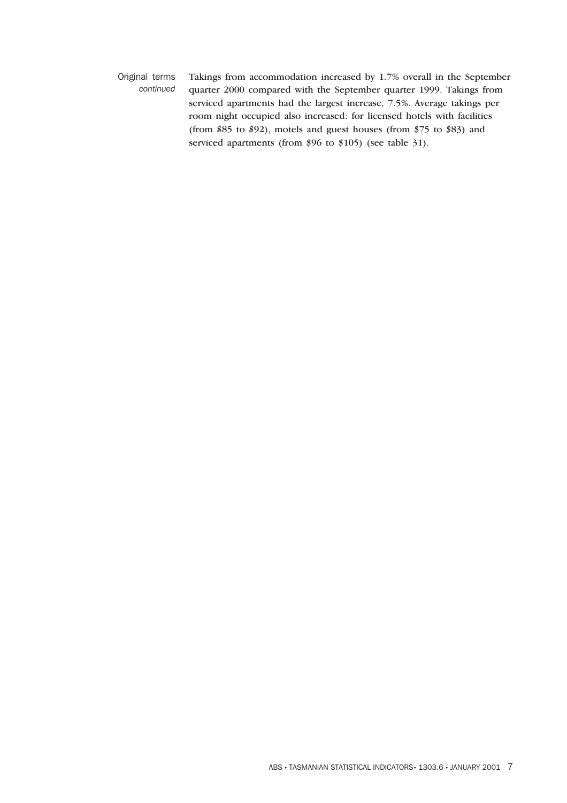Original terms *continued* Takings from accommodation increased by 1.7% overall in the September quarter 2000 compared with the September quarter 1999. Takings from serviced apartments had the largest increase, 7.5%. Average takings per room night occupied also increased: for licensed hotels with facilities (from \$85 to \$92), motels and guest houses (from \$75 to \$83) and serviced apartments (from \$96 to \$105) (see table 31).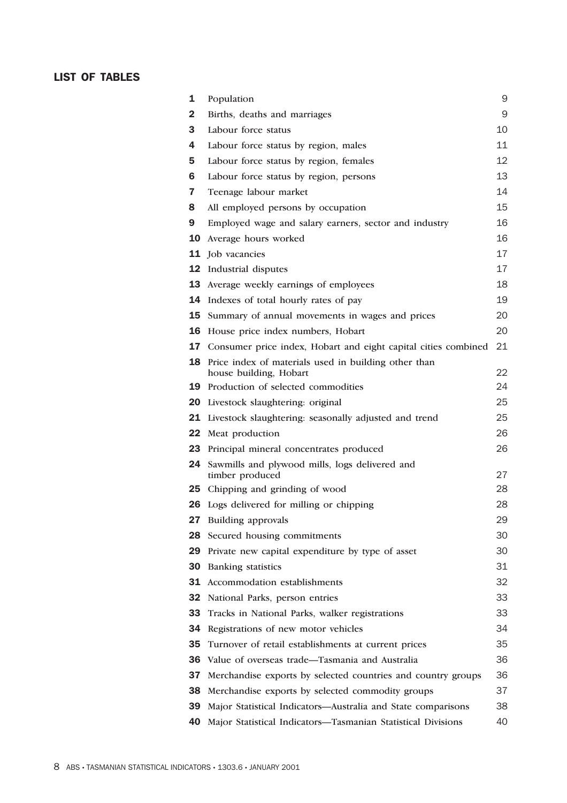### **LIST OF TABLES**

| 1  | Population                                                                     | 9  |
|----|--------------------------------------------------------------------------------|----|
| 2  | Births, deaths and marriages                                                   | 9  |
| 3  | Labour force status                                                            | 10 |
| 4  | Labour force status by region, males                                           | 11 |
| 5  | Labour force status by region, females                                         | 12 |
| 6  | Labour force status by region, persons                                         | 13 |
| 7  | Teenage labour market                                                          | 14 |
| 8  | All employed persons by occupation                                             | 15 |
| 9  | Employed wage and salary earners, sector and industry                          | 16 |
| 10 | Average hours worked                                                           | 16 |
|    | 11 Job vacancies                                                               | 17 |
|    | <b>12</b> Industrial disputes                                                  | 17 |
| 13 | Average weekly earnings of employees                                           | 18 |
| 14 | Indexes of total hourly rates of pay                                           | 19 |
| 15 | Summary of annual movements in wages and prices                                | 20 |
| 16 | House price index numbers, Hobart                                              | 20 |
| 17 | Consumer price index, Hobart and eight capital cities combined                 | 21 |
| 18 | Price index of materials used in building other than<br>house building, Hobart | 22 |
|    | <b>19</b> Production of selected commodities                                   | 24 |
| 20 | Livestock slaughtering: original                                               | 25 |
|    | <b>21</b> Livestock slaughtering: seasonally adjusted and trend                | 25 |
|    | 22 Meat production                                                             | 26 |
| 23 | Principal mineral concentrates produced                                        | 26 |
| 24 | Sawmills and plywood mills, logs delivered and<br>timber produced              | 27 |
| 25 | Chipping and grinding of wood                                                  | 28 |
|    | <b>26</b> Logs delivered for milling or chipping                               | 28 |
|    | 27 Building approvals                                                          | 29 |
| 28 | Secured housing commitments                                                    | 30 |
| 29 | Private new capital expenditure by type of asset                               | 30 |
| 30 | <b>Banking</b> statistics                                                      | 31 |
| 31 | Accommodation establishments                                                   | 32 |
| 32 | National Parks, person entries                                                 | 33 |
| 33 | Tracks in National Parks, walker registrations                                 | 33 |
| 34 | Registrations of new motor vehicles                                            | 34 |
| 35 | Turnover of retail establishments at current prices                            | 35 |
| 36 | Value of overseas trade-Tasmania and Australia                                 | 36 |
| 37 | Merchandise exports by selected countries and country groups                   | 36 |
| 38 | Merchandise exports by selected commodity groups                               | 37 |
| 39 | Major Statistical Indicators-Australia and State comparisons                   | 38 |
| 40 | Major Statistical Indicators-Tasmanian Statistical Divisions                   | 40 |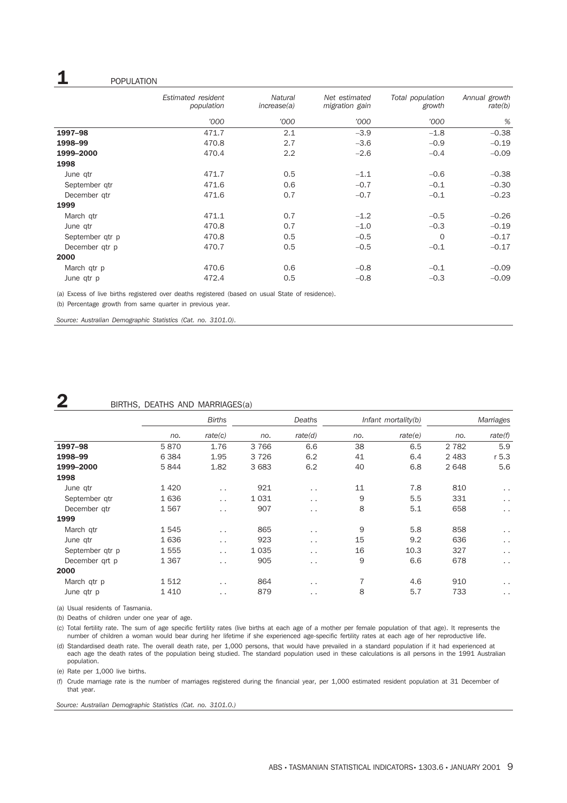## **1** POPULATION

|                 | Estimated resident<br>population | <b>Natural</b><br>increase(a) | Net estimated<br>migration gain | Total population<br>growth | Annual growth<br>rate(b) |
|-----------------|----------------------------------|-------------------------------|---------------------------------|----------------------------|--------------------------|
|                 | '000                             | '000                          | '000                            | '000                       | %                        |
| 1997-98         | 471.7                            | 2.1                           | $-3.9$                          | $-1.8$                     | $-0.38$                  |
| 1998-99         | 470.8                            | 2.7                           | $-3.6$                          | $-0.9$                     | $-0.19$                  |
| 1999-2000       | 470.4                            | 2.2                           | $-2.6$                          | $-0.4$                     | $-0.09$                  |
| 1998            |                                  |                               |                                 |                            |                          |
| June qtr        | 471.7                            | 0.5                           | $-1.1$                          | $-0.6$                     | $-0.38$                  |
| September gtr   | 471.6                            | 0.6                           | $-0.7$                          | $-0.1$                     | $-0.30$                  |
| December qtr    | 471.6                            | 0.7                           | $-0.7$                          | $-0.1$                     | $-0.23$                  |
| 1999            |                                  |                               |                                 |                            |                          |
| March qtr       | 471.1                            | 0.7                           | $-1.2$                          | $-0.5$                     | $-0.26$                  |
| June qtr        | 470.8                            | 0.7                           | $-1.0$                          | $-0.3$                     | $-0.19$                  |
| September qtr p | 470.8                            | 0.5                           | $-0.5$                          | $\Omega$                   | $-0.17$                  |
| December gtr p  | 470.7                            | 0.5                           | $-0.5$                          | $-0.1$                     | $-0.17$                  |
| 2000            |                                  |                               |                                 |                            |                          |
| March qtr p     | 470.6                            | 0.6                           | $-0.8$                          | $-0.1$                     | $-0.09$                  |
| June qtr p      | 472.4                            | 0.5                           | $-0.8$                          | $-0.3$                     | $-0.09$                  |

(a) Excess of live births registered over deaths registered (based on usual State of residence).

(b) Percentage growth from same quarter in previous year.

*Source: Australian Demographic Statistics (Cat. no. 3101.0).*

## **2** BIRTHS, DEATHS AND MARRIAGES(a)

|                 | <b>Births</b> |                      | Deaths  |                      | Infant mortality(b) |         | Marriages |                      |
|-----------------|---------------|----------------------|---------|----------------------|---------------------|---------|-----------|----------------------|
|                 | no.           | rate(c)              | no.     | rate(d)              | no.                 | rate(e) | no.       | rate(f)              |
| 1997-98         | 5870          | 1.76                 | 3766    | 6.6                  | 38                  | 6.5     | 2 7 8 2   | 5.9                  |
| 1998-99         | 6 3 8 4       | 1.95                 | 3 7 2 6 | 6.2                  | 41                  | 6.4     | 2 4 8 3   | $r$ 5.3              |
| 1999-2000       | 5844          | 1.82                 | 3683    | 6.2                  | 40                  | 6.8     | 2648      | 5.6                  |
| 1998            |               |                      |         |                      |                     |         |           |                      |
| June qtr        | 1420          | $\ddotsc$            | 921     | $\ddotsc$            | 11                  | 7.8     | 810       | $\sim$ $\sim$        |
| September gtr   | 1636          | $\ddotsc$            | 1 0 3 1 | $\ddotsc$            | 9                   | 5.5     | 331       | $\sim$ $\sim$        |
| December gtr    | 1567          | $\ddot{\phantom{a}}$ | 907     | $\ddot{\phantom{1}}$ | 8                   | 5.1     | 658       | $\sim$ $\sim$        |
| 1999            |               |                      |         |                      |                     |         |           |                      |
| March qtr       | 1545          | $\ddot{\phantom{a}}$ | 865     | $\ddot{\phantom{1}}$ | 9                   | 5.8     | 858       | $\sim$ $\sim$        |
| June qtr        | 1636          | $\ddotsc$            | 923     | $\ddotsc$            | 15                  | 9.2     | 636       | $\sim$ $\sim$        |
| September qtr p | 1555          | $\ddot{\phantom{a}}$ | 1 0 3 5 | $\ddotsc$            | 16                  | 10.3    | 327       | $\ddot{\phantom{1}}$ |
| December qrt p  | 1 3 6 7       | $\ddotsc$            | 905     | $\ddot{\phantom{1}}$ | 9                   | 6.6     | 678       | $\sim$ $\sim$        |
| 2000            |               |                      |         |                      |                     |         |           |                      |
| March qtr p     | 1512          | $\ddot{\phantom{a}}$ | 864     | $\ddotsc$            | 7                   | 4.6     | 910       | $\ddotsc$            |
| June qtr p      | 1410          | $\ddotsc$            | 879     | $\ddot{\phantom{1}}$ | 8                   | 5.7     | 733       | $\ddotsc$            |

(a) Usual residents of Tasmania.

(b) Deaths of children under one year of age.

(c) Total fertility rate. The sum of age specific fertility rates (live births at each age of a mother per female population of that age). It represents the number of children a woman would bear during her lifetime if she experienced age-specific fertility rates at each age of her reproductive life. (d) Standardised death rate. The overall death rate, per 1,000 persons, that would have prevailed in a standard population if it had experienced at

each age the death rates of the population being studied. The standard population used in these calculations is all persons in the 1991 Australian population.

(e) Rate per 1,000 live births.

(f) Crude marriage rate is the number of marriages registered during the financial year, per 1,000 estimated resident population at 31 December of that year.

*Source: Australian Demographic Statistics (Cat. no. 3101.0.)*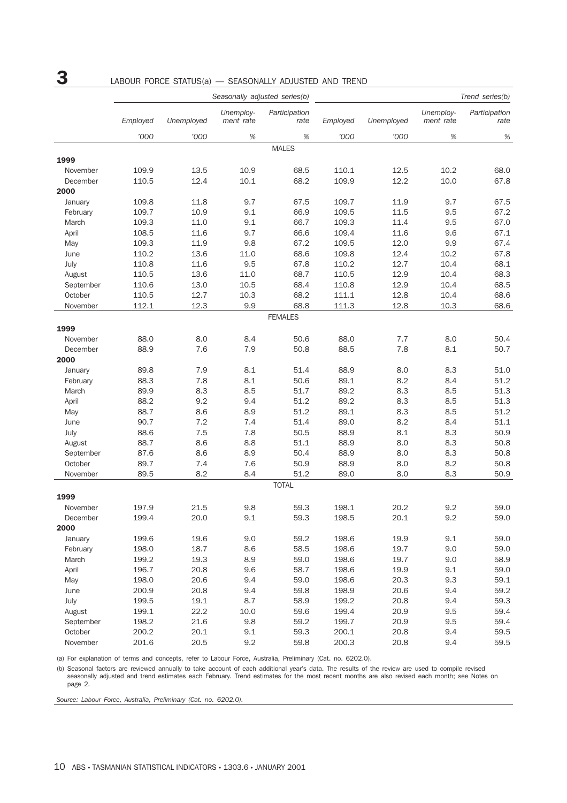# **3** LABOUR FORCE STATUS(a) — SEASONALLY ADJUSTED AND TREND

|           | Seasonally adjusted series(b) |            |                        |                       |          |            |                        | Trend series(b)       |
|-----------|-------------------------------|------------|------------------------|-----------------------|----------|------------|------------------------|-----------------------|
|           | Employed                      | Unemployed | Unemploy-<br>ment rate | Participation<br>rate | Employed | Unemployed | Unemploy-<br>ment rate | Participation<br>rate |
|           | '000                          | '000       | $\%$                   | $\%$                  | '000     | '000       | $\%$                   | $\%$                  |
|           |                               |            |                        | <b>MALES</b>          |          |            |                        |                       |
| 1999      |                               |            |                        |                       |          |            |                        |                       |
| November  | 109.9                         | 13.5       | 10.9                   | 68.5                  | 110.1    | 12.5       | 10.2                   | 68.0                  |
| December  | 110.5                         | 12.4       | 10.1                   | 68.2                  | 109.9    | 12.2       | 10.0                   | 67.8                  |
| 2000      |                               |            |                        |                       |          |            |                        |                       |
| January   | 109.8                         | 11.8       | 9.7                    | 67.5                  | 109.7    | 11.9       | 9.7                    | 67.5                  |
| February  | 109.7                         | 10.9       | 9.1                    | 66.9                  | 109.5    | 11.5       | 9.5                    | 67.2                  |
| March     | 109.3                         | 11.0       | 9.1                    | 66.7                  | 109.3    | 11.4       | 9.5                    | 67.0                  |
| April     | 108.5                         | 11.6       | 9.7                    | 66.6                  | 109.4    | 11.6       | 9.6                    | 67.1                  |
| May       | 109.3                         | 11.9       | 9.8                    | 67.2                  | 109.5    | 12.0       | 9.9                    | 67.4                  |
| June      | 110.2                         | 13.6       | 11.0                   | 68.6                  | 109.8    | 12.4       | 10.2                   | 67.8                  |
| July      | 110.8                         | 11.6       | 9.5                    | 67.8                  | 110.2    | 12.7       | 10.4                   | 68.1                  |
| August    | 110.5                         | 13.6       | 11.0                   | 68.7                  | 110.5    | 12.9       | 10.4                   | 68.3                  |
| September | 110.6                         | 13.0       | 10.5                   | 68.4                  | 110.8    | 12.9       | 10.4                   | 68.5                  |
| October   | 110.5                         | 12.7       | 10.3                   | 68.2                  | 111.1    | 12.8       | 10.4                   | 68.6                  |
| November  | 112.1                         | 12.3       | 9.9                    | 68.8                  | 111.3    | 12.8       | 10.3                   | 68.6                  |
|           |                               |            |                        | <b>FEMALES</b>        |          |            |                        |                       |
| 1999      |                               |            |                        |                       |          |            |                        |                       |
| November  | 88.0                          | 8.0        | 8.4                    | 50.6                  | 88.0     | 7.7        | 8.0                    | 50.4                  |
| December  | 88.9                          | 7.6        | 7.9                    | 50.8                  | 88.5     | 7.8        | 8.1                    | 50.7                  |
| 2000      |                               |            |                        |                       |          |            |                        |                       |
| January   | 89.8                          | 7.9        | 8.1                    | 51.4                  | 88.9     | 8.0        | 8.3                    | 51.0                  |
| February  | 88.3                          | 7.8        | 8.1                    | 50.6                  | 89.1     | 8.2        | 8.4                    | 51.2                  |
| March     | 89.9                          | 8.3        | 8.5                    | 51.7                  | 89.2     | 8.3        | 8.5                    | 51.3                  |
| April     | 88.2                          | 9.2        | 9.4                    | 51.2                  | 89.2     | 8.3        | 8.5                    | 51.3                  |
| May       | 88.7                          | 8.6        | 8.9                    | 51.2                  | 89.1     | 8.3        | 8.5                    | 51.2                  |
| June      | 90.7                          | 7.2        | 7.4                    | 51.4                  | 89.0     | 8.2        | 8.4                    | 51.1                  |
| July      | 88.6                          | 7.5        | 7.8                    | 50.5                  | 88.9     | 8.1        | 8.3                    | 50.9                  |
| August    | 88.7                          | 8.6        | 8.8                    | 51.1                  | 88.9     | 8.0        | 8.3                    | 50.8                  |
| September | 87.6                          | 8.6        | 8.9                    | 50.4                  | 88.9     | 8.0        | 8.3                    | 50.8                  |
| October   | 89.7                          | 7.4        | 7.6                    | 50.9                  | 88.9     | 8.0        | 8.2                    | 50.8                  |
| November  | 89.5                          | 8.2        | 8.4                    | 51.2                  | 89.0     | 8.0        | 8.3                    | 50.9                  |
|           |                               |            |                        | <b>TOTAL</b>          |          |            |                        |                       |
| 1999      |                               |            |                        |                       |          |            |                        |                       |
| November  | 197.9                         | 21.5       | 9.8                    | 59.3                  | 198.1    | 20.2       | 9.2                    | 59.0                  |
| December  | 199.4                         | 20.0       | 9.1                    | 59.3                  | 198.5    | 20.1       | 9.2                    | 59.0                  |
| 2000      |                               |            |                        |                       |          |            |                        |                       |
| January   | 199.6                         | 19.6       | 9.0                    | 59.2                  | 198.6    | 19.9       | 9.1                    | 59.0                  |
| February  | 198.0                         | 18.7       | 8.6                    | 58.5                  | 198.6    | 19.7       | 9.0                    | 59.0                  |
| March     | 199.2                         | 19.3       | 8.9                    | 59.0                  | 198.6    | 19.7       | 9.0                    | 58.9                  |
| April     | 196.7                         | 20.8       | 9.6                    | 58.7                  | 198.6    | 19.9       | 9.1                    | 59.0                  |
| May       | 198.0                         | 20.6       | 9.4                    | 59.0                  | 198.6    | 20.3       | 9.3                    | 59.1                  |
| June      | 200.9                         | 20.8       | 9.4                    | 59.8                  | 198.9    | 20.6       | 9.4                    | 59.2                  |
| July      | 199.5                         | 19.1       | 8.7                    | 58.9                  | 199.2    | 20.8       | 9.4                    | 59.3                  |
| August    | 199.1                         | 22.2       | 10.0                   | 59.6                  | 199.4    | 20.9       | 9.5                    | 59.4                  |
| September | 198.2                         | 21.6       | 9.8                    | 59.2                  | 199.7    | 20.9       | 9.5                    | 59.4                  |
| October   | 200.2                         | 20.1       | 9.1                    | 59.3                  | 200.1    | 20.8       | 9.4                    | 59.5                  |
| November  | 201.6                         | 20.5       | 9.2                    | 59.8                  | 200.3    | 20.8       | 9.4                    | 59.5                  |

(a) For explanation of terms and concepts, refer to Labour Force, Australia, Preliminary (Cat. no. 6202.0).

(b) Seasonal factors are reviewed annually to take account of each additional year's data. The results of the review are used to compile revised seasonally adjusted and trend estimates each February. Trend estimates for the most recent months are also revised each month; see Notes on page 2.

*Source: Labour Force, Australia, Preliminary (Cat. no. 6202.0).*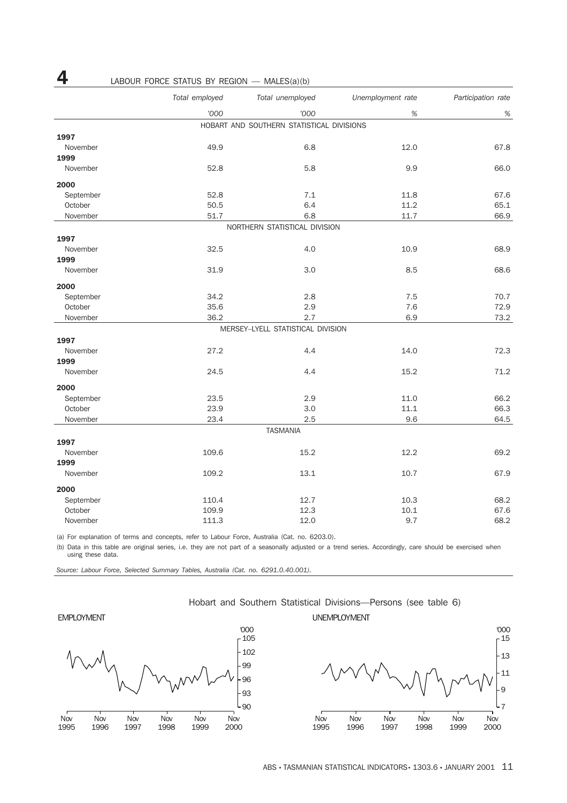|           | Total employed | Total unemployed                          | Unemployment rate | Participation rate |
|-----------|----------------|-------------------------------------------|-------------------|--------------------|
|           | '000           | '000                                      | %                 | %                  |
|           |                | HOBART AND SOUTHERN STATISTICAL DIVISIONS |                   |                    |
| 1997      |                |                                           |                   |                    |
| November  | 49.9           | 6.8                                       | 12.0              | 67.8               |
| 1999      |                |                                           |                   |                    |
| November  | 52.8           | 5.8                                       | 9.9               | 66.0               |
| 2000      |                |                                           |                   |                    |
| September | 52.8           | 7.1                                       | 11.8              | 67.6               |
| October   | 50.5           | 6.4                                       | 11.2              | 65.1               |
| November  | 51.7           | 6.8                                       | 11.7              | 66.9               |
|           |                | NORTHERN STATISTICAL DIVISION             |                   |                    |
| 1997      |                |                                           |                   |                    |
| November  | 32.5           | 4.0                                       | 10.9              | 68.9               |
| 1999      |                |                                           |                   |                    |
| November  | 31.9           | 3.0                                       | 8.5               | 68.6               |
| 2000      |                |                                           |                   |                    |
| September | 34.2           | 2.8                                       | 7.5               | 70.7               |
| October   | 35.6           | 2.9                                       | 7.6               | 72.9               |
| November  | 36.2           | 2.7                                       | 6.9               | 73.2               |
|           |                | MERSEY-LYELL STATISTICAL DIVISION         |                   |                    |
| 1997      |                |                                           |                   |                    |
| November  | 27.2           | 4.4                                       | 14.0              | 72.3               |
| 1999      |                |                                           |                   |                    |
| November  | 24.5           | 4.4                                       | 15.2              | 71.2               |
| 2000      |                |                                           |                   |                    |
| September | 23.5           | 2.9                                       | 11.0              | 66.2               |
| October   | 23.9           | 3.0                                       | 11.1              | 66.3               |
| November  | 23.4           | 2.5                                       | 9.6               | 64.5               |
|           |                | <b>TASMANIA</b>                           |                   |                    |
| 1997      |                |                                           |                   |                    |
| November  | 109.6          | 15.2                                      | 12.2              | 69.2               |
| 1999      |                |                                           |                   |                    |
| November  | 109.2          | 13.1                                      | 10.7              | 67.9               |
| 2000      |                |                                           |                   |                    |
| September | 110.4          | 12.7                                      | 10.3              | 68.2               |
| October   | 109.9          | 12.3                                      | 10.1              | 67.6               |
| November  | 111.3          | 12.0                                      | 9.7               | 68.2               |

## **4** LABOUR FORCE STATUS BY REGION — MALES(a)(b)

(a) For explanation of terms and concepts, refer to Labour Force, Australia (Cat. no. 6203.0).

(b) Data in this table are original series, i.e. they are not part of a seasonally adjusted or a trend series. Accordingly, care should be exercised when using these data.

*Source: Labour Force, Selected Summary Tables, Australia (Cat. no. 6291.0.40.001).*

#### Hobart and Southern Statistical Divisions—Persons (see table 6)



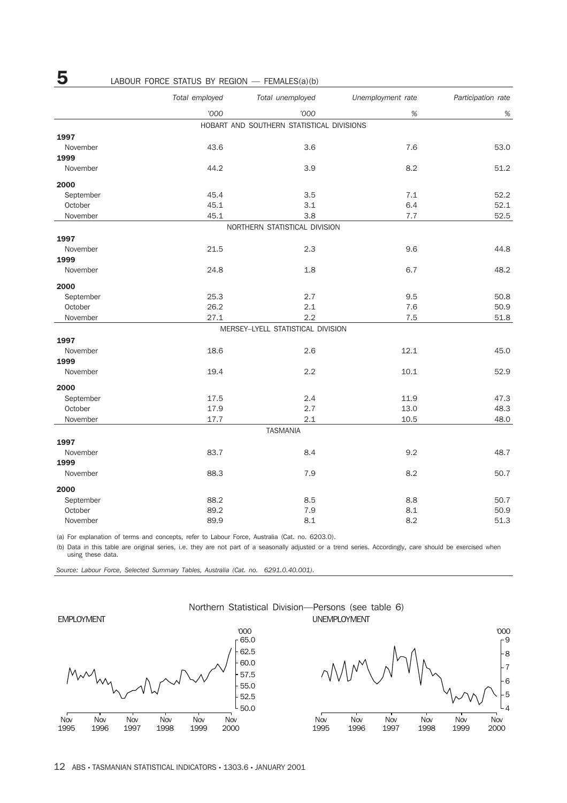|           | Total employed | Total unemployed                          | Unemployment rate | Participation rate |
|-----------|----------------|-------------------------------------------|-------------------|--------------------|
|           | '000           | '000                                      | $\%$              | %                  |
|           |                | HOBART AND SOUTHERN STATISTICAL DIVISIONS |                   |                    |
| 1997      |                |                                           |                   |                    |
| November  | 43.6           | 3.6                                       | 7.6               | 53.0               |
| 1999      |                |                                           |                   |                    |
| November  | 44.2           | 3.9                                       | 8.2               | 51.2               |
| 2000      |                |                                           |                   |                    |
| September | 45.4           | 3.5                                       | 7.1               | 52.2               |
| October   | 45.1           | 3.1                                       | 6.4               | 52.1               |
| November  | 45.1           | 3.8                                       | 7.7               | 52.5               |
|           |                | NORTHERN STATISTICAL DIVISION             |                   |                    |
| 1997      |                |                                           |                   |                    |
| November  | 21.5           | 2.3                                       | 9.6               | 44.8               |
| 1999      |                |                                           |                   |                    |
| November  | 24.8           | 1.8                                       | 6.7               | 48.2               |
| 2000      |                |                                           |                   |                    |
| September | 25.3           | 2.7                                       | 9.5               | 50.8               |
| October   | 26.2           | 2.1                                       | 7.6               | 50.9               |
| November  | 27.1           | 2.2                                       | 7.5               | 51.8               |
|           |                | MERSEY-LYELL STATISTICAL DIVISION         |                   |                    |
| 1997      |                |                                           |                   |                    |
| November  | 18.6           | 2.6                                       | 12.1              | 45.0               |
| 1999      |                |                                           |                   |                    |
| November  | 19.4           | 2.2                                       | 10.1              | 52.9               |
| 2000      |                |                                           |                   |                    |
| September | 17.5           | 2.4                                       | 11.9              | 47.3               |
| October   | 17.9           | 2.7                                       | 13.0              | 48.3               |
| November  | 17.7           | 2.1                                       | 10.5              | 48.0               |
|           |                | <b>TASMANIA</b>                           |                   |                    |
| 1997      |                |                                           |                   |                    |
| November  | 83.7           | 8.4                                       | 9.2               | 48.7               |
| 1999      |                |                                           |                   |                    |
| November  | 88.3           | 7.9                                       | 8.2               | 50.7               |
| 2000      |                |                                           |                   |                    |
| September | 88.2           | 8.5                                       | 8.8               | 50.7               |
| October   | 89.2           | 7.9                                       | 8.1               | 50.9               |
| November  | 89.9           | 8.1                                       | 8.2               | 51.3               |

(a) For explanation of terms and concepts, refer to Labour Force, Australia (Cat. no. 6203.0).

(b) Data in this table are original series, i.e. they are not part of a seasonally adjusted or a trend series. Accordingly, care should be exercised when using these data.

*Source: Labour Force, Selected Summary Tables, Australia (Cat. no. 6291.0.40.001).*

EMPLOYMENT







# **5** LABOUR FORCE STATUS BY REGION — FEMALES(a)(b)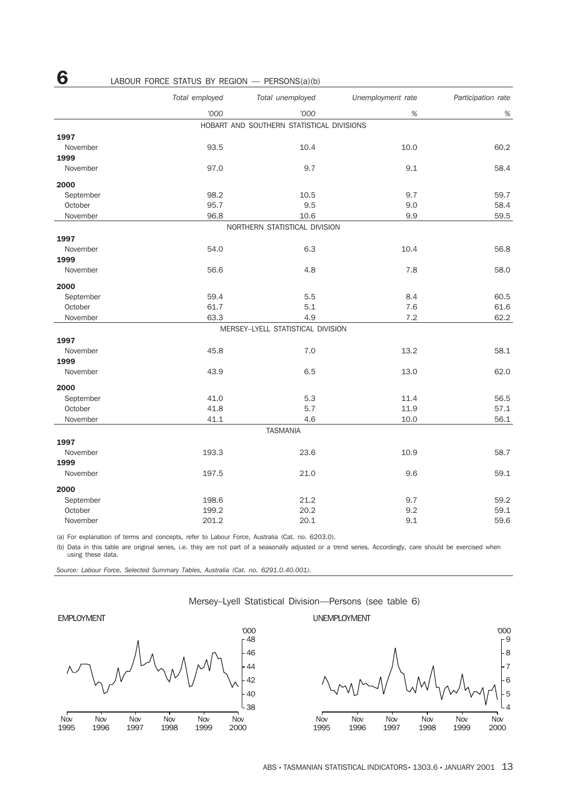|           | Total employed<br>Total unemployed |                                           | Unemployment rate | Participation rate |
|-----------|------------------------------------|-------------------------------------------|-------------------|--------------------|
|           | '000                               | '000                                      | $\%$              | $\%$               |
|           |                                    | HOBART AND SOUTHERN STATISTICAL DIVISIONS |                   |                    |
| 1997      |                                    |                                           |                   |                    |
| November  | 93.5                               | 10.4                                      | 10.0              | 60.2               |
| 1999      |                                    |                                           |                   |                    |
| November  | 97.0                               | 9.7                                       | 9.1               | 58.4               |
| 2000      |                                    |                                           |                   |                    |
| September | 98.2                               | 10.5                                      | 9.7               | 59.7               |
| October   | 95.7                               | 9.5                                       | 9.0               | 58.4               |
| November  | 96.8                               | 10.6                                      | 9.9               | 59.5               |
|           |                                    | NORTHERN STATISTICAL DIVISION             |                   |                    |
| 1997      |                                    |                                           |                   |                    |
| November  | 54.0                               | 6.3                                       | 10.4              | 56.8               |
| 1999      |                                    |                                           |                   |                    |
| November  | 56.6                               | 4.8                                       | 7.8               | 58.0               |
| 2000      |                                    |                                           |                   |                    |
| September | 59.4                               | 5.5                                       | 8.4               | 60.5               |
| October   | 61.7                               | 5.1                                       | 7.6               | 61.6               |
| November  | 63.3                               | 4.9                                       | 7.2               | 62.2               |
|           |                                    | MERSEY-LYELL STATISTICAL DIVISION         |                   |                    |
| 1997      |                                    |                                           |                   |                    |
| November  | 45.8                               | 7.0                                       | 13.2              | 58.1               |
| 1999      |                                    |                                           |                   |                    |
| November  | 43.9                               | 6.5                                       | 13.0              | 62.0               |
| 2000      |                                    |                                           |                   |                    |
| September | 41.0                               | 5.3                                       | 11.4              | 56.5               |
| October   | 41.8                               | 5.7                                       | 11.9              | 57.1               |
| November  | 41.1                               | 4.6                                       | 10.0              | 56.1               |
|           |                                    | <b>TASMANIA</b>                           |                   |                    |
| 1997      |                                    |                                           |                   |                    |
| November  | 193.3                              | 23.6                                      | 10.9              | 58.7               |
| 1999      |                                    |                                           |                   |                    |
| November  | 197.5                              | 21.0                                      | 9.6               | 59.1               |
| 2000      |                                    |                                           |                   |                    |
| September | 198.6                              | 21.2                                      | 9.7               | 59.2               |
| October   | 199.2                              | 20.2                                      | 9.2               | 59.1               |

# **6** LABOUR FORCE STATUS BY REGION — PERSONS(a)(b)

(a) For explanation of terms and concepts, refer to Labour Force, Australia (Cat. no. 6203.0).

(b) Data in this table are original series, i.e. they are not part of a seasonally adjusted or a trend series. Accordingly, care should be exercised when using these data.

November 201.2 20.1 9.1 59.6

*Source: Labour Force, Selected Summary Tables, Australia (Cat. no. 6291.0.40.001).*

#### Mersey–Lyell Statistical Division—Persons (see table 6)

#### EMPLOYMENT



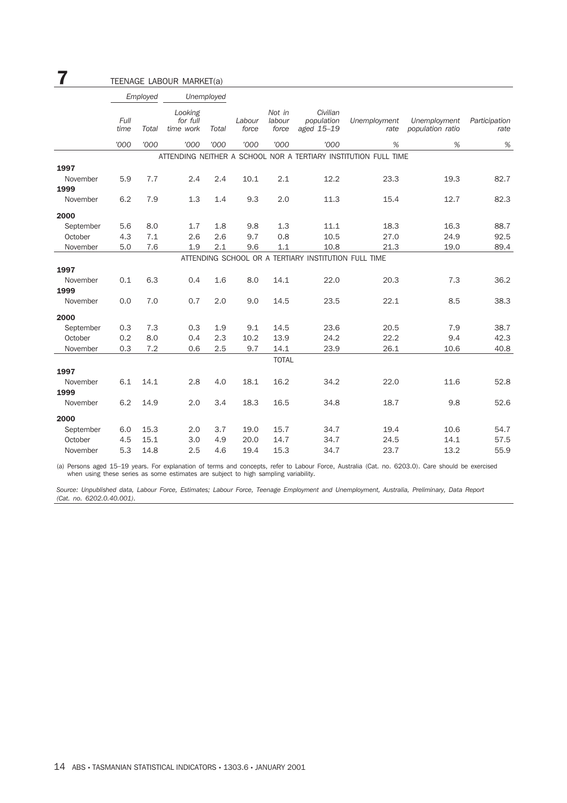| 7         |              |          | TEENAGE LABOUR MARKET(a)         |            |                 |                           |                                                      |                                                                 |                                  |                       |
|-----------|--------------|----------|----------------------------------|------------|-----------------|---------------------------|------------------------------------------------------|-----------------------------------------------------------------|----------------------------------|-----------------------|
|           |              | Employed |                                  | Unemployed |                 |                           |                                                      |                                                                 |                                  |                       |
|           | Full<br>time | Total    | Looking<br>for full<br>time work | Total      | Labour<br>force | Not in<br>labour<br>force | Civilian<br>population<br>aged 15-19                 | Unemployment<br>rate                                            | Unemployment<br>population ratio | Participation<br>rate |
|           | '000         | '000     | '000                             | '000       | '000            | '000                      | '000                                                 | %                                                               | %                                | %                     |
|           |              |          |                                  |            |                 |                           |                                                      | ATTENDING NEITHER A SCHOOL NOR A TERTIARY INSTITUTION FULL TIME |                                  |                       |
| 1997      |              |          |                                  |            |                 |                           |                                                      |                                                                 |                                  |                       |
| November  | 5.9          | 7.7      | 2.4                              | 2.4        | 10.1            | 2.1                       | 12.2                                                 | 23.3                                                            | 19.3                             | 82.7                  |
| 1999      |              |          |                                  |            |                 |                           |                                                      |                                                                 |                                  |                       |
| November  | 6.2          | 7.9      | 1.3                              | 1.4        | 9.3             | 2.0                       | 11.3                                                 | 15.4                                                            | 12.7                             | 82.3                  |
| 2000      |              |          |                                  |            |                 |                           |                                                      |                                                                 |                                  |                       |
| September | 5.6          | 8.0      | 1.7                              | 1.8        | 9.8             | 1.3                       | 11.1                                                 | 18.3                                                            | 16.3                             | 88.7                  |
| October   | 4.3          | 7.1      | 2.6                              | 2.6        | 9.7             | 0.8                       | 10.5                                                 | 27.0                                                            | 24.9                             | 92.5                  |
| November  | 5.0          | 7.6      | 1.9                              | 2.1        | 9.6             | 1.1                       | 10.8                                                 | 21.3                                                            | 19.0                             | 89.4                  |
|           |              |          |                                  |            |                 |                           | ATTENDING SCHOOL OR A TERTIARY INSTITUTION FULL TIME |                                                                 |                                  |                       |
| 1997      |              |          |                                  |            |                 |                           |                                                      |                                                                 |                                  |                       |
| November  | 0.1          | 6.3      | 0.4                              | 1.6        | 8.0             | 14.1                      | 22.0                                                 | 20.3                                                            | 7.3                              | 36.2                  |
| 1999      |              |          |                                  |            |                 |                           |                                                      |                                                                 |                                  |                       |
| November  | 0.0          | 7.0      | 0.7                              | 2.0        | 9.0             | 14.5                      | 23.5                                                 | 22.1                                                            | 8.5                              | 38.3                  |
| 2000      |              |          |                                  |            |                 |                           |                                                      |                                                                 |                                  |                       |
| September | 0.3          | 7.3      | 0.3                              | 1.9        | 9.1             | 14.5                      | 23.6                                                 | 20.5                                                            | 7.9                              | 38.7                  |
| October   | 0.2          | 8.0      | 0.4                              | 2.3        | 10.2            | 13.9                      | 24.2                                                 | 22.2                                                            | 9.4                              | 42.3                  |
| November  | 0.3          | 7.2      | 0.6                              | 2.5        | 9.7             | 14.1                      | 23.9                                                 | 26.1                                                            | 10.6                             | 40.8                  |
|           |              |          |                                  |            |                 | <b>TOTAL</b>              |                                                      |                                                                 |                                  |                       |
| 1997      |              |          |                                  |            |                 |                           |                                                      |                                                                 |                                  |                       |
| November  | 6.1          | 14.1     | 2.8                              | 4.0        | 18.1            | 16.2                      | 34.2                                                 | 22.0                                                            | 11.6                             | 52.8                  |
| 1999      |              |          |                                  |            |                 |                           |                                                      |                                                                 |                                  |                       |
| November  | 6.2          | 14.9     | 2.0                              | 3.4        | 18.3            | 16.5                      | 34.8                                                 | 18.7                                                            | 9.8                              | 52.6                  |
| 2000      |              |          |                                  |            |                 |                           |                                                      |                                                                 |                                  |                       |
| September | 6.0          | 15.3     | 2.0                              | 3.7        | 19.0            | 15.7                      | 34.7                                                 | 19.4                                                            | 10.6                             | 54.7                  |
| October   | 4.5          | 15.1     | 3.0                              | 4.9        | 20.0            | 14.7                      | 34.7                                                 | 24.5                                                            | 14.1                             | 57.5                  |
| November  | 5.3          | 14.8     | 2.5                              | 4.6        | 19.4            | 15.3                      | 34.7                                                 | 23.7                                                            | 13.2                             | 55.9                  |
|           |              |          |                                  |            |                 |                           |                                                      |                                                                 |                                  |                       |

(a) Persons aged 15–19 years. For explanation of terms and concepts, refer to Labour Force, Australia (Cat. no. 6203.0). Care should be exercised when using these series as some estimates are subject to high sampling variability.

*Source: Unpublished data, Labour Force, Estimates; Labour Force, Teenage Employment and Unemployment, Australia, Preliminary, Data Report (Cat. no. 6202.0.40.001).*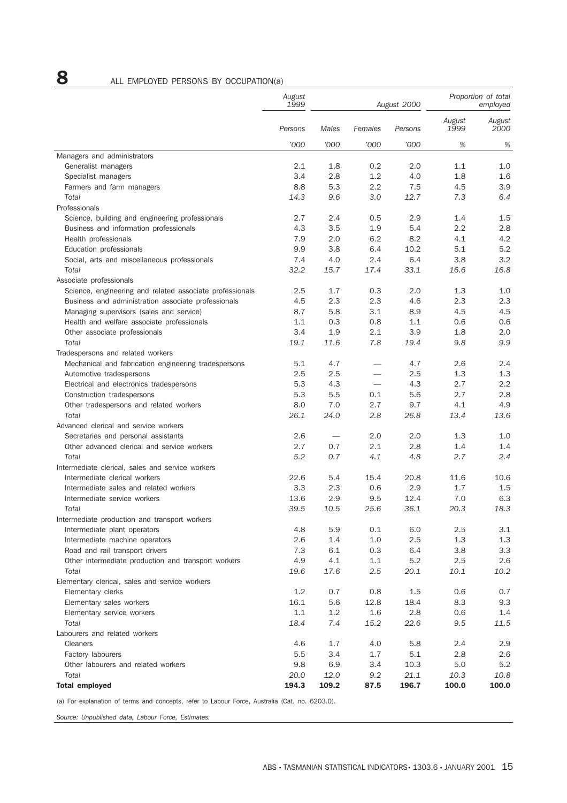# **8** ALL EMPLOYED PERSONS BY OCCUPATION(a)

|                                                          | August<br>1999 | August 2000 |         |         | Proportion of total<br>employed |                |
|----------------------------------------------------------|----------------|-------------|---------|---------|---------------------------------|----------------|
|                                                          | Persons        | Males       | Females | Persons | August<br>1999                  | August<br>2000 |
|                                                          | '000           | '000        | '000    | '000    | %                               | $\%$           |
| Managers and administrators                              |                |             |         |         |                                 |                |
| Generalist managers                                      | 2.1            | 1.8         | 0.2     | 2.0     | 1.1                             | 1.0            |
| Specialist managers                                      | 3.4            | 2.8         | 1.2     | 4.0     | 1.8                             | 1.6            |
| Farmers and farm managers                                | 8.8            | 5.3         | 2.2     | 7.5     | 4.5                             | 3.9            |
| Total                                                    | 14.3           | 9.6         | 3.0     | 12.7    | 7.3                             | 6.4            |
| Professionals                                            |                |             |         |         |                                 |                |
| Science, building and engineering professionals          | 2.7            | 2.4         | 0.5     | 2.9     | 1.4                             | 1.5            |
| Business and information professionals                   | 4.3            | 3.5         | 1.9     | 5.4     | 2.2                             | 2.8            |
| Health professionals                                     | 7.9            | 2.0         | 6.2     | 8.2     | 4.1                             | 4.2            |
| Education professionals                                  | 9.9            | 3.8         | 6.4     | 10.2    | 5.1                             | 5.2            |
| Social, arts and miscellaneous professionals             | 7.4            | 4.0         | 2.4     | 6.4     | 3.8                             | 3.2            |
| Total                                                    | 32.2           | 15.7        | 17.4    | 33.1    | 16.6                            | 16.8           |
| Associate professionals                                  |                |             |         |         |                                 |                |
| Science, engineering and related associate professionals | 2.5            | 1.7         | 0.3     | 2.0     | 1.3                             | 1.0            |
| Business and administration associate professionals      | 4.5            | 2.3         | 2.3     | 4.6     | 2.3                             | 2.3            |
| Managing supervisors (sales and service)                 | 8.7            | 5.8         | 3.1     | 8.9     | 4.5                             | 4.5            |
| Health and welfare associate professionals               | 1.1            | 0.3         | 0.8     | 1.1     | 0.6                             | 0.6            |
| Other associate professionals                            | 3.4            | 1.9         | 2.1     | 3.9     | 1.8                             | 2.0            |
| Total                                                    | 19.1           | 11.6        | 7.8     | 19.4    | 9.8                             | 9.9            |
| Tradespersons and related workers                        |                |             |         |         |                                 |                |
| Mechanical and fabrication engineering tradespersons     | 5.1            | 4.7         |         | 4.7     | 2.6                             | 2.4            |
| Automotive tradespersons                                 | 2.5            | 2.5         |         | 2.5     | 1.3                             | 1.3            |
| Electrical and electronics tradespersons                 | 5.3            | 4.3         |         | 4.3     | 2.7                             | 2.2            |
| Construction tradespersons                               | 5.3            | 5.5         | 0.1     | 5.6     | 2.7                             | 2.8            |
| Other tradespersons and related workers                  | 8.0            | 7.0         | 2.7     | 9.7     | 4.1                             | 4.9            |
| Total                                                    | 26.1           | 24.0        | 2.8     | 26.8    | 13.4                            | 13.6           |
| Advanced clerical and service workers                    |                |             |         |         |                                 |                |
| Secretaries and personal assistants                      | 2.6            |             | 2.0     | 2.0     | 1.3                             | 1.0            |
| Other advanced clerical and service workers              | 2.7            | 0.7         | 2.1     | 2.8     | 1.4                             | 1.4            |
| Total                                                    | 5.2            | 0.7         | 4.1     | 4.8     | 2.7                             | 2.4            |
| Intermediate clerical, sales and service workers         |                |             |         |         |                                 |                |
| Intermediate clerical workers                            | 22.6           | 5.4         | 15.4    | 20.8    | 11.6                            | 10.6           |
| Intermediate sales and related workers                   | 3.3            | 2.3         | 0.6     | 2.9     | 1.7                             | 1.5            |
| Intermediate service workers                             | 13.6           | 2.9         | 9.5     | 12.4    | 7.0                             | 6.3            |
| Total                                                    | 39.5           | 10.5        | 25.6    | 36.1    | 20.3                            | 18.3           |
| Intermediate production and transport workers            |                |             |         |         |                                 |                |
| Intermediate plant operators                             | 4.8            | 5.9         | 0.1     | 6.0     | 2.5                             | 3.1            |
| Intermediate machine operators                           | 2.6            | 1.4         | 1.0     | 2.5     | 1.3                             | 1.3            |
| Road and rail transport drivers                          | 7.3            | 6.1         | 0.3     | 6.4     | 3.8                             | 3.3            |
| Other intermediate production and transport workers      | 4.9            | 4.1         | 1.1     | 5.2     | 2.5                             | 2.6            |
| Total                                                    | 19.6           | 17.6        | 2.5     | 20.1    | 10.1                            | 10.2           |
| Elementary clerical, sales and service workers           |                |             |         |         |                                 |                |
| Elementary clerks<br>Elementary sales workers            | 1.2            | 0.7         | 0.8     | 1.5     | 0.6                             | 0.7            |
|                                                          | 16.1           | 5.6         | 12.8    | 18.4    | 8.3                             | 9.3            |
| Elementary service workers                               | $1.1\,$        | 1.2         | 1.6     | 2.8     | 0.6                             | 1.4            |
| Total                                                    | 18.4           | 7.4         | 15.2    | 22.6    | 9.5                             | 11.5           |
| Labourers and related workers                            |                |             |         |         |                                 |                |
| <b>Cleaners</b>                                          | 4.6            | 1.7         | 4.0     | 5.8     | 2.4                             | 2.9            |
| Factory labourers                                        | 5.5            | 3.4         | 1.7     | 5.1     | 2.8                             | 2.6            |
| Other labourers and related workers                      | 9.8            | 6.9         | 3.4     | 10.3    | 5.0                             | 5.2            |
| Total                                                    | 20.0           | 12.0        | 9.2     | 21.1    | 10.3                            | 10.8           |
| <b>Total employed</b>                                    | 194.3          | 109.2       | 87.5    | 196.7   | 100.0                           | 100.0          |

(a) For explanation of terms and concepts, refer to Labour Force, Australia (Cat. no. 6203.0).

*Source: Unpublished data, Labour Force, Estimates.*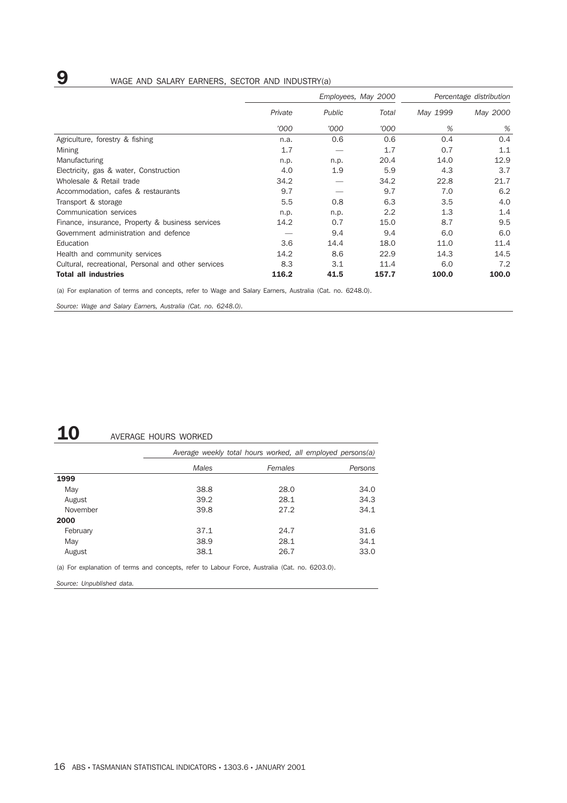# **9** WAGE AND SALARY EARNERS, SECTOR AND INDUSTRY(a)

|                                                     | Employees, May 2000 |        |       | Percentage distribution |          |
|-----------------------------------------------------|---------------------|--------|-------|-------------------------|----------|
|                                                     | Private             | Public | Total | May 1999                | May 2000 |
|                                                     | '000                | '000   | '000  | %                       | %        |
| Agriculture, forestry & fishing                     | n.a.                | 0.6    | 0.6   | 0.4                     | 0.4      |
| Mining                                              | 1.7                 |        | 1.7   | 0.7                     | 1.1      |
| Manufacturing                                       | n.p.                | n.p.   | 20.4  | 14.0                    | 12.9     |
| Electricity, gas & water, Construction              | 4.0                 | 1.9    | 5.9   | 4.3                     | 3.7      |
| Wholesale & Retail trade                            | 34.2                |        | 34.2  | 22.8                    | 21.7     |
| Accommodation, cafes & restaurants                  | 9.7                 |        | 9.7   | 7.0                     | 6.2      |
| Transport & storage                                 | 5.5                 | 0.8    | 6.3   | 3.5                     | 4.0      |
| Communication services                              | n.p.                | n.p.   | 2.2   | 1.3                     | 1.4      |
| Finance, insurance, Property & business services    | 14.2                | 0.7    | 15.0  | 8.7                     | 9.5      |
| Government administration and defence               |                     | 9.4    | 9.4   | 6.0                     | 6.0      |
| Education                                           | 3.6                 | 14.4   | 18.0  | 11.0                    | 11.4     |
| Health and community services                       | 14.2                | 8.6    | 22.9  | 14.3                    | 14.5     |
| Cultural, recreational, Personal and other services | 8.3                 | 3.1    | 11.4  | 6.0                     | 7.2      |
| <b>Total all industries</b>                         | 116.2               | 41.5   | 157.7 | 100.0                   | 100.0    |

(a) For explanation of terms and concepts, refer to Wage and Salary Earners, Australia (Cat. no. 6248.0).

*Source: Wage and Salary Earners, Australia (Cat. no. 6248.0).*

# 10 AVERAGE HOURS WORKED

|          | Average weekly total hours worked, all employed persons(a) |         |         |  |  |  |  |  |
|----------|------------------------------------------------------------|---------|---------|--|--|--|--|--|
|          | Males                                                      | Females | Persons |  |  |  |  |  |
| 1999     |                                                            |         |         |  |  |  |  |  |
| May      | 38.8                                                       | 28.0    | 34.0    |  |  |  |  |  |
| August   | 39.2                                                       | 28.1    | 34.3    |  |  |  |  |  |
| November | 39.8                                                       | 27.2    | 34.1    |  |  |  |  |  |
| 2000     |                                                            |         |         |  |  |  |  |  |
| February | 37.1                                                       | 24.7    | 31.6    |  |  |  |  |  |
| May      | 38.9                                                       | 28.1    | 34.1    |  |  |  |  |  |
| August   | 38.1                                                       | 26.7    | 33.0    |  |  |  |  |  |

(a) For explanation of terms and concepts, refer to Labour Force, Australia (Cat. no. 6203.0).

*Source: Unpublished data.*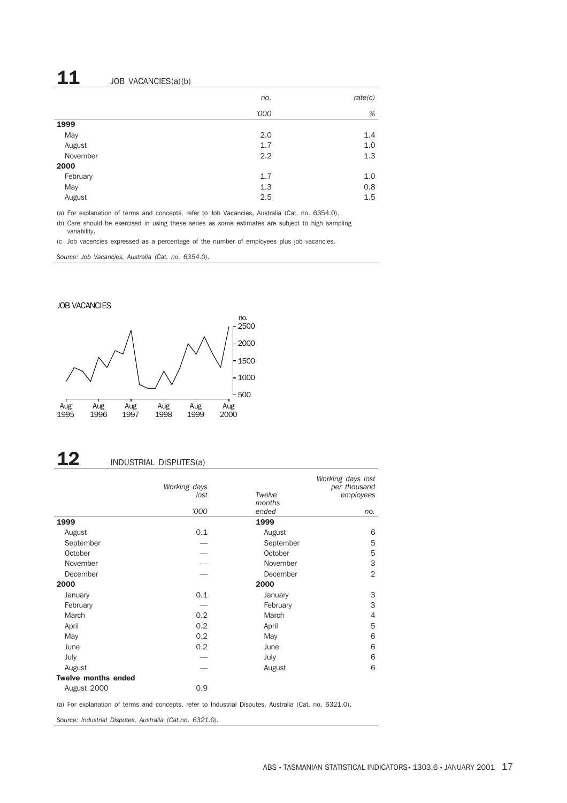# $11$  JOB VACANCIES(a)(b)

|          | no.  | rate(c) |
|----------|------|---------|
|          | '000 | %       |
| 1999     |      |         |
| May      | 2.0  | 1.4     |
| August   | 1.7  | 1.0     |
| November | 2.2  | 1.3     |
| 2000     |      |         |
| February | 1.7  | 1.0     |
| May      | 1.3  | 0.8     |
| August   | 2.5  | 1.5     |

(a) For explanation of terms and concepts, refer to Job Vacancies, Australia (Cat. no. 6354.0).

(b) Care should be exercised in using these series as some estimates are subject to high sampling variability.

(c Job vacencies expressed as a percentage of the number of employees plus job vacancies.

*Source: Job Vacancies, Australia (Cat. no. 6354.0).*

#### JOB VACANCIES



# 12 INDUSTRIAL DISPUTES(a)

|                            | Working days |                 | Working days lost<br>per thousand |
|----------------------------|--------------|-----------------|-----------------------------------|
|                            | lost         | Twelve          | employees                         |
|                            | '000         | months<br>ended | no.                               |
| 1999                       |              | 1999            |                                   |
| August                     | 0.1          | August          | 6                                 |
| September                  |              | September       | 5                                 |
| October                    |              | October         | 5                                 |
| November                   |              | November        | 3                                 |
| December                   |              | December        | $\overline{2}$                    |
| 2000                       |              | 2000            |                                   |
| January                    | 0.1          | January         | 3                                 |
| February                   |              | February        | 3                                 |
| March                      | 0.2          | March           | $\overline{4}$                    |
| April                      | 0.2          | April           | 5                                 |
| May                        | 0.2          | May             | 6                                 |
| June                       | 0.2          | June            | 6                                 |
| July                       |              | July            | 6                                 |
| August                     |              | August          | 6                                 |
| <b>Twelve months ended</b> |              |                 |                                   |
| August 2000                | 0.9          |                 |                                   |

(a) For explanation of terms and concepts, refer to Industrial Disputes, Australia (Cat. no. 6321.0).

*Source: Industrial Disputes, Australia (Cat.no. 6321.0).*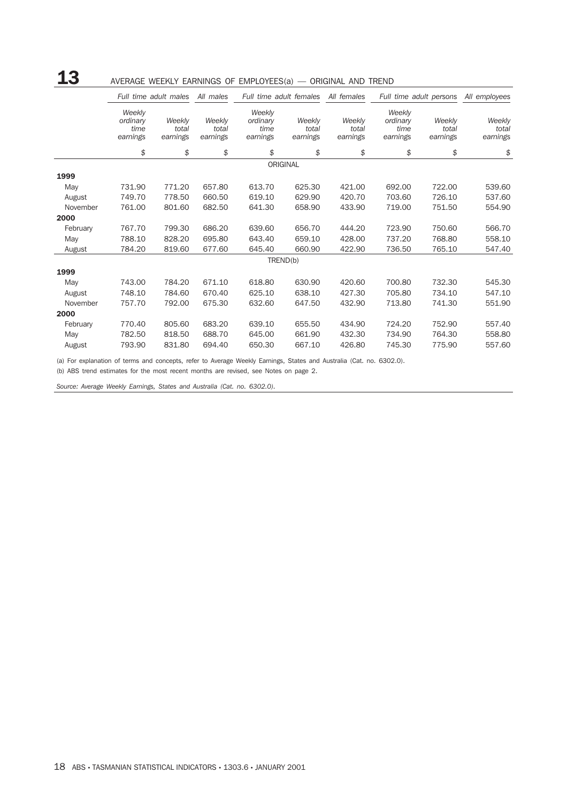# 13 AVERAGE WEEKLY EARNINGS OF EMPLOYEES(a) — ORIGINAL AND TREND

|          |                                        | Full time adult males       | All males                   |                                        | Full time adult females     | All females                 |                                        | Full time adult persons     | All employees               |
|----------|----------------------------------------|-----------------------------|-----------------------------|----------------------------------------|-----------------------------|-----------------------------|----------------------------------------|-----------------------------|-----------------------------|
|          | Weekly<br>ordinary<br>time<br>earnings | Weekly<br>total<br>earnings | Weekly<br>total<br>earnings | Weekly<br>ordinary<br>time<br>earnings | Weekly<br>total<br>earnings | Weekly<br>total<br>earnings | Weekly<br>ordinary<br>time<br>earnings | Weekly<br>total<br>earnings | Weekly<br>total<br>earnings |
|          | \$                                     | \$                          | \$                          | \$                                     | \$                          | \$                          | \$                                     | \$                          | \$                          |
|          |                                        |                             |                             |                                        | ORIGINAL                    |                             |                                        |                             |                             |
| 1999     |                                        |                             |                             |                                        |                             |                             |                                        |                             |                             |
| May      | 731.90                                 | 771.20                      | 657.80                      | 613.70                                 | 625.30                      | 421.00                      | 692.00                                 | 722.00                      | 539.60                      |
| August   | 749.70                                 | 778.50                      | 660.50                      | 619.10                                 | 629.90                      | 420.70                      | 703.60                                 | 726.10                      | 537.60                      |
| November | 761.00                                 | 801.60                      | 682.50                      | 641.30                                 | 658.90                      | 433.90                      | 719.00                                 | 751.50                      | 554.90                      |
| 2000     |                                        |                             |                             |                                        |                             |                             |                                        |                             |                             |
| February | 767.70                                 | 799.30                      | 686.20                      | 639.60                                 | 656.70                      | 444.20                      | 723.90                                 | 750.60                      | 566.70                      |
| May      | 788.10                                 | 828.20                      | 695.80                      | 643.40                                 | 659.10                      | 428.00                      | 737.20                                 | 768.80                      | 558.10                      |
| August   | 784.20                                 | 819.60                      | 677.60                      | 645.40                                 | 660.90                      | 422.90                      | 736.50                                 | 765.10                      | 547.40                      |
|          |                                        |                             |                             |                                        | TREND(b)                    |                             |                                        |                             |                             |
| 1999     |                                        |                             |                             |                                        |                             |                             |                                        |                             |                             |
| May      | 743.00                                 | 784.20                      | 671.10                      | 618.80                                 | 630.90                      | 420.60                      | 700.80                                 | 732.30                      | 545.30                      |
| August   | 748.10                                 | 784.60                      | 670.40                      | 625.10                                 | 638.10                      | 427.30                      | 705.80                                 | 734.10                      | 547.10                      |
| November | 757.70                                 | 792.00                      | 675.30                      | 632.60                                 | 647.50                      | 432.90                      | 713.80                                 | 741.30                      | 551.90                      |
| 2000     |                                        |                             |                             |                                        |                             |                             |                                        |                             |                             |
| February | 770.40                                 | 805.60                      | 683.20                      | 639.10                                 | 655.50                      | 434.90                      | 724.20                                 | 752.90                      | 557.40                      |
| May      | 782.50                                 | 818.50                      | 688.70                      | 645.00                                 | 661.90                      | 432.30                      | 734.90                                 | 764.30                      | 558.80                      |
| August   | 793.90                                 | 831.80                      | 694.40                      | 650.30                                 | 667.10                      | 426.80                      | 745.30                                 | 775.90                      | 557.60                      |

(a) For explanation of terms and concepts, refer to Average Weekly Earnings, States and Australia (Cat. no. 6302.0).

(b) ABS trend estimates for the most recent months are revised, see Notes on page 2.

*Source: Average Weekly Earnings, States and Australia (Cat. no. 6302.0).*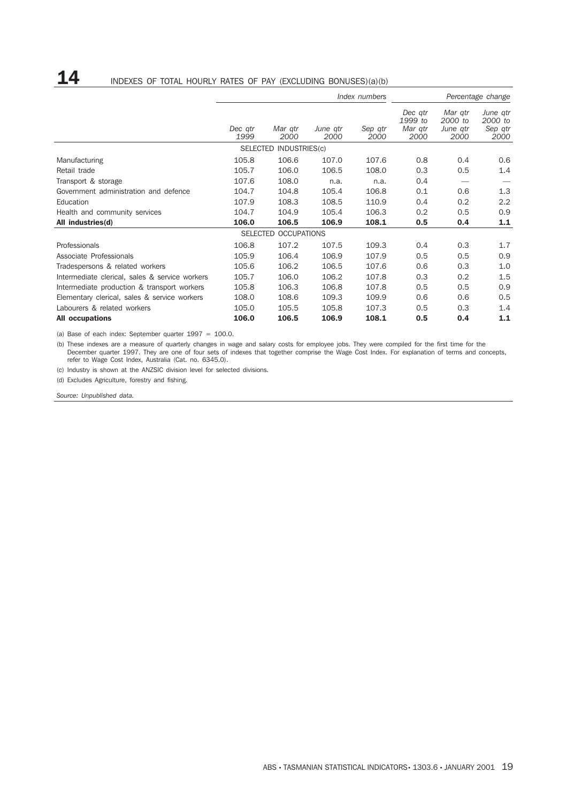## **14** INDEXES OF TOTAL HOURLY RATES OF PAY (EXCLUDING BONUSES)(a)(b)

|                                                | Index numbers   |                        |                  |                 |                                       |                                        | Percentage change                      |
|------------------------------------------------|-----------------|------------------------|------------------|-----------------|---------------------------------------|----------------------------------------|----------------------------------------|
|                                                | Dec atr<br>1999 | Mar gtr<br>2000        | June qtr<br>2000 | Sep atr<br>2000 | Dec atr<br>1999 to<br>Mar qtr<br>2000 | Mar gtr<br>2000 to<br>June qtr<br>2000 | June qtr<br>2000 to<br>Sep qtr<br>2000 |
|                                                |                 | SELECTED INDUSTRIES(c) |                  |                 |                                       |                                        |                                        |
| Manufacturing                                  | 105.8           | 106.6                  | 107.0            | 107.6           | 0.8                                   | 0.4                                    | 0.6                                    |
| Retail trade                                   | 105.7           | 106.0                  | 106.5            | 108.0           | 0.3                                   | 0.5                                    | 1.4                                    |
| Transport & storage                            | 107.6           | 108.0                  | n.a.             | n.a.            | 0.4                                   |                                        |                                        |
| Government administration and defence          | 104.7           | 104.8                  | 105.4            | 106.8           | 0.1                                   | 0.6                                    | 1.3                                    |
| Education                                      | 107.9           | 108.3                  | 108.5            | 110.9           | 0.4                                   | 0.2                                    | 2.2                                    |
| Health and community services                  | 104.7           | 104.9                  | 105.4            | 106.3           | 0.2                                   | 0.5                                    | 0.9                                    |
| All industries(d)                              | 106.0           | 106.5                  | 106.9            | 108.1           | 0.5                                   | 0.4                                    | 1.1                                    |
|                                                |                 | SELECTED OCCUPATIONS   |                  |                 |                                       |                                        |                                        |
| Professionals                                  | 106.8           | 107.2                  | 107.5            | 109.3           | 0.4                                   | 0.3                                    | 1.7                                    |
| Associate Professionals                        | 105.9           | 106.4                  | 106.9            | 107.9           | 0.5                                   | 0.5                                    | 0.9                                    |
| Tradespersons & related workers                | 105.6           | 106.2                  | 106.5            | 107.6           | 0.6                                   | 0.3                                    | 1.0                                    |
| Intermediate clerical, sales & service workers | 105.7           | 106.0                  | 106.2            | 107.8           | 0.3                                   | 0.2                                    | 1.5                                    |
| Intermediate production & transport workers    | 105.8           | 106.3                  | 106.8            | 107.8           | 0.5                                   | 0.5                                    | 0.9                                    |
| Elementary clerical, sales & service workers   | 108.0           | 108.6                  | 109.3            | 109.9           | 0.6                                   | 0.6                                    | 0.5                                    |
| Labourers & related workers                    | 105.0           | 105.5                  | 105.8            | 107.3           | 0.5                                   | 0.3                                    | 1.4                                    |
| <b>All occupations</b>                         | 106.0           | 106.5                  | 106.9            | 108.1           | 0.5                                   | 0.4                                    | 1.1                                    |

(a) Base of each index: September quarter  $1997 = 100.0$ .

(b) These indexes are a measure of quarterly changes in wage and salary costs for employee jobs. They were compiled for the first time for the December quarter 1997. They are one of four sets of indexes that together comprise the Wage Cost Index. For explanation of terms and concepts, refer to Wage Cost Index, Australia (Cat. no. 6345.0).

(c) Industry is shown at the ANZSIC division level for selected divisions.

(d) Excludes Agriculture, forestry and fishing.

*Source: Unpublished data.*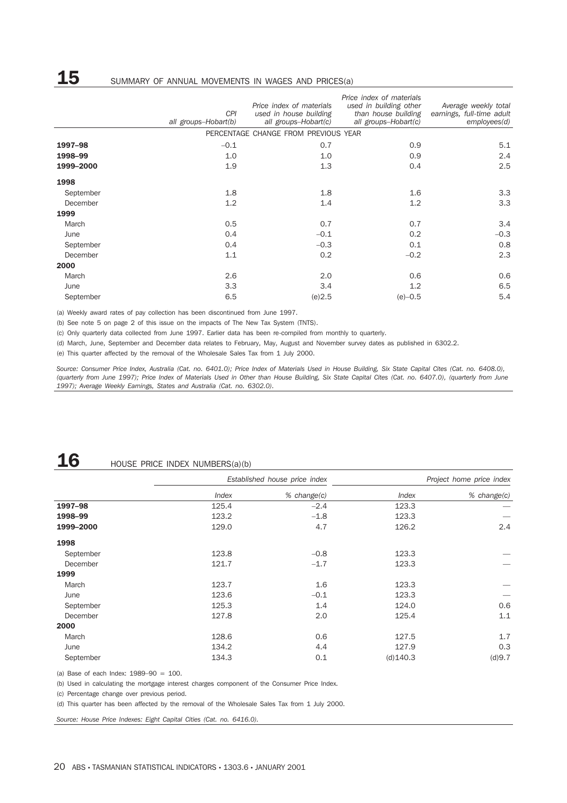|        |                                    | Price index of materials                       |                                                                                     |
|--------|------------------------------------|------------------------------------------------|-------------------------------------------------------------------------------------|
|        | Price index of materials           | used in building other                         | Average weekly total                                                                |
|        |                                    |                                                | earnings, full-time adult                                                           |
|        |                                    |                                                | employees(d)                                                                        |
|        |                                    |                                                |                                                                                     |
| $-0.1$ | 0.7                                | 0.9                                            | 5.1                                                                                 |
| 1.0    | 1.0                                | 0.9                                            | 2.4                                                                                 |
| 1.9    | 1.3                                | 0.4                                            | 2.5                                                                                 |
|        |                                    |                                                |                                                                                     |
| 1.8    | 1.8                                | 1.6                                            | 3.3                                                                                 |
| 1.2    | 1.4                                | 1.2                                            | 3.3                                                                                 |
|        |                                    |                                                |                                                                                     |
| 0.5    | 0.7                                | 0.7                                            | 3.4                                                                                 |
| 0.4    | $-0.1$                             | 0.2                                            | $-0.3$                                                                              |
| 0.4    | $-0.3$                             | 0.1                                            | 0.8                                                                                 |
| 1.1    | 0.2                                | $-0.2$                                         | 2.3                                                                                 |
|        |                                    |                                                |                                                                                     |
| 2.6    | 2.0                                | 0.6                                            | 0.6                                                                                 |
| 3.3    | 3.4                                | 1.2                                            | 6.5                                                                                 |
| 6.5    | (e)2.5                             | $(e)-0.5$                                      | 5.4                                                                                 |
|        | <b>CPI</b><br>all groups-Hobart(b) | used in house building<br>all groups-Hobart(c) | than house building<br>all groups-Hobart(c)<br>PERCENTAGE CHANGE FROM PREVIOUS YEAR |

(a) Weekly award rates of pay collection has been discontinued from June 1997.

(b) See note 5 on page 2 of this issue on the impacts of The New Tax System (TNTS).

(c) Only quarterly data collected from June 1997. Earlier data has been re-compiled from monthly to quarterly.

(d) March, June, September and December data relates to February, May, August and November survey dates as published in 6302.2.

(e) This quarter affected by the removal of the Wholesale Sales Tax from 1 July 2000.

*Source: Consumer Price Index, Australia (Cat. no. 6401.0); Price Index of Materials Used in House Building, Six State Capital Cites (Cat. no. 6408.0), (quarterly from June 1997); Price Index of Materials Used in Other than House Building, Six State Capital Cites (Cat. no. 6407.0), (quarterly from June 1997); Average Weekly Earnings, States and Australia (Cat. no. 6302.0).*

# **16** HOUSE PRICE INDEX NUMBERS(a)(b)

|           |       | Established house price index |             | Project home price index |
|-----------|-------|-------------------------------|-------------|--------------------------|
|           | Index | $%$ change $(c)$              | Index       | % change(c)              |
| 1997-98   | 125.4 | $-2.4$                        | 123.3       |                          |
| 1998-99   | 123.2 | $-1.8$                        | 123.3       |                          |
| 1999-2000 | 129.0 | 4.7                           | 126.2       | 2.4                      |
| 1998      |       |                               |             |                          |
| September | 123.8 | $-0.8$                        | 123.3       |                          |
| December  | 121.7 | $-1.7$                        | 123.3       |                          |
| 1999      |       |                               |             |                          |
| March     | 123.7 | 1.6                           | 123.3       |                          |
| June      | 123.6 | $-0.1$                        | 123.3       |                          |
| September | 125.3 | 1.4                           | 124.0       | 0.6                      |
| December  | 127.8 | 2.0                           | 125.4       | 1.1                      |
| 2000      |       |                               |             |                          |
| March     | 128.6 | 0.6                           | 127.5       | 1.7                      |
| June      | 134.2 | 4.4                           | 127.9       | 0.3                      |
| September | 134.3 | 0.1                           | $(d)$ 140.3 | (d)9.7                   |

(a) Base of each Index: 1989–90 = 100.

(b) Used in calculating the mortgage interest charges component of the Consumer Price Index.

(c) Percentage change over previous period.

(d) This quarter has been affected by the removal of the Wholesale Sales Tax from 1 July 2000.

*Source: House Price Indexes: Eight Capital Cities (Cat. no. 6416.0).*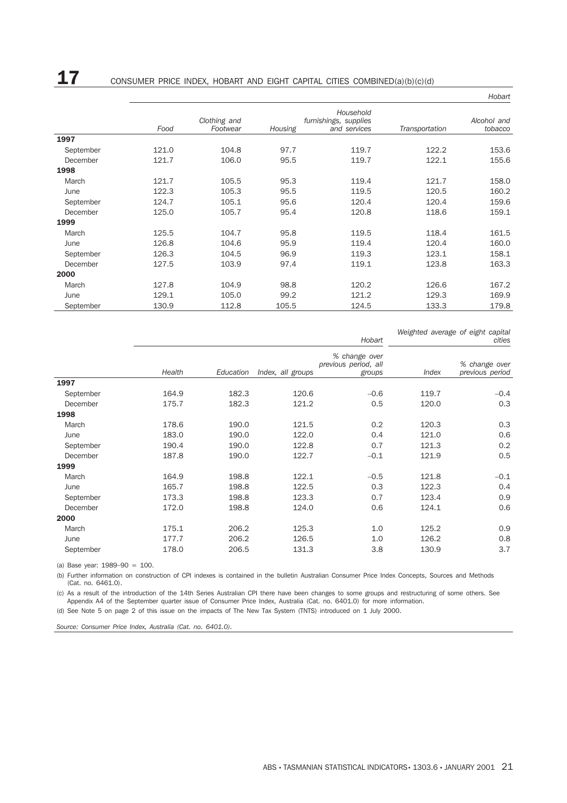**17** CONSUMER PRICE INDEX, HOBART AND EIGHT CAPITAL CITIES COMBINED(a)(b)(c)(d)

|           |       |                          |         |                                                    |                | Hobart                 |
|-----------|-------|--------------------------|---------|----------------------------------------------------|----------------|------------------------|
|           | Food  | Clothing and<br>Footwear | Housing | Household<br>furnishings, supplies<br>and services | Transportation | Alcohol and<br>tobacco |
| 1997      |       |                          |         |                                                    |                |                        |
| September | 121.0 | 104.8                    | 97.7    | 119.7                                              | 122.2          | 153.6                  |
| December  | 121.7 | 106.0                    | 95.5    | 119.7                                              | 122.1          | 155.6                  |
| 1998      |       |                          |         |                                                    |                |                        |
| March     | 121.7 | 105.5                    | 95.3    | 119.4                                              | 121.7          | 158.0                  |
| June      | 122.3 | 105.3                    | 95.5    | 119.5                                              | 120.5          | 160.2                  |
| September | 124.7 | 105.1                    | 95.6    | 120.4                                              | 120.4          | 159.6                  |
| December  | 125.0 | 105.7                    | 95.4    | 120.8                                              | 118.6          | 159.1                  |
| 1999      |       |                          |         |                                                    |                |                        |
| March     | 125.5 | 104.7                    | 95.8    | 119.5                                              | 118.4          | 161.5                  |
| June      | 126.8 | 104.6                    | 95.9    | 119.4                                              | 120.4          | 160.0                  |
| September | 126.3 | 104.5                    | 96.9    | 119.3                                              | 123.1          | 158.1                  |
| December  | 127.5 | 103.9                    | 97.4    | 119.1                                              | 123.8          | 163.3                  |
| 2000      |       |                          |         |                                                    |                |                        |
| March     | 127.8 | 104.9                    | 98.8    | 120.2                                              | 126.6          | 167.2                  |
| June      | 129.1 | 105.0                    | 99.2    | 121.2                                              | 129.3          | 169.9                  |
| September | 130.9 | 112.8                    | 105.5   | 124.5                                              | 133.3          | 179.8                  |

*Weighted average of eight capital cities*

*Hobart*

|           | Health | Education | Index, all groups | % change over<br>previous period, all<br>groups | Index | % change over<br>previous period |
|-----------|--------|-----------|-------------------|-------------------------------------------------|-------|----------------------------------|
| 1997      |        |           |                   |                                                 |       |                                  |
| September | 164.9  | 182.3     | 120.6             | $-0.6$                                          | 119.7 | $-0.4$                           |
| December  | 175.7  | 182.3     | 121.2             | 0.5                                             | 120.0 | 0.3                              |
| 1998      |        |           |                   |                                                 |       |                                  |
| March     | 178.6  | 190.0     | 121.5             | 0.2                                             | 120.3 | 0.3                              |
| June      | 183.0  | 190.0     | 122.0             | 0.4                                             | 121.0 | 0.6                              |
| September | 190.4  | 190.0     | 122.8             | 0.7                                             | 121.3 | 0.2                              |
| December  | 187.8  | 190.0     | 122.7             | $-0.1$                                          | 121.9 | 0.5                              |
| 1999      |        |           |                   |                                                 |       |                                  |
| March     | 164.9  | 198.8     | 122.1             | $-0.5$                                          | 121.8 | $-0.1$                           |
| June      | 165.7  | 198.8     | 122.5             | 0.3                                             | 122.3 | 0.4                              |
| September | 173.3  | 198.8     | 123.3             | 0.7                                             | 123.4 | 0.9                              |
| December  | 172.0  | 198.8     | 124.0             | 0.6                                             | 124.1 | 0.6                              |
| 2000      |        |           |                   |                                                 |       |                                  |
| March     | 175.1  | 206.2     | 125.3             | 1.0                                             | 125.2 | 0.9                              |
| June      | 177.7  | 206.2     | 126.5             | 1.0                                             | 126.2 | 0.8                              |
| September | 178.0  | 206.5     | 131.3             | 3.8                                             | 130.9 | 3.7                              |
|           |        |           |                   |                                                 |       |                                  |

(a) Base year: 1989–90 = 100.

(b) Further information on construction of CPI indexes is contained in the bulletin Australian Consumer Price Index Concepts, Sources and Methods (Cat. no. 6461.0).

(c) As a result of the introduction of the 14th Series Australian CPI there have been changes to some groups and restructuring of some others. See Appendix A4 of the September quarter issue of Consumer Price Index, Australia (Cat. no. 6401.0) for more information.

(d) See Note 5 on page 2 of this issue on the impacts of The New Tax System (TNTS) introduced on 1 July 2000.

*Source: Consumer Price Index, Australia (Cat. no. 6401.0).*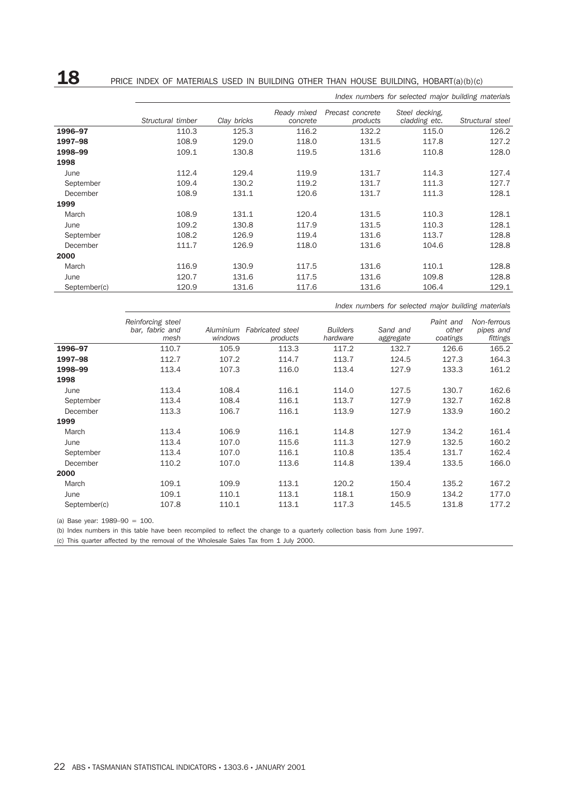# 18 PRICE INDEX OF MATERIALS USED IN BUILDING OTHER THAN HOUSE BUILDING, HOBART(a)(b)(c)

|              |                   |             |                         |                              | Index numbers for selected major building materials |                  |
|--------------|-------------------|-------------|-------------------------|------------------------------|-----------------------------------------------------|------------------|
|              | Structural timber | Clay bricks | Ready mixed<br>concrete | Precast concrete<br>products | Steel decking.<br>cladding etc.                     | Structural steel |
| 1996-97      | 110.3             | 125.3       | 116.2                   | 132.2                        | 115.0                                               | 126.2            |
| 1997-98      | 108.9             | 129.0       | 118.0                   | 131.5                        | 117.8                                               | 127.2            |
| 1998-99      | 109.1             | 130.8       | 119.5                   | 131.6                        | 110.8                                               | 128.0            |
| 1998         |                   |             |                         |                              |                                                     |                  |
| June         | 112.4             | 129.4       | 119.9                   | 131.7                        | 114.3                                               | 127.4            |
| September    | 109.4             | 130.2       | 119.2                   | 131.7                        | 111.3                                               | 127.7            |
| December     | 108.9             | 131.1       | 120.6                   | 131.7                        | 111.3                                               | 128.1            |
| 1999         |                   |             |                         |                              |                                                     |                  |
| March        | 108.9             | 131.1       | 120.4                   | 131.5                        | 110.3                                               | 128.1            |
| June         | 109.2             | 130.8       | 117.9                   | 131.5                        | 110.3                                               | 128.1            |
| September    | 108.2             | 126.9       | 119.4                   | 131.6                        | 113.7                                               | 128.8            |
| December     | 111.7             | 126.9       | 118.0                   | 131.6                        | 104.6                                               | 128.8            |
| 2000         |                   |             |                         |                              |                                                     |                  |
| March        | 116.9             | 130.9       | 117.5                   | 131.6                        | 110.1                                               | 128.8            |
| June         | 120.7             | 131.6       | 117.5                   | 131.6                        | 109.8                                               | 128.8            |
| September(c) | 120.9             | 131.6       | 117.6                   | 131.6                        | 106.4                                               | 129.1            |

*Index numbers for selected major building materials*

|              | Reinforcing steel<br>bar, fabric and<br>mesh | Aluminium<br>windows | <b>Fabricated</b> steel<br>products | <b>Builders</b><br>hardware | Sand and<br>aggregate | Paint and<br>other<br>coatings | Non-ferrous<br>pipes and<br>fittings |
|--------------|----------------------------------------------|----------------------|-------------------------------------|-----------------------------|-----------------------|--------------------------------|--------------------------------------|
| 1996-97      | 110.7                                        | 105.9                | 113.3                               | 117.2                       | 132.7                 | 126.6                          | 165.2                                |
| 1997-98      | 112.7                                        | 107.2                | 114.7                               | 113.7                       | 124.5                 | 127.3                          | 164.3                                |
| 1998-99      | 113.4                                        | 107.3                | 116.0                               | 113.4                       | 127.9                 | 133.3                          | 161.2                                |
| 1998         |                                              |                      |                                     |                             |                       |                                |                                      |
| June         | 113.4                                        | 108.4                | 116.1                               | 114.0                       | 127.5                 | 130.7                          | 162.6                                |
| September    | 113.4                                        | 108.4                | 116.1                               | 113.7                       | 127.9                 | 132.7                          | 162.8                                |
| December     | 113.3                                        | 106.7                | 116.1                               | 113.9                       | 127.9                 | 133.9                          | 160.2                                |
| 1999         |                                              |                      |                                     |                             |                       |                                |                                      |
| March        | 113.4                                        | 106.9                | 116.1                               | 114.8                       | 127.9                 | 134.2                          | 161.4                                |
| June         | 113.4                                        | 107.0                | 115.6                               | 111.3                       | 127.9                 | 132.5                          | 160.2                                |
| September    | 113.4                                        | 107.0                | 116.1                               | 110.8                       | 135.4                 | 131.7                          | 162.4                                |
| December     | 110.2                                        | 107.0                | 113.6                               | 114.8                       | 139.4                 | 133.5                          | 166.0                                |
| 2000         |                                              |                      |                                     |                             |                       |                                |                                      |
| March        | 109.1                                        | 109.9                | 113.1                               | 120.2                       | 150.4                 | 135.2                          | 167.2                                |
| June         | 109.1                                        | 110.1                | 113.1                               | 118.1                       | 150.9                 | 134.2                          | 177.0                                |
| September(c) | 107.8                                        | 110.1                | 113.1                               | 117.3                       | 145.5                 | 131.8                          | 177.2                                |

(a) Base year: 1989–90 = 100.

(b) Index numbers in this table have been recompiled to reflect the change to a quarterly collection basis from June 1997.

(c) This quarter affected by the removal of the Wholesale Sales Tax from 1 July 2000.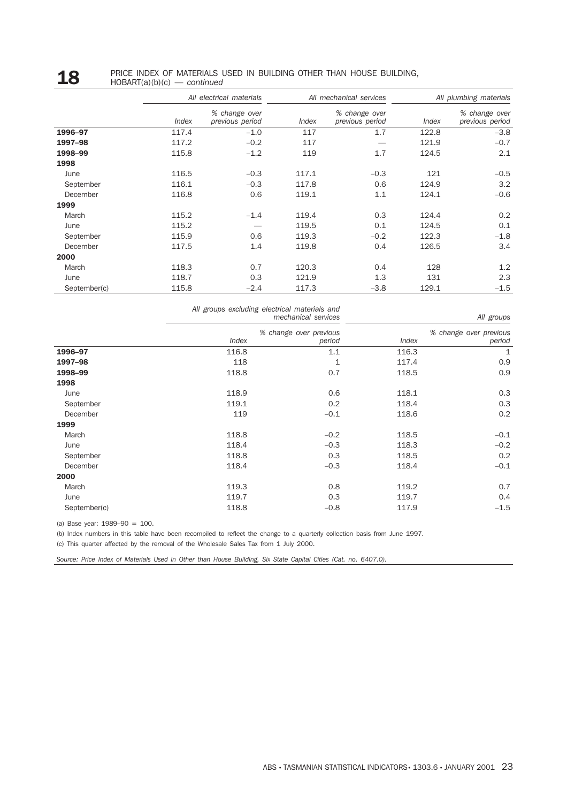#### **18** PRICE INDEX OF MATERIALS USED IN BUILDING OTHER THAN HOUSE BUILDING,<br>HOBART(a)(b)(c) — continued HOBART(a)(b)(c) — *continued*

|              |                     | All electrical materials         |       | All mechanical services          |       | All plumbing materials           |
|--------------|---------------------|----------------------------------|-------|----------------------------------|-------|----------------------------------|
|              | <i><b>Index</b></i> | % change over<br>previous period | Index | % change over<br>previous period | Index | % change over<br>previous period |
| 1996-97      | 117.4               | $-1.0$                           | 117   | 1.7                              | 122.8 | $-3.8$                           |
| 1997-98      | 117.2               | $-0.2$                           | 117   |                                  | 121.9 | $-0.7$                           |
| 1998-99      | 115.8               | $-1.2$                           | 119   | 1.7                              | 124.5 | 2.1                              |
| 1998         |                     |                                  |       |                                  |       |                                  |
| June         | 116.5               | $-0.3$                           | 117.1 | $-0.3$                           | 121   | $-0.5$                           |
| September    | 116.1               | $-0.3$                           | 117.8 | 0.6                              | 124.9 | 3.2                              |
| December     | 116.8               | 0.6                              | 119.1 | 1.1                              | 124.1 | $-0.6$                           |
| 1999         |                     |                                  |       |                                  |       |                                  |
| March        | 115.2               | $-1.4$                           | 119.4 | 0.3                              | 124.4 | 0.2                              |
| June         | 115.2               |                                  | 119.5 | 0.1                              | 124.5 | 0.1                              |
| September    | 115.9               | 0.6                              | 119.3 | $-0.2$                           | 122.3 | $-1.8$                           |
| December     | 117.5               | 1.4                              | 119.8 | 0.4                              | 126.5 | 3.4                              |
| 2000         |                     |                                  |       |                                  |       |                                  |
| March        | 118.3               | 0.7                              | 120.3 | 0.4                              | 128   | 1.2                              |
| June         | 118.7               | 0.3                              | 121.9 | 1.3                              | 131   | 2.3                              |
| September(c) | 115.8               | $-2.4$                           | 117.3 | $-3.8$                           | 129.1 | $-1.5$                           |

|  | All groups excluding electrical materials and |                     |  |
|--|-----------------------------------------------|---------------------|--|
|  |                                               | mechanical services |  |

|              |       | mechanical services              |       | All groups                       |
|--------------|-------|----------------------------------|-------|----------------------------------|
|              | Index | % change over previous<br>period | Index | % change over previous<br>period |
| 1996-97      | 116.8 | 1.1                              | 116.3 | 1                                |
| 1997-98      | 118   | 1                                | 117.4 | 0.9                              |
| 1998-99      | 118.8 | 0.7                              | 118.5 | 0.9                              |
| 1998         |       |                                  |       |                                  |
| June         | 118.9 | 0.6                              | 118.1 | 0.3                              |
| September    | 119.1 | 0.2                              | 118.4 | 0.3                              |
| December     | 119   | $-0.1$                           | 118.6 | 0.2                              |
| 1999         |       |                                  |       |                                  |
| March        | 118.8 | $-0.2$                           | 118.5 | $-0.1$                           |
| June         | 118.4 | $-0.3$                           | 118.3 | $-0.2$                           |
| September    | 118.8 | 0.3                              | 118.5 | 0.2                              |
| December     | 118.4 | $-0.3$                           | 118.4 | $-0.1$                           |
| 2000         |       |                                  |       |                                  |
| March        | 119.3 | 0.8                              | 119.2 | 0.7                              |
| June         | 119.7 | 0.3                              | 119.7 | 0.4                              |
| September(c) | 118.8 | $-0.8$                           | 117.9 | $-1.5$                           |

(a) Base year: 1989–90 = 100.

(b) Index numbers in this table have been recompiled to reflect the change to a quarterly collection basis from June 1997.

(c) This quarter affected by the removal of the Wholesale Sales Tax from 1 July 2000.

*Source: Price Index of Materials Used in Other than House Building, Six State Capital Cities (Cat. no. 6407.0).*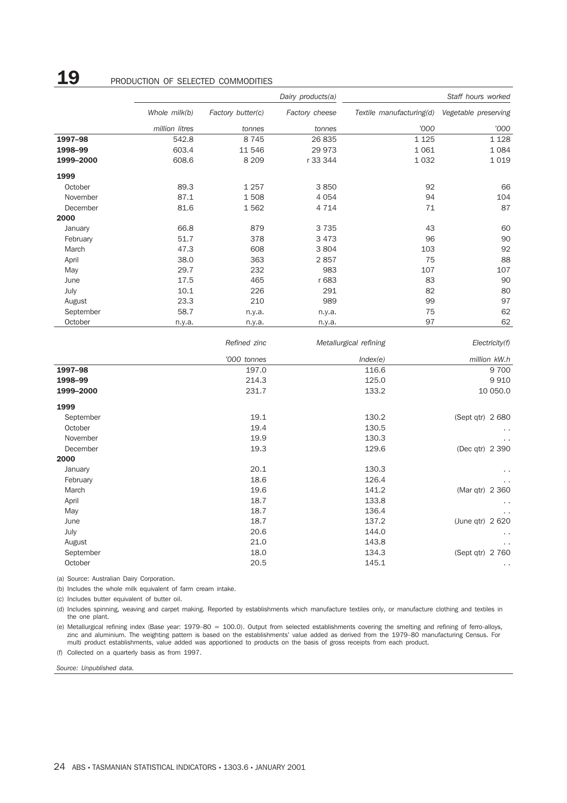## **19** PRODUCTION OF SELECTED COMMODITIES

|           |                |                   | Dairy products(a) |                           | Staff hours worked     |
|-----------|----------------|-------------------|-------------------|---------------------------|------------------------|
|           | Whole milk(b)  | Factory butter(c) | Factory cheese    | Textile manufacturing(d)  | Vegetable preserving   |
|           | million litres | tonnes            | tonnes            | '000                      | '000                   |
| 1997-98   | 542.8          | 8 7 4 5           | 26 835            | 1 1 2 5                   | 1 1 2 8                |
| 1998-99   | 603.4          | 11 546            | 29 973            | 1 0 6 1                   | 1 0 8 4                |
| 1999-2000 | 608.6          | 8 2 0 9           | r 33 344          | 1 0 3 2                   | 1 0 1 9                |
| 1999      |                |                   |                   |                           |                        |
| October   | 89.3           | 1 2 5 7           | 3850              | 92                        | 66                     |
| November  | 87.1           | 1508              | 4 0 5 4           | 94                        | 104                    |
| December  | 81.6           | 1562              | 4 7 1 4           | 71                        | 87                     |
| 2000      |                |                   |                   |                           |                        |
| January   | 66.8           | 879               | 3735              | 43                        | 60                     |
| February  | 51.7           | 378               | 3 4 7 3           | 96                        | 90                     |
| March     | 47.3           | 608               | 3804              | 103                       | 92                     |
| April     | 38.0           | 363               | 2857              | 75                        | 88                     |
| May       | 29.7           | 232               | 983               | 107                       | 107                    |
| June      | 17.5           | 465               | r 683             | 83                        | 90                     |
| July      | 10.1           | 226               | 291               | 82                        | 80                     |
| August    | 23.3           | 210               | 989               | 99                        | 97                     |
| September | 58.7           | n.y.a.            | n.y.a.            | 75                        | 62                     |
| October   | n.y.a.         | n.y.a.            | n.y.a.            | 97                        | 62                     |
|           |                | Dofinod, sino     |                   | $M$ otollurgiool rofining | $E$ lootrioit $(0, 0)$ |

|           | Reilieu zinc | <i>INICIAIIUI giudi Tenning</i> | EECUICIY(1)          |
|-----------|--------------|---------------------------------|----------------------|
|           | '000 tonnes  | Index(e)                        | million kW.h         |
| 1997-98   | 197.0        | 116.6                           | 9 700                |
| 1998-99   | 214.3        | 125.0                           | 9910                 |
| 1999-2000 | 231.7        | 133.2                           | 10 050.0             |
| 1999      |              |                                 |                      |
| September | 19.1         | 130.2                           | (Sept qtr) 2 680     |
| October   | 19.4         | 130.5                           | $\sim$               |
| November  | 19.9         | 130.3                           | $\ddot{\phantom{0}}$ |
| December  | 19.3         | 129.6                           | (Dec qtr) 2 390      |
| 2000      |              |                                 |                      |
| January   | 20.1         | 130.3                           | $\ddot{\phantom{0}}$ |
| February  | 18.6         | 126.4                           | $\cdots$             |
| March     | 19.6         | 141.2                           | (Mar qtr) 2 360      |
| April     | 18.7         | 133.8                           | $\sim$               |
| May       | 18.7         | 136.4                           | $\cdots$             |
| June      | 18.7         | 137.2                           | (June qtr) 2 620     |
| July      | 20.6         | 144.0                           | $\cdots$             |
| August    | 21.0         | 143.8                           | $\cdots$             |
| September | 18.0         | 134.3                           | (Sept qtr) 2 760     |
| October   | 20.5         | 145.1                           | $\sim$ $\sim$        |

(a) Source: Australian Dairy Corporation.

(b) Includes the whole milk equivalent of farm cream intake.

(c) Includes butter equivalent of butter oil.

(d) Includes spinning, weaving and carpet making. Reported by establishments which manufacture textiles only, or manufacture clothing and textiles in the one plant.

(e) Metallurgical refining index (Base year: 1979–80 = 100.0). Output from selected establishments covering the smelting and refining of ferro-alloys, zinc and aluminium. The weighting pattern is based on the establishments' value added as derived from the 1979–80 manufacturing Census. For multi product establishments, value added was apportioned to products on the basis of gross receipts from each product. (f) Collected on a quarterly basis as from 1997.

*Source: Unpublished data.*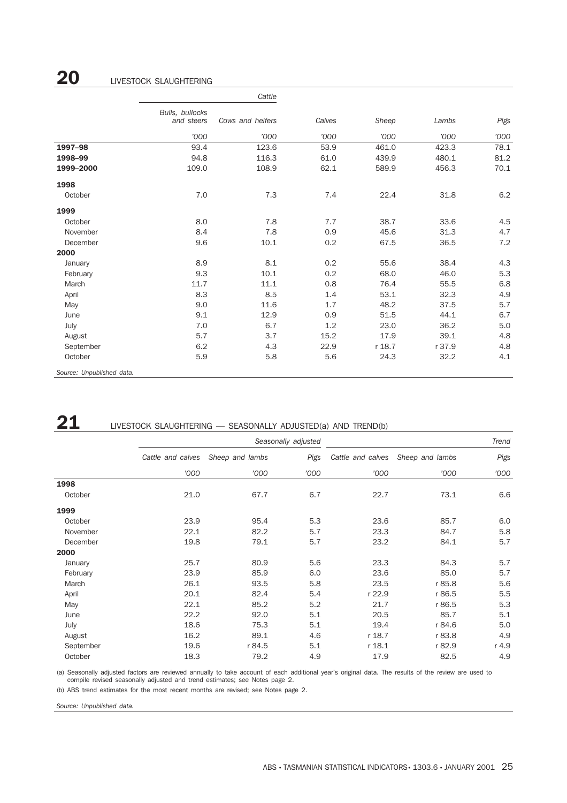## **20** LIVESTOCK SLAUGHTERING

|                           | Cattle<br>Bulls, bullocks<br>and steers<br>Cows and heifers |       |        |        |        |      |
|---------------------------|-------------------------------------------------------------|-------|--------|--------|--------|------|
|                           |                                                             |       | Calves | Sheep  | Lambs  | Pigs |
|                           | '000                                                        | '000  | '000   | '000   | '000   | '000 |
| 1997-98                   | 93.4                                                        | 123.6 | 53.9   | 461.0  | 423.3  | 78.1 |
| 1998-99                   | 94.8                                                        | 116.3 | 61.0   | 439.9  | 480.1  | 81.2 |
| 1999-2000                 | 109.0                                                       | 108.9 | 62.1   | 589.9  | 456.3  | 70.1 |
| 1998                      |                                                             |       |        |        |        |      |
| October                   | 7.0                                                         | 7.3   | 7.4    | 22.4   | 31.8   | 6.2  |
| 1999                      |                                                             |       |        |        |        |      |
| October                   | 8.0                                                         | 7.8   | 7.7    | 38.7   | 33.6   | 4.5  |
| November                  | 8.4                                                         | 7.8   | 0.9    | 45.6   | 31.3   | 4.7  |
| December                  | 9.6                                                         | 10.1  | 0.2    | 67.5   | 36.5   | 7.2  |
| 2000                      |                                                             |       |        |        |        |      |
| January                   | 8.9                                                         | 8.1   | 0.2    | 55.6   | 38.4   | 4.3  |
| February                  | 9.3                                                         | 10.1  | 0.2    | 68.0   | 46.0   | 5.3  |
| March                     | 11.7                                                        | 11.1  | 0.8    | 76.4   | 55.5   | 6.8  |
| April                     | 8.3                                                         | 8.5   | 1.4    | 53.1   | 32.3   | 4.9  |
| May                       | 9.0                                                         | 11.6  | 1.7    | 48.2   | 37.5   | 5.7  |
| June                      | 9.1                                                         | 12.9  | 0.9    | 51.5   | 44.1   | 6.7  |
| July                      | 7.0                                                         | 6.7   | 1.2    | 23.0   | 36.2   | 5.0  |
| August                    | 5.7                                                         | 3.7   | 15.2   | 17.9   | 39.1   | 4.8  |
| September                 | 6.2                                                         | 4.3   | 22.9   | r 18.7 | r 37.9 | 4.8  |
| October                   | 5.9                                                         | 5.8   | 5.6    | 24.3   | 32.2   | 4.1  |
| Source: Unpublished data. |                                                             |       |        |        |        |      |

# **21** LIVESTOCK SLAUGHTERING — SEASONALLY ADJUSTED(a) AND TREND(b)

|           |                   |                 | Seasonally adjusted | Trend             |                 |       |  |
|-----------|-------------------|-----------------|---------------------|-------------------|-----------------|-------|--|
|           | Cattle and calves | Sheep and lambs | Pigs                | Cattle and calves | Sheep and lambs | Pigs  |  |
|           | '000              | '000            | '000                | '000              | '000            | '000  |  |
| 1998      |                   |                 |                     |                   |                 |       |  |
| October   | 21.0              | 67.7            | 6.7                 | 22.7              | 73.1            | 6.6   |  |
| 1999      |                   |                 |                     |                   |                 |       |  |
| October   | 23.9              | 95.4            | 5.3                 | 23.6              | 85.7            | 6.0   |  |
| November  | 22.1              | 82.2            | 5.7                 | 23.3              | 84.7            | 5.8   |  |
| December  | 19.8              | 79.1            | 5.7                 | 23.2              | 84.1            | 5.7   |  |
| 2000      |                   |                 |                     |                   |                 |       |  |
| January   | 25.7              | 80.9            | 5.6                 | 23.3              | 84.3            | 5.7   |  |
| February  | 23.9              | 85.9            | 6.0                 | 23.6              | 85.0            | 5.7   |  |
| March     | 26.1              | 93.5            | 5.8                 | 23.5              | r 85.8          | 5.6   |  |
| April     | 20.1              | 82.4            | 5.4                 | r 22.9            | r 86.5          | 5.5   |  |
| May       | 22.1              | 85.2            | 5.2                 | 21.7              | r 86.5          | 5.3   |  |
| June      | 22.2              | 92.0            | 5.1                 | 20.5              | 85.7            | 5.1   |  |
| July      | 18.6              | 75.3            | 5.1                 | 19.4              | r 84.6          | 5.0   |  |
| August    | 16.2              | 89.1            | 4.6                 | r 18.7            | r 83.8          | 4.9   |  |
| September | 19.6              | r 84.5          | 5.1                 | r 18.1            | r 82.9          | r 4.9 |  |
| October   | 18.3              | 79.2            | 4.9                 | 17.9              | 82.5            | 4.9   |  |

(a) Seasonally adjusted factors are reviewed annually to take account of each additional year's original data. The results of the review are used to compile revised seasonally adjusted and trend estimates; see Notes page 2.

(b) ABS trend estimates for the most recent months are revised; see Notes page 2.

*Source: Unpublished data.*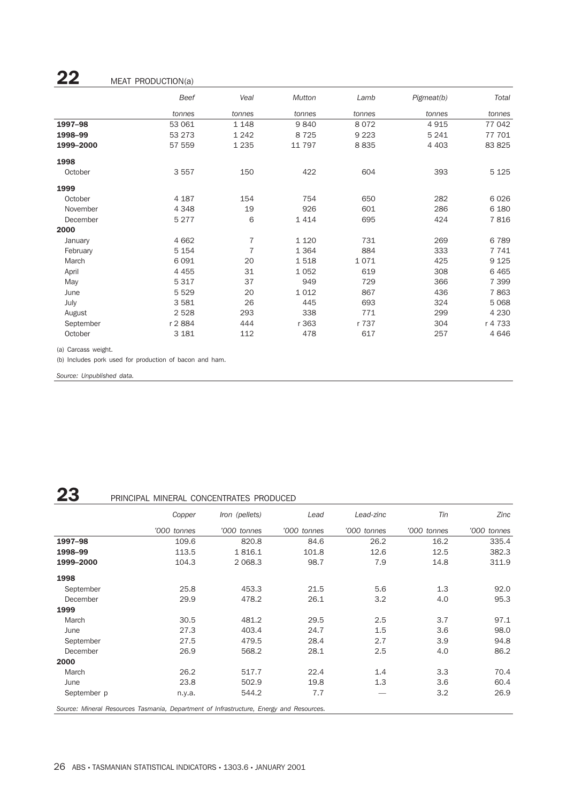## **22** MEAT PRODUCTION(a)

|           | Beef    | Veal           | Mutton  | Lamb    | Pigmeat(b) | Total   |
|-----------|---------|----------------|---------|---------|------------|---------|
|           | tonnes  | tonnes         | tonnes  | tonnes  | tonnes     | tonnes  |
| 1997-98   | 53 061  | 1 1 4 8        | 9840    | 8072    | 4915       | 77 042  |
| 1998-99   | 53 273  | 1 2 4 2        | 8 7 2 5 | 9 2 2 3 | 5 2 4 1    | 77 701  |
| 1999-2000 | 57 559  | 1 2 3 5        | 11 797  | 8835    | 4 4 0 3    | 83 825  |
| 1998      |         |                |         |         |            |         |
| October   | 3557    | 150            | 422     | 604     | 393        | 5 1 2 5 |
| 1999      |         |                |         |         |            |         |
| October   | 4 1 8 7 | 154            | 754     | 650     | 282        | 6026    |
| November  | 4 3 4 8 | 19             | 926     | 601     | 286        | 6 1 8 0 |
| December  | 5 2 7 7 | 6              | 1414    | 695     | 424        | 7816    |
| 2000      |         |                |         |         |            |         |
| January   | 4 6 6 2 | $\overline{7}$ | 1 1 2 0 | 731     | 269        | 6789    |
| February  | 5 1 5 4 | $\overline{7}$ | 1 3 6 4 | 884     | 333        | 7741    |
| March     | 6 0 9 1 | 20             | 1518    | 1071    | 425        | 9 1 2 5 |
| April     | 4 4 5 5 | 31             | 1 0 5 2 | 619     | 308        | 6465    |
| May       | 5 3 1 7 | 37             | 949     | 729     | 366        | 7 3 9 9 |
| June      | 5 5 2 9 | 20             | 1 0 1 2 | 867     | 436        | 7863    |
| July      | 3581    | 26             | 445     | 693     | 324        | 5 0 68  |
| August    | 2528    | 293            | 338     | 771     | 299        | 4 2 3 0 |
| September | r 2884  | 444            | r 363   | r 737   | 304        | r 4 733 |
| October   | 3 1 8 1 | 112            | 478     | 617     | 257        | 4646    |

(a) Carcass weight.

(b) Includes pork used for production of bacon and ham.

*Source: Unpublished data.*

## 23 PRINCIPAL MINERAL CONCENTRATES PRODUCED

|                                                                                         | Copper      | Iron (pellets) | Lead        | Lead-zinc   | Tin         | Zinc        |
|-----------------------------------------------------------------------------------------|-------------|----------------|-------------|-------------|-------------|-------------|
|                                                                                         | '000 tonnes | '000 tonnes    | '000 tonnes | '000 tonnes | '000 tonnes | '000 tonnes |
| 1997-98                                                                                 | 109.6       | 820.8          | 84.6        | 26.2        | 16.2        | 335.4       |
| 1998-99                                                                                 | 113.5       | 1816.1         | 101.8       | 12.6        | 12.5        | 382.3       |
| 1999-2000                                                                               | 104.3       | 2 0 68.3       | 98.7        | 7.9         | 14.8        | 311.9       |
| 1998                                                                                    |             |                |             |             |             |             |
| September                                                                               | 25.8        | 453.3          | 21.5        | 5.6         | 1.3         | 92.0        |
| December                                                                                | 29.9        | 478.2          | 26.1        | 3.2         | 4.0         | 95.3        |
| 1999                                                                                    |             |                |             |             |             |             |
| March                                                                                   | 30.5        | 481.2          | 29.5        | 2.5         | 3.7         | 97.1        |
| June                                                                                    | 27.3        | 403.4          | 24.7        | 1.5         | 3.6         | 98.0        |
| September                                                                               | 27.5        | 479.5          | 28.4        | 2.7         | 3.9         | 94.8        |
| December                                                                                | 26.9        | 568.2          | 28.1        | 2.5         | 4.0         | 86.2        |
| 2000                                                                                    |             |                |             |             |             |             |
| March                                                                                   | 26.2        | 517.7          | 22.4        | 1.4         | 3.3         | 70.4        |
| June                                                                                    | 23.8        | 502.9          | 19.8        | 1.3         | 3.6         | 60.4        |
| September p                                                                             | n.y.a.      | 544.2          | 7.7         |             | 3.2         | 26.9        |
| Source: Mineral Resources Tasmania, Department of Infrastructure, Energy and Resources. |             |                |             |             |             |             |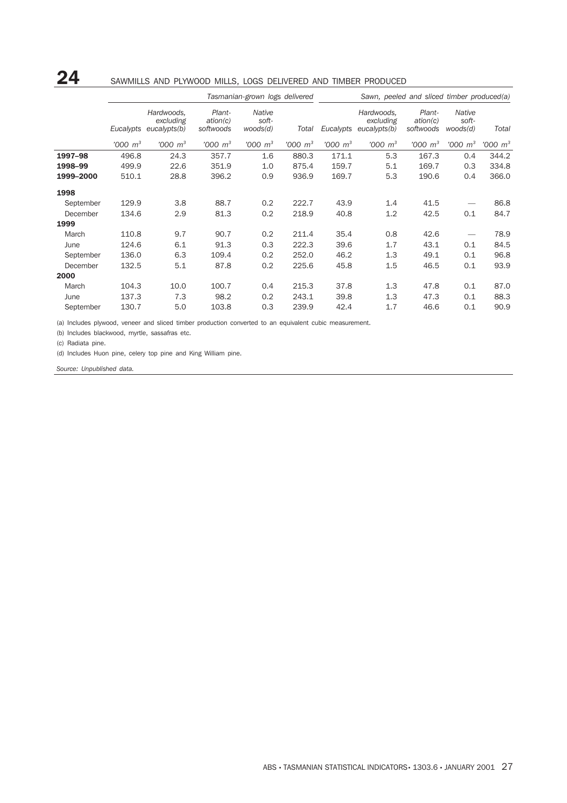## 24 SAWMILLS AND PLYWOOD MILLS, LOGS DELIVERED AND TIMBER PRODUCED

|           | Tasmanian-grown logs delivered |                                         |                                 |                                    |                      |                      | Sawn, peeled and sliced timber produced(a) |                                 |                             |               |
|-----------|--------------------------------|-----------------------------------------|---------------------------------|------------------------------------|----------------------|----------------------|--------------------------------------------|---------------------------------|-----------------------------|---------------|
|           | Eucalypts                      | Hardwoods,<br>excluding<br>eucalypts(b) | Plant-<br>ation(c)<br>softwoods | <b>Native</b><br>soft-<br>woods(d) | Total                | Eucalypts            | Hardwoods,<br>excluding<br>eucalypts(b)    | Plant-<br>ation(c)<br>softwoods | Native<br>soft-<br>woods(d) | Total         |
|           | $'000 \; m^3$                  | $'000 \; m^3$                           | $1000 \, m^3$                   | $'000 \; m^3$                      | $1000 \; \text{m}^3$ | $1000 \; \text{m}^3$ | $1000 \; \mathrm{m}^3$                     | $'000 \, m^3$                   | $1000 \; \mathrm{m^3}$      | $'000 \; m^3$ |
| 1997-98   | 496.8                          | 24.3                                    | 357.7                           | 1.6                                | 880.3                | 171.1                | 5.3                                        | 167.3                           | 0.4                         | 344.2         |
| 1998-99   | 499.9                          | 22.6                                    | 351.9                           | 1.0                                | 875.4                | 159.7                | 5.1                                        | 169.7                           | 0.3                         | 334.8         |
| 1999-2000 | 510.1                          | 28.8                                    | 396.2                           | 0.9                                | 936.9                | 169.7                | 5.3                                        | 190.6                           | 0.4                         | 366.0         |
| 1998      |                                |                                         |                                 |                                    |                      |                      |                                            |                                 |                             |               |
| September | 129.9                          | 3.8                                     | 88.7                            | 0.2                                | 222.7                | 43.9                 | 1.4                                        | 41.5                            |                             | 86.8          |
| December  | 134.6                          | 2.9                                     | 81.3                            | 0.2                                | 218.9                | 40.8                 | 1.2                                        | 42.5                            | 0.1                         | 84.7          |
| 1999      |                                |                                         |                                 |                                    |                      |                      |                                            |                                 |                             |               |
| March     | 110.8                          | 9.7                                     | 90.7                            | 0.2                                | 211.4                | 35.4                 | 0.8                                        | 42.6                            |                             | 78.9          |
| June      | 124.6                          | 6.1                                     | 91.3                            | 0.3                                | 222.3                | 39.6                 | 1.7                                        | 43.1                            | 0.1                         | 84.5          |
| September | 136.0                          | 6.3                                     | 109.4                           | 0.2                                | 252.0                | 46.2                 | 1.3                                        | 49.1                            | 0.1                         | 96.8          |
| December  | 132.5                          | 5.1                                     | 87.8                            | 0.2                                | 225.6                | 45.8                 | 1.5                                        | 46.5                            | 0.1                         | 93.9          |
| 2000      |                                |                                         |                                 |                                    |                      |                      |                                            |                                 |                             |               |
| March     | 104.3                          | 10.0                                    | 100.7                           | 0.4                                | 215.3                | 37.8                 | 1.3                                        | 47.8                            | 0.1                         | 87.0          |
| June      | 137.3                          | 7.3                                     | 98.2                            | 0.2                                | 243.1                | 39.8                 | 1.3                                        | 47.3                            | 0.1                         | 88.3          |
| September | 130.7                          | 5.0                                     | 103.8                           | 0.3                                | 239.9                | 42.4                 | 1.7                                        | 46.6                            | 0.1                         | 90.9          |

(a) Includes plywood, veneer and sliced timber production converted to an equivalent cubic measurement.

(b) Includes blackwood, myrtle, sassafras etc.

(c) Radiata pine.

(d) Includes Huon pine, celery top pine and King William pine.

*Source: Unpublished data.*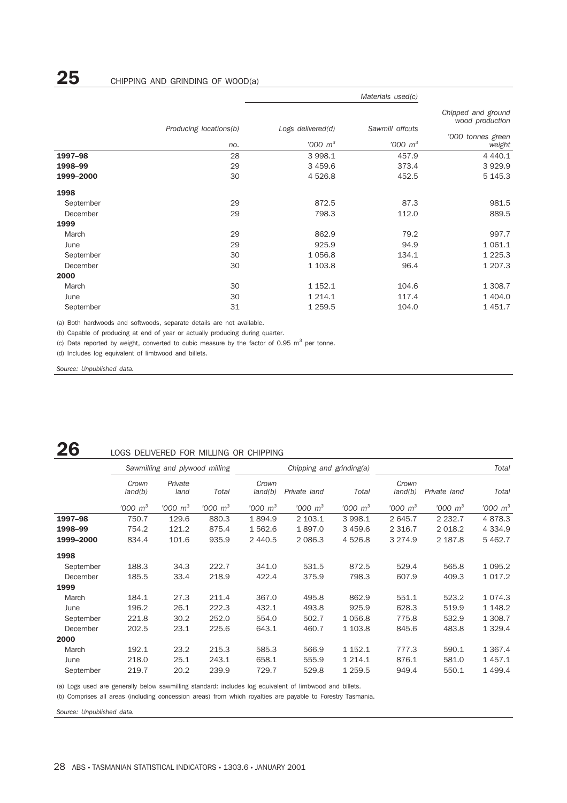|           |                        | Materials used(c)      |                 |                                       |  |
|-----------|------------------------|------------------------|-----------------|---------------------------------------|--|
|           | Producing locations(b) | Logs delivered(d)      | Sawmill offcuts | Chipped and ground<br>wood production |  |
|           |                        | $1000 \; \mathrm{m}^3$ | $'000 \; m^3$   | '000 tonnes green                     |  |
|           | no.                    |                        |                 | weight                                |  |
| 1997-98   | 28                     | 3 998.1                | 457.9           | 4 4 4 0.1                             |  |
| 1998-99   | 29                     | 3 4 5 9.6              | 373.4           | 3929.9                                |  |
| 1999-2000 | 30                     | 4 5 2 6.8              | 452.5           | 5 145.3                               |  |
| 1998      |                        |                        |                 |                                       |  |
| September | 29                     | 872.5                  | 87.3            | 981.5                                 |  |
| December  | 29                     | 798.3                  | 112.0           | 889.5                                 |  |
| 1999      |                        |                        |                 |                                       |  |
| March     | 29                     | 862.9                  | 79.2            | 997.7                                 |  |
| June      | 29                     | 925.9                  | 94.9            | 1 0 6 1 . 1                           |  |
| September | 30                     | 1 0 5 6.8              | 134.1           | 1 2 2 5 . 3                           |  |
| December  | 30                     | 1 103.8                | 96.4            | 1 207.3                               |  |
| 2000      |                        |                        |                 |                                       |  |
| March     | 30                     | 1 152.1                | 104.6           | 1 308.7                               |  |
| June      | 30                     | 1 2 1 4 . 1            | 117.4           | 1 404.0                               |  |
| September | 31                     | 1 2 5 9.5              | 104.0           | 1 451.7                               |  |

(a) Both hardwoods and softwoods, separate details are not available.

(b) Capable of producing at end of year or actually producing during quarter.

(c) Data reported by weight, converted to cubic measure by the factor of 0.95  $m^3$  per tonne.

(d) Includes log equivalent of limbwood and billets.

*Source: Unpublished data.*

## **26** LOGS DELIVERED FOR MILLING OR CHIPPING

|           |                  | Sawmilling and plywood milling |               |                  | Chipping and grinding(a) |                        |                  | Total                |               |  |
|-----------|------------------|--------------------------------|---------------|------------------|--------------------------|------------------------|------------------|----------------------|---------------|--|
|           | Crown<br>land(b) | Private<br>land                | Total         | Crown<br>land(b) | Private land             | Total                  | Crown<br>land(b) | Private land         | Total         |  |
|           | $'000 \, m^3$    | $1000 \; \mathrm{m}^3$         | $1000 \, m^3$ | $1000 \, m^3$    | $1000 \; \mathrm{m}^3$   | $1000 \; \mathrm{m}^3$ | $'000 \, m^3$    | $1000 \; \text{m}^3$ | $'000 \; m^3$ |  |
| 1997-98   | 750.7            | 129.6                          | 880.3         | 1894.9           | 2 103.1                  | 3 998.1                | 2 645.7          | 2 2 3 2.7            | 4878.3        |  |
| 1998-99   | 754.2            | 121.2                          | 875.4         | 1 562.6          | 1897.0                   | 3 4 5 9.6              | 2 3 1 6.7        | 2 0 18.2             | 4 3 3 4 .9    |  |
| 1999-2000 | 834.4            | 101.6                          | 935.9         | 2 440.5          | 2 0 8 6.3                | 4 5 2 6.8              | 3 2 7 4 .9       | 2 187.8              | 5 462.7       |  |
| 1998      |                  |                                |               |                  |                          |                        |                  |                      |               |  |
| September | 188.3            | 34.3                           | 222.7         | 341.0            | 531.5                    | 872.5                  | 529.4            | 565.8                | 1 0 9 5.2     |  |
| December  | 185.5            | 33.4                           | 218.9         | 422.4            | 375.9                    | 798.3                  | 607.9            | 409.3                | 1 0 1 7 . 2   |  |
| 1999      |                  |                                |               |                  |                          |                        |                  |                      |               |  |
| March     | 184.1            | 27.3                           | 211.4         | 367.0            | 495.8                    | 862.9                  | 551.1            | 523.2                | 1 0 7 4 . 3   |  |
| June      | 196.2            | 26.1                           | 222.3         | 432.1            | 493.8                    | 925.9                  | 628.3            | 519.9                | 1 1 4 8.2     |  |
| September | 221.8            | 30.2                           | 252.0         | 554.0            | 502.7                    | 1056.8                 | 775.8            | 532.9                | 1 308.7       |  |
| December  | 202.5            | 23.1                           | 225.6         | 643.1            | 460.7                    | 1 103.8                | 845.6            | 483.8                | 1 3 2 9.4     |  |
| 2000      |                  |                                |               |                  |                          |                        |                  |                      |               |  |
| March     | 192.1            | 23.2                           | 215.3         | 585.3            | 566.9                    | 1 152.1                | 777.3            | 590.1                | 1 3 6 7 . 4   |  |
| June      | 218.0            | 25.1                           | 243.1         | 658.1            | 555.9                    | 1 2 1 4 . 1            | 876.1            | 581.0                | 1 457.1       |  |
| September | 219.7            | 20.2                           | 239.9         | 729.7            | 529.8                    | 1 259.5                | 949.4            | 550.1                | 1 499.4       |  |

(a) Logs used are generally below sawmilling standard: includes log equivalent of limbwood and billets.

(b) Comprises all areas (including concession areas) from which royalties are payable to Forestry Tasmania.

*Source: Unpublished data.*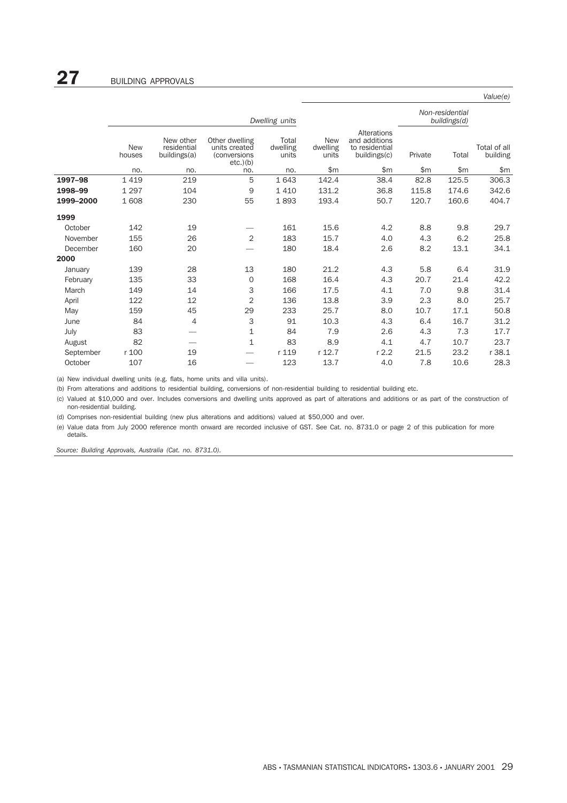|           |                      |                                          |                                                                |                            |                                 |                                                                |         |       | Value(e)                 |
|-----------|----------------------|------------------------------------------|----------------------------------------------------------------|----------------------------|---------------------------------|----------------------------------------------------------------|---------|-------|--------------------------|
|           |                      |                                          |                                                                | Dwelling units             | Non-residential<br>buildings(d) |                                                                |         |       |                          |
|           | <b>New</b><br>houses | New other<br>residential<br>buildings(a) | Other dwelling<br>units created<br>(conversions<br>$etc.$ )(b) | Total<br>dwelling<br>units | <b>New</b><br>dwelling<br>units | Alterations<br>and additions<br>to residential<br>buildings(c) | Private | Total | Total of all<br>building |
|           | no.                  | no.                                      | no.                                                            | no.                        | \$m\$                           | \$m\$                                                          | \$m\$   | \$m\$ | \$m\$                    |
| 1997-98   | 1 4 1 9              | 219                                      | 5                                                              | 1 6 4 3                    | 142.4                           | 38.4                                                           | 82.8    | 125.5 | 306.3                    |
| 1998-99   | 1 2 9 7              | 104                                      | 9                                                              | 1410                       | 131.2                           | 36.8                                                           | 115.8   | 174.6 | 342.6                    |
| 1999-2000 | 1 608                | 230                                      | 55                                                             | 1893                       | 193.4                           | 50.7                                                           | 120.7   | 160.6 | 404.7                    |
| 1999      |                      |                                          |                                                                |                            |                                 |                                                                |         |       |                          |
| October   | 142                  | 19                                       |                                                                | 161                        | 15.6                            | 4.2                                                            | 8.8     | 9.8   | 29.7                     |
| November  | 155                  | 26                                       | 2                                                              | 183                        | 15.7                            | 4.0                                                            | 4.3     | 6.2   | 25.8                     |
| December  | 160                  | 20                                       |                                                                | 180                        | 18.4                            | 2.6                                                            | 8.2     | 13.1  | 34.1                     |
| 2000      |                      |                                          |                                                                |                            |                                 |                                                                |         |       |                          |
| January   | 139                  | 28                                       | 13                                                             | 180                        | 21.2                            | 4.3                                                            | 5.8     | 6.4   | 31.9                     |
| February  | 135                  | 33                                       | $\mathbf 0$                                                    | 168                        | 16.4                            | 4.3                                                            | 20.7    | 21.4  | 42.2                     |
| March     | 149                  | 14                                       | 3                                                              | 166                        | 17.5                            | 4.1                                                            | 7.0     | 9.8   | 31.4                     |
| April     | 122                  | 12                                       | 2                                                              | 136                        | 13.8                            | 3.9                                                            | 2.3     | 8.0   | 25.7                     |
| May       | 159                  | 45                                       | 29                                                             | 233                        | 25.7                            | 8.0                                                            | 10.7    | 17.1  | 50.8                     |
| June      | 84                   | $\overline{4}$                           | 3                                                              | 91                         | 10.3                            | 4.3                                                            | 6.4     | 16.7  | 31.2                     |
| July      | 83                   |                                          | 1                                                              | 84                         | 7.9                             | 2.6                                                            | 4.3     | 7.3   | 17.7                     |
| August    | 82                   |                                          | 1                                                              | 83                         | 8.9                             | 4.1                                                            | 4.7     | 10.7  | 23.7                     |
| September | r 100                | 19                                       |                                                                | r 119                      | r 12.7                          | r 2.2                                                          | 21.5    | 23.2  | r 38.1                   |
| October   | 107                  | 16                                       |                                                                | 123                        | 13.7                            | 4.0                                                            | 7.8     | 10.6  | 28.3                     |

(a) New individual dwelling units (e.g. flats, home units and villa units).

(b) From alterations and additions to residential building, conversions of non-residential building to residential building etc.

(c) Valued at \$10,000 and over. Includes conversions and dwelling units approved as part of alterations and additions or as part of the construction of non-residential building.

(d) Comprises non-residential building (new plus alterations and additions) valued at \$50,000 and over.

(e) Value data from July 2000 reference month onward are recorded inclusive of GST. See Cat. no. 8731.0 or page 2 of this publication for more details.

*Source: Building Approvals, Australia (Cat. no. 8731.0).*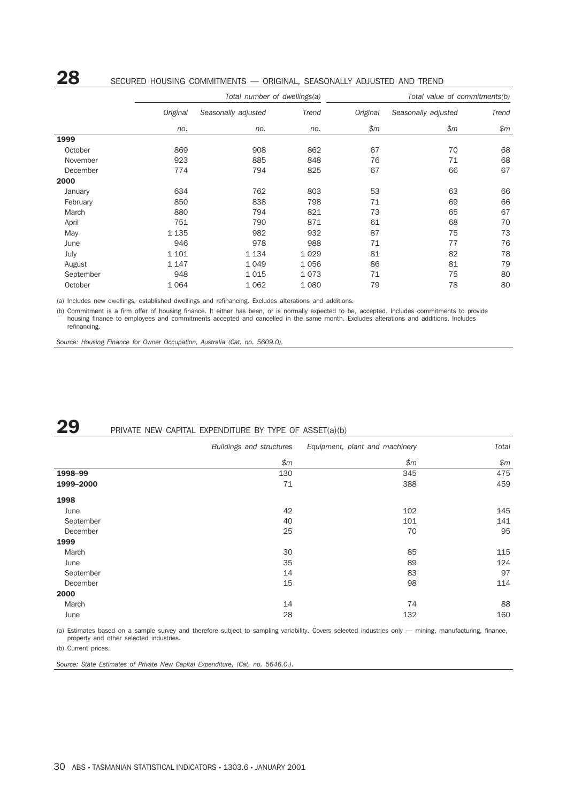## 28 SECURED HOUSING COMMITMENTS — ORIGINAL, SEASONALLY ADJUSTED AND TREND

|           |          | Total number of dwellings(a) |         | Total value of commitments(b) |                     |       |  |
|-----------|----------|------------------------------|---------|-------------------------------|---------------------|-------|--|
|           | Original | Seasonally adjusted          | Trend   | Original                      | Seasonally adjusted | Trend |  |
|           | no.      | no.                          | no.     | \$m                           | \$m\$               | \$m   |  |
| 1999      |          |                              |         |                               |                     |       |  |
| October   | 869      | 908                          | 862     | 67                            | 70                  | 68    |  |
| November  | 923      | 885                          | 848     | 76                            | 71                  | 68    |  |
| December  | 774      | 794                          | 825     | 67                            | 66                  | 67    |  |
| 2000      |          |                              |         |                               |                     |       |  |
| January   | 634      | 762                          | 803     | 53                            | 63                  | 66    |  |
| February  | 850      | 838                          | 798     | 71                            | 69                  | 66    |  |
| March     | 880      | 794                          | 821     | 73                            | 65                  | 67    |  |
| April     | 751      | 790                          | 871     | 61                            | 68                  | 70    |  |
| May       | 1 1 3 5  | 982                          | 932     | 87                            | 75                  | 73    |  |
| June      | 946      | 978                          | 988     | 71                            | 77                  | 76    |  |
| July      | 1 1 0 1  | 1 1 3 4                      | 1 0 2 9 | 81                            | 82                  | 78    |  |
| August    | 1 1 4 7  | 1 0 4 9                      | 1056    | 86                            | 81                  | 79    |  |
| September | 948      | 1015                         | 1073    | 71                            | 75                  | 80    |  |
| October   | 1 0 6 4  | 1 0 6 2                      | 1080    | 79                            | 78                  | 80    |  |

(a) Includes new dwellings, established dwellings and refinancing. Excludes alterations and additions.

(b) Commitment is a firm offer of housing finance. It either has been, or is normally expected to be, accepted. Includes commitments to provide housing finance to employees and commitments accepted and cancelled in the same month. Excludes alterations and additions. Includes refinancing.

*Source: Housing Finance for Owner Occupation, Australia (Cat. no. 5609.0).*

## **29** PRIVATE NEW CAPITAL EXPENDITURE BY TYPE OF ASSET(a)(b)

|           | Buildings and structures | Equipment, plant and machinery | Total |
|-----------|--------------------------|--------------------------------|-------|
|           | \$m\$                    | \$m\$                          | \$m\$ |
| 1998-99   | 130                      | 345                            | 475   |
| 1999-2000 | 71                       | 388                            | 459   |
| 1998      |                          |                                |       |
| June      | 42                       | 102                            | 145   |
| September | 40                       | 101                            | 141   |
| December  | 25                       | 70                             | 95    |
| 1999      |                          |                                |       |
| March     | 30                       | 85                             | 115   |
| June      | 35                       | 89                             | 124   |
| September | 14                       | 83                             | 97    |
| December  | 15                       | 98                             | 114   |
| 2000      |                          |                                |       |
| March     | 14                       | 74                             | 88    |
| June      | 28                       | 132                            | 160   |

(a) Estimates based on a sample survey and therefore subject to sampling variability. Covers selected industries only — mining, manufacturing, finance, property and other selected industries.

(b) Current prices.

*Source: State Estimates of Private New Capital Expenditure, (Cat. no. 5646.0.).*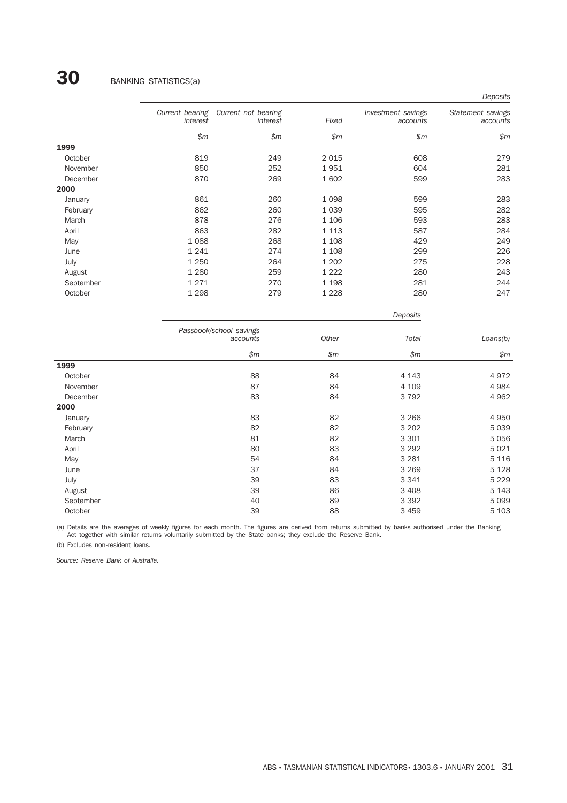|           |                             |                                 |         |                                | Deposits                      |
|-----------|-----------------------------|---------------------------------|---------|--------------------------------|-------------------------------|
|           | Current bearing<br>interest | Current not bearing<br>interest | Fixed   | Investment savings<br>accounts | Statement savings<br>accounts |
|           | \$m\$                       | \$m\$                           | \$m\$   | \$m\$                          | \$m\$                         |
| 1999      |                             |                                 |         |                                |                               |
| October   | 819                         | 249                             | 2 0 1 5 | 608                            | 279                           |
| November  | 850                         | 252                             | 1951    | 604                            | 281                           |
| December  | 870                         | 269                             | 1 602   | 599                            | 283                           |
| 2000      |                             |                                 |         |                                |                               |
| January   | 861                         | 260                             | 1 0 9 8 | 599                            | 283                           |
| February  | 862                         | 260                             | 1 0 3 9 | 595                            | 282                           |
| March     | 878                         | 276                             | 1 1 0 6 | 593                            | 283                           |
| April     | 863                         | 282                             | 1 1 1 3 | 587                            | 284                           |
| May       | 1088                        | 268                             | 1 1 0 8 | 429                            | 249                           |
| June      | 1 2 4 1                     | 274                             | 1 1 0 8 | 299                            | 226                           |
| July      | 1 2 5 0                     | 264                             | 1 2 0 2 | 275                            | 228                           |
| August    | 1 2 8 0                     | 259                             | 1 2 2 2 | 280                            | 243                           |
| September | 1271                        | 270                             | 1 1 9 8 | 281                            | 244                           |
| October   | 1 2 9 8                     | 279                             | 1 2 2 8 | 280                            | 247                           |

|           |                                     | Deposits |         |          |  |  |  |
|-----------|-------------------------------------|----------|---------|----------|--|--|--|
|           | Passbook/school savings<br>accounts | Other    | Total   | Loans(b) |  |  |  |
|           | \$m\$                               | \$m\$    | \$m\$   | \$m\$    |  |  |  |
| 1999      |                                     |          |         |          |  |  |  |
| October   | 88                                  | 84       | 4 1 4 3 | 4972     |  |  |  |
| November  | 87                                  | 84       | 4 1 0 9 | 4984     |  |  |  |
| December  | 83                                  | 84       | 3 7 9 2 | 4 9 6 2  |  |  |  |
| 2000      |                                     |          |         |          |  |  |  |
| January   | 83                                  | 82       | 3 2 6 6 | 4 9 5 0  |  |  |  |
| February  | 82                                  | 82       | 3 2 0 2 | 5 0 3 9  |  |  |  |
| March     | 81                                  | 82       | 3 3 0 1 | 5056     |  |  |  |
| April     | 80                                  | 83       | 3 2 9 2 | 5021     |  |  |  |
| May       | 54                                  | 84       | 3 2 8 1 | 5 1 1 6  |  |  |  |
| June      | 37                                  | 84       | 3 2 6 9 | 5 1 2 8  |  |  |  |
| July      | 39                                  | 83       | 3 3 4 1 | 5 2 2 9  |  |  |  |
| August    | 39                                  | 86       | 3 4 0 8 | 5 1 4 3  |  |  |  |
| September | 40                                  | 89       | 3 3 9 2 | 5 0 9 9  |  |  |  |
| October   | 39                                  | 88       | 3 4 5 9 | 5 1 0 3  |  |  |  |

(a) Details are the averages of weekly figures for each month. The figures are derived from returns submitted by banks authorised under the Banking Act together with similar returns voluntarily submitted by the State banks; they exclude the Reserve Bank.

(b) Excludes non-resident loans.

*Source: Reserve Bank of Australia.*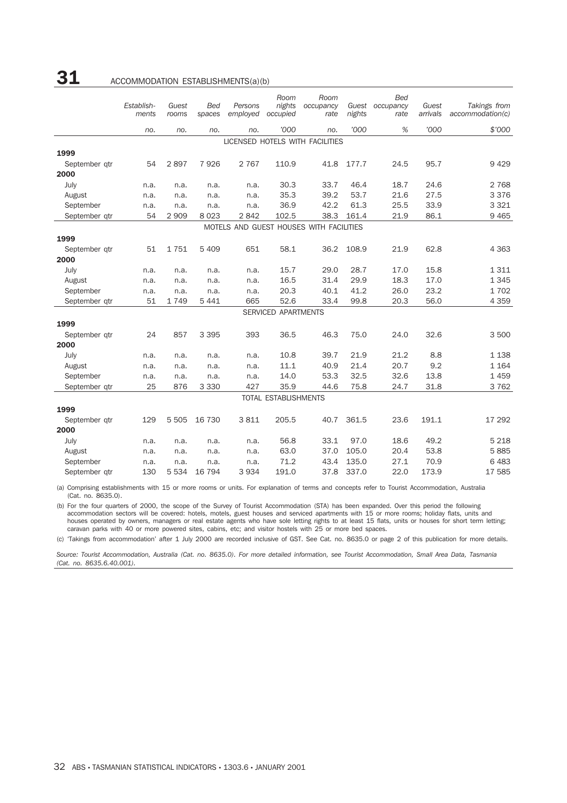## **31** ACCOMMODATION ESTABLISHMENTS(a)(b)

|               | Establish-<br>ments | Guest<br>rooms | <b>Bed</b><br>spaces | Persons<br>employed | Room<br>nights<br>occupied  | Room<br>occupancy<br>rate               | Guest<br>nights | <b>Bed</b><br>occupancy<br>rate | Guest<br>arrivals | Takings from<br>account notation(c) |
|---------------|---------------------|----------------|----------------------|---------------------|-----------------------------|-----------------------------------------|-----------------|---------------------------------|-------------------|-------------------------------------|
|               | no.                 | no.            | no.                  | no.                 | '000                        | no.                                     | '000            | %                               | '000              | \$'000                              |
|               |                     |                |                      |                     |                             | LICENSED HOTELS WITH FACILITIES         |                 |                                 |                   |                                     |
| 1999          |                     |                |                      |                     |                             |                                         |                 |                                 |                   |                                     |
| September qtr | 54                  | 2897           | 7926                 | 2 7 6 7             | 110.9                       | 41.8                                    | 177.7           | 24.5                            | 95.7              | 9429                                |
| 2000          |                     |                |                      |                     |                             |                                         |                 |                                 |                   |                                     |
| July          | n.a.                | n.a.           | n.a.                 | n.a.                | 30.3                        | 33.7                                    | 46.4            | 18.7                            | 24.6              | 2 7 6 8                             |
| August        | n.a.                | n.a.           | n.a.                 | n.a.                | 35.3                        | 39.2                                    | 53.7            | 21.6                            | 27.5              | 3 3 7 6                             |
| September     | n.a.                | n.a.           | n.a.                 | n.a.                | 36.9                        | 42.2                                    | 61.3            | 25.5                            | 33.9              | 3 3 2 1                             |
| September qtr | 54                  | 2 9 0 9        | 8 0 2 3              | 2842                | 102.5                       | 38.3                                    | 161.4           | 21.9                            | 86.1              | 9 4 6 5                             |
|               |                     |                |                      |                     |                             | MOTELS AND GUEST HOUSES WITH FACILITIES |                 |                                 |                   |                                     |
| 1999          |                     |                |                      |                     |                             |                                         |                 |                                 |                   |                                     |
| September qtr | 51                  | 1751           | 5 4 0 9              | 651                 | 58.1                        | 36.2                                    | 108.9           | 21.9                            | 62.8              | 4 3 6 3                             |
| 2000          |                     |                |                      |                     |                             |                                         |                 |                                 |                   |                                     |
| July          | n.a.                | n.a.           | n.a.                 | n.a.                | 15.7                        | 29.0                                    | 28.7            | 17.0                            | 15.8              | 1311                                |
| August        | n.a.                | n.a.           | n.a.                 | n.a.                | 16.5                        | 31.4                                    | 29.9            | 18.3                            | 17.0              | 1345                                |
| September     | n.a.                | n.a.           | n.a.                 | n.a.                | 20.3                        | 40.1                                    | 41.2            | 26.0                            | 23.2              | 1702                                |
| September qtr | 51                  | 1749           | 5 4 4 1              | 665                 | 52.6                        | 33.4                                    | 99.8            | 20.3                            | 56.0              | 4 3 5 9                             |
|               |                     |                |                      |                     | SERVICED APARTMENTS         |                                         |                 |                                 |                   |                                     |
| 1999          |                     |                |                      |                     |                             |                                         |                 |                                 |                   |                                     |
| September qtr | 24                  | 857            | 3 3 9 5              | 393                 | 36.5                        | 46.3                                    | 75.0            | 24.0                            | 32.6              | 3500                                |
| 2000          |                     |                |                      |                     |                             |                                         |                 |                                 |                   |                                     |
| July          | n.a.                | n.a.           | n.a.                 | n.a.                | 10.8                        | 39.7                                    | 21.9            | 21.2                            | 8.8               | 1 1 3 8                             |
| August        | n.a.                | n.a.           | n.a.                 | n.a.                | 11.1                        | 40.9                                    | 21.4            | 20.7                            | 9.2               | 1 1 6 4                             |
| September     | n.a.                | n.a.           | n.a.                 | n.a.                | 14.0                        | 53.3                                    | 32.5            | 32.6                            | 13.8              | 1459                                |
| September qtr | 25                  | 876            | 3 3 3 0              | 427                 | 35.9                        | 44.6                                    | 75.8            | 24.7                            | 31.8              | 3762                                |
|               |                     |                |                      |                     | <b>TOTAL ESTABLISHMENTS</b> |                                         |                 |                                 |                   |                                     |
| 1999          |                     |                |                      |                     |                             |                                         |                 |                                 |                   |                                     |
| September qtr | 129                 | 5 5 0 5        | 16 730               | 3811                | 205.5                       | 40.7                                    | 361.5           | 23.6                            | 191.1             | 17 292                              |
| 2000          |                     |                |                      |                     |                             |                                         |                 |                                 |                   |                                     |
| July          | n.a.                | n.a.           | n.a.                 | n.a.                | 56.8                        | 33.1                                    | 97.0            | 18.6                            | 49.2              | 5 2 1 8                             |
| August        | n.a.                | n.a.           | n.a.                 | n.a.                | 63.0                        | 37.0                                    | 105.0           | 20.4                            | 53.8              | 5885                                |
| September     | n.a.                | n.a.           | n.a.                 | n.a.                | 71.2                        | 43.4                                    | 135.0           | 27.1                            | 70.9              | 6483                                |
| September gtr | 130                 | 5 5 3 4        | 16 794               | 3 9 3 4             | 191.0                       | 37.8                                    | 337.0           | 22.0                            | 173.9             | 17 585                              |

(a) Comprising establishments with 15 or more rooms or units. For explanation of terms and concepts refer to Tourist Accommodation, Australia (Cat. no. 8635.0).

(b) For the four quarters of 2000, the scope of the Survey of Tourist Accommodation (STA) has been expanded. Over this period the following accommodation sectors will be covered: hotels, motels, guest houses and serviced apartments with 15 or more rooms; holiday flats, units and houses operated by owners, managers or real estate agents who have sole letting rights to at least 15 flats, units or houses for short term letting; caravan parks with 40 or more powered sites, cabins, etc; and visitor hostels with 25 or more bed spaces.

(c) 'Takings from accommodation' after 1 July 2000 are recorded inclusive of GST. See Cat. no. 8635.0 or page 2 of this publication for more details.

*Source: Tourist Accommodation, Australia (Cat. no. 8635.0). For more detailed information, see Tourist Accommodation, Small Area Data, Tasmania (Cat. no. 8635.6.40.001).*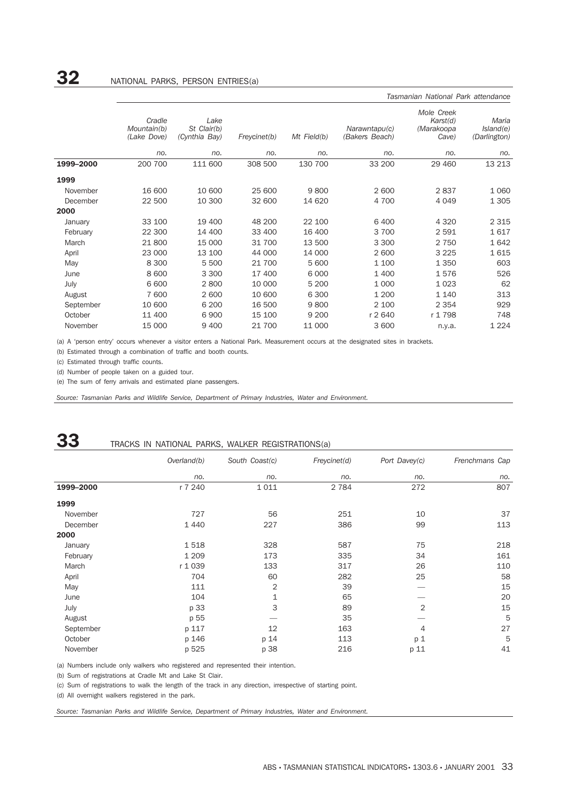|           |                                      | Tasmanian National Park attendance   |              |             |                                 |                                               |                                    |  |  |  |  |  |
|-----------|--------------------------------------|--------------------------------------|--------------|-------------|---------------------------------|-----------------------------------------------|------------------------------------|--|--|--|--|--|
|           | Cradle<br>Mountain(b)<br>(Lake Dove) | Lake<br>St Clair(b)<br>(Cynthia Bay) | Freycinet(b) | Mt Field(b) | Narawntapu(c)<br>(Bakers Beach) | Mole Creek<br>Karst(d)<br>(Marakoopa<br>Cave) | Maria<br>Island(e)<br>(Darlington) |  |  |  |  |  |
|           | no.                                  | no.                                  | no.          | no.         | no.                             | no.                                           | no.                                |  |  |  |  |  |
| 1999-2000 | 200 700                              | 111 600                              | 308 500      | 130 700     | 33 200                          | 29 460                                        | 13 213                             |  |  |  |  |  |
| 1999      |                                      |                                      |              |             |                                 |                                               |                                    |  |  |  |  |  |
| November  | 16 600                               | 10 600                               | 25 600       | 9800        | 2 600                           | 2837                                          | 1 0 6 0                            |  |  |  |  |  |
| December  | 22 500                               | 10 300                               | 32 600       | 14 6 20     | 4 700                           | 4 0 4 9                                       | 1 3 0 5                            |  |  |  |  |  |
| 2000      |                                      |                                      |              |             |                                 |                                               |                                    |  |  |  |  |  |
| January   | 33 100                               | 19 400                               | 48 200       | 22 100      | 6 4 0 0                         | 4 3 2 0                                       | 2 3 1 5                            |  |  |  |  |  |
| February  | 22 300                               | 14 400                               | 33 400       | 16 400      | 3 700                           | 2 5 9 1                                       | 1617                               |  |  |  |  |  |
| March     | 21 800                               | 15 000                               | 31 700       | 13 500      | 3 3 0 0                         | 2 7 5 0                                       | 1642                               |  |  |  |  |  |
| April     | 23 000                               | 13 100                               | 44 000       | 14 000      | 2 600                           | 3 2 2 5                                       | 1615                               |  |  |  |  |  |
| May       | 8 3 0 0                              | 5 500                                | 21 700       | 5 600       | 1 100                           | 1 3 5 0                                       | 603                                |  |  |  |  |  |
| June      | 8 600                                | 3 3 0 0                              | 17 400       | 6 0 0 0     | 1 400                           | 1576                                          | 526                                |  |  |  |  |  |
| July      | 6 600                                | 2800                                 | 10 000       | 5 200       | 1 0 0 0                         | 1 0 2 3                                       | 62                                 |  |  |  |  |  |
| August    | 7 600                                | 2 600                                | 10 600       | 6 3 0 0     | 1 200                           | 1 1 4 0                                       | 313                                |  |  |  |  |  |
| September | 10 600                               | 6 200                                | 16 500       | 9800        | 2 100                           | 2 3 5 4                                       | 929                                |  |  |  |  |  |
| October   | 11 400                               | 6900                                 | 15 100       | 9 2 0 0     | r 2 640                         | r 1 798                                       | 748                                |  |  |  |  |  |
| November  | 15 000                               | 9 4 0 0                              | 21 700       | 11 000      | 3 600                           | n.y.a.                                        | 1 2 2 4                            |  |  |  |  |  |

(a) A 'person entry' occurs whenever a visitor enters a National Park. Measurement occurs at the designated sites in brackets.

(b) Estimated through a combination of traffic and booth counts.

(c) Estimated through traffic counts.

(d) Number of people taken on a guided tour.

(e) The sum of ferry arrivals and estimated plane passengers.

*Source: Tasmanian Parks and Wildlife Service, Department of Primary Industries, Water and Environment.*

|           | TRACKS IN NATIONAL PARKS, WALKER REGISTRATIONS(a) |                |              |                |                |  |  |  |  |
|-----------|---------------------------------------------------|----------------|--------------|----------------|----------------|--|--|--|--|
|           | Overland(b)                                       | South Coast(c) | Freycinet(d) | Port Davey(c)  | Frenchmans Cap |  |  |  |  |
|           | no.                                               | no.            | no.          | no.            | no.            |  |  |  |  |
| 1999-2000 | r 7 240                                           | 1011           | 2 7 8 4      | 272            | 807            |  |  |  |  |
| 1999      |                                                   |                |              |                |                |  |  |  |  |
| November  | 727                                               | 56             | 251          | 10             | 37             |  |  |  |  |
| December  | 1 4 4 0                                           | 227            | 386          | 99             | 113            |  |  |  |  |
| 2000      |                                                   |                |              |                |                |  |  |  |  |
| January   | 1518                                              | 328            | 587          | 75             | 218            |  |  |  |  |
| February  | 1 2 0 9                                           | 173            | 335          | 34             | 161            |  |  |  |  |
| March     | r 1 039                                           | 133            | 317          | 26             | 110            |  |  |  |  |
| April     | 704                                               | 60             | 282          | 25             | 58             |  |  |  |  |
| May       | 111                                               | 2              | 39           |                | 15             |  |  |  |  |
| June      | 104                                               | 1              | 65           |                | 20             |  |  |  |  |
| July      | p 33                                              | 3              | 89           | $\overline{2}$ | 15             |  |  |  |  |
| August    | p 55                                              |                | 35           |                | 5              |  |  |  |  |
| September | p 117                                             | 12             | 163          | 4              | 27             |  |  |  |  |
| October   | p 146                                             | p 14           | 113          | p <sub>1</sub> | 5              |  |  |  |  |
| November  | p 525                                             | p 38           | 216          | p 11           | 41             |  |  |  |  |

(a) Numbers include only walkers who registered and represented their intention.

(b) Sum of registrations at Cradle Mt and Lake St Clair.

(c) Sum of registrations to walk the length of the track in any direction, irrespective of starting point.

(d) All overnight walkers registered in the park.

*Source: Tasmanian Parks and Wildlife Service, Department of Primary Industries, Water and Environment.*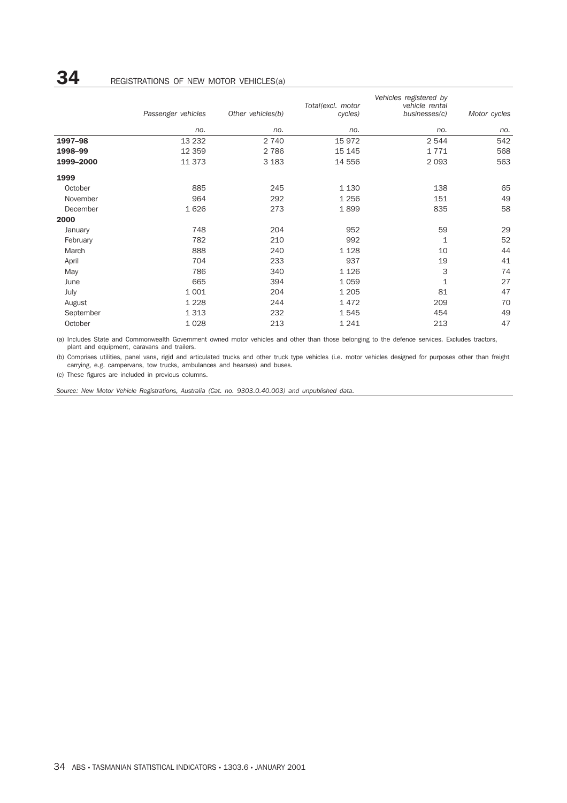|           |                    |                   |                   | Vehicles registered by |              |  |  |  |
|-----------|--------------------|-------------------|-------------------|------------------------|--------------|--|--|--|
|           |                    |                   | Total(excl. motor | vehicle rental         |              |  |  |  |
|           | Passenger vehicles | Other vehicles(b) | cycles)           | businesses(c)          | Motor cycles |  |  |  |
|           | no.                | no.               | no.               | no.                    | no.          |  |  |  |
| 1997-98   | 13 2 32            | 2 7 4 0           | 15 972            | 2 5 4 4                | 542          |  |  |  |
| 1998-99   | 12 3 5 9           | 2 7 8 6           | 15 145            | 1771                   | 568          |  |  |  |
| 1999-2000 | 11 373             | 3 1 8 3           | 14 556            | 2 0 9 3                | 563          |  |  |  |
| 1999      |                    |                   |                   |                        |              |  |  |  |
| October   | 885                | 245               | 1 1 3 0           | 138                    | 65           |  |  |  |
| November  | 964                | 292               | 1 2 5 6           | 151                    | 49           |  |  |  |
| December  | 1626               | 273               | 1899              | 835                    | 58           |  |  |  |
| 2000      |                    |                   |                   |                        |              |  |  |  |
| January   | 748                | 204               | 952               | 59                     | 29           |  |  |  |
| February  | 782                | 210               | 992               | 1                      | 52           |  |  |  |
| March     | 888                | 240               | 1 1 2 8           | 10                     | 44           |  |  |  |
| April     | 704                | 233               | 937               | 19                     | 41           |  |  |  |
| May       | 786                | 340               | 1 1 2 6           | 3                      | 74           |  |  |  |
| June      | 665                | 394               | 1 0 5 9           | $\mathbf{1}$           | 27           |  |  |  |
| July      | 1 0 0 1            | 204               | 1 2 0 5           | 81                     | 47           |  |  |  |
| August    | 1 2 2 8            | 244               | 1472              | 209                    | 70           |  |  |  |
| September | 1 3 1 3            | 232               | 1545              | 454                    | 49           |  |  |  |
| October   | 1028               | 213               | 1 2 4 1           | 213                    | 47           |  |  |  |

(a) Includes State and Commonwealth Government owned motor vehicles and other than those belonging to the defence services. Excludes tractors, plant and equipment, caravans and trailers.

(b) Comprises utilities, panel vans, rigid and articulated trucks and other truck type vehicles (i.e. motor vehicles designed for purposes other than freight carrying, e.g. campervans, tow trucks, ambulances and hearses) and buses.

(c) These figures are included in previous columns.

*Source: New Motor Vehicle Registrations, Australia (Cat. no. 9303.0.40.003) and unpublished data.*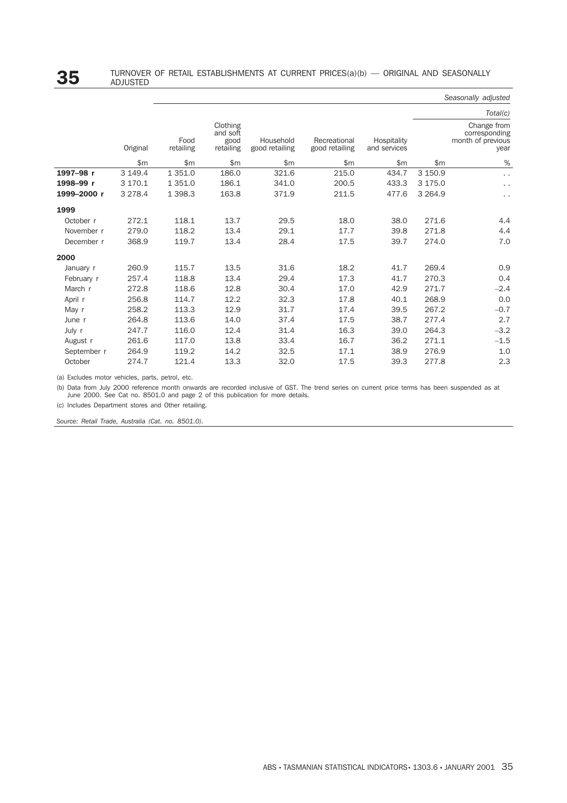|             |           |                   |                                           |                             |                                |                             |              | Seasonally adjusted                                       |
|-------------|-----------|-------------------|-------------------------------------------|-----------------------------|--------------------------------|-----------------------------|--------------|-----------------------------------------------------------|
|             |           |                   |                                           |                             |                                |                             |              | Total(c)                                                  |
|             | Original  | Food<br>retailing | Clothing<br>and soft<br>good<br>retailing | Household<br>good retailing | Recreational<br>good retailing | Hospitality<br>and services |              | Change from<br>corresponding<br>month of previous<br>year |
|             | \$m       | \$m\$             | \$m\$                                     | \$m                         | \$m\$                          | \$m\$                       | $\mathsf{m}$ | $\%$                                                      |
| 1997-98 r   | 3 149.4   | 1 3 5 1.0         | 186.0                                     | 321.6                       | 215.0                          | 434.7                       | 3 150.9      | $\ddot{\phantom{0}}$                                      |
| 1998-99 r   | 3 170.1   | 1 3 5 1 . 0       | 186.1                                     | 341.0                       | 200.5                          | 433.3                       | 3 175.0      | $\epsilon$ .                                              |
| 1999-2000 r | 3 2 7 8.4 | 1 3 9 8.3         | 163.8                                     | 371.9                       | 211.5                          | 477.6                       | 3 2 6 4 .9   | $\ddot{\phantom{0}}$                                      |
| 1999        |           |                   |                                           |                             |                                |                             |              |                                                           |
| October r   | 272.1     | 118.1             | 13.7                                      | 29.5                        | 18.0                           | 38.0                        | 271.6        | 4.4                                                       |
| November r  | 279.0     | 118.2             | 13.4                                      | 29.1                        | 17.7                           | 39.8                        | 271.8        | 4.4                                                       |
| December r  | 368.9     | 119.7             | 13.4                                      | 28.4                        | 17.5                           | 39.7                        | 274.0        | 7.0                                                       |
| 2000        |           |                   |                                           |                             |                                |                             |              |                                                           |
| January r   | 260.9     | 115.7             | 13.5                                      | 31.6                        | 18.2                           | 41.7                        | 269.4        | 0.9                                                       |
| February r  | 257.4     | 118.8             | 13.4                                      | 29.4                        | 17.3                           | 41.7                        | 270.3        | 0.4                                                       |
| March r     | 272.8     | 118.6             | 12.8                                      | 30.4                        | 17.0                           | 42.9                        | 271.7        | $-2.4$                                                    |
| April r     | 256.8     | 114.7             | 12.2                                      | 32.3                        | 17.8                           | 40.1                        | 268.9        | 0.0                                                       |
| May r       | 258.2     | 113.3             | 12.9                                      | 31.7                        | 17.4                           | 39.5                        | 267.2        | $-0.7$                                                    |
| June r      | 264.8     | 113.6             | 14.0                                      | 37.4                        | 17.5                           | 38.7                        | 277.4        | 2.7                                                       |
| July r      | 247.7     | 116.0             | 12.4                                      | 31.4                        | 16.3                           | 39.0                        | 264.3        | $-3.2$                                                    |
| August r    | 261.6     | 117.0             | 13.8                                      | 33.4                        | 16.7                           | 36.2                        | 271.1        | $-1.5$                                                    |
| September r | 264.9     | 119.2             | 14.2                                      | 32.5                        | 17.1                           | 38.9                        | 276.9        | 1.0                                                       |
| October     | 274.7     | 121.4             | 13.3                                      | 32.0                        | 17.5                           | 39.3                        | 277.8        | 2.3                                                       |

(a) Excludes motor vehicles, parts, petrol, etc.

(b) Data from July 2000 reference month onwards are recorded inclusive of GST. The trend series on current price terms has been suspended as at June 2000. See Cat no. 8501.0 and page 2 of this publication for more details.

(c) Includes Department stores and Other retailing.

*Source: Retail Trade, Australia (Cat. no. 8501.0).*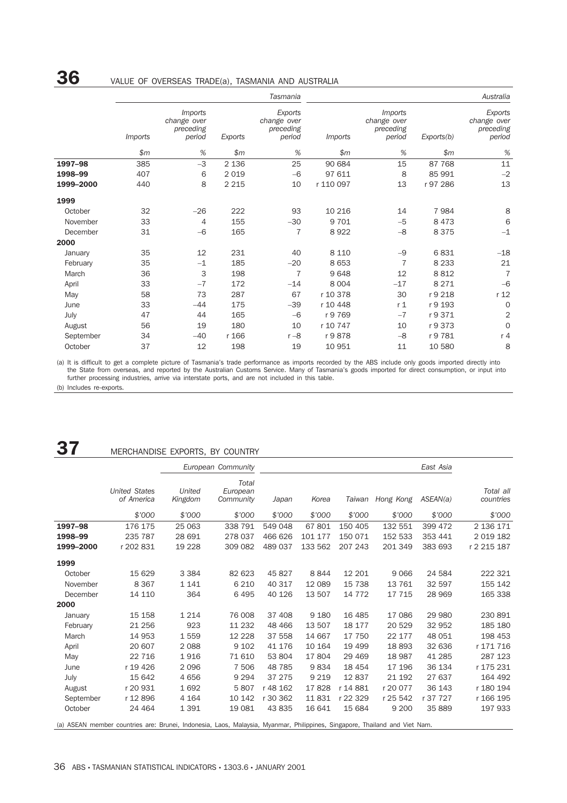# **36** VALUE OF OVERSEAS TRADE(a), TASMANIA AND AUSTRALIA

|           | Tasmania       |                                                      |         | Australia                                     |                |                                                      |            |                                               |
|-----------|----------------|------------------------------------------------------|---------|-----------------------------------------------|----------------|------------------------------------------------------|------------|-----------------------------------------------|
|           | <i>Imports</i> | <i>Imports</i><br>change over<br>preceding<br>period | Exports | Exports<br>change over<br>preceding<br>period | <i>Imports</i> | <i>Imports</i><br>change over<br>preceding<br>period | Exports(b) | Exports<br>change over<br>preceding<br>period |
|           | \$m\$          | %                                                    | \$m\$   | $\%$                                          | \$m\$          | $\%$                                                 | \$m\$      | $\%$                                          |
| 1997-98   | 385            | $-3$                                                 | 2 1 3 6 | 25                                            | 90 684         | 15                                                   | 87 768     | 11                                            |
| 1998-99   | 407            | 6                                                    | 2 0 1 9 | $-6$                                          | 97 611         | 8                                                    | 85 991     | $-2$                                          |
| 1999-2000 | 440            | 8                                                    | 2 2 1 5 | 10                                            | r 110 097      | 13                                                   | r 97 286   | 13                                            |
| 1999      |                |                                                      |         |                                               |                |                                                      |            |                                               |
| October   | 32             | $-26$                                                | 222     | 93                                            | 10 216         | 14                                                   | 7984       | 8                                             |
| November  | 33             | 4                                                    | 155     | $-30$                                         | 9 7 0 1        | $-5$                                                 | 8473       | 6                                             |
| December  | 31             | $-6$                                                 | 165     | $\overline{7}$                                | 8922           | $-8$                                                 | 8 3 7 5    | $-1$                                          |
| 2000      |                |                                                      |         |                                               |                |                                                      |            |                                               |
| January   | 35             | 12                                                   | 231     | 40                                            | 8 1 1 0        | $-9$                                                 | 6831       | $-18$                                         |
| February  | 35             | $-1$                                                 | 185     | $-20$                                         | 8 6 5 3        | $\overline{7}$                                       | 8 2 3 3    | 21                                            |
| March     | 36             | 3                                                    | 198     | $\overline{7}$                                | 9648           | 12                                                   | 8812       | $\overline{7}$                                |
| April     | 33             | $-7$                                                 | 172     | $-14$                                         | 8 0 0 4        | $-17$                                                | 8 2 7 1    | $-6$                                          |
| May       | 58             | 73                                                   | 287     | 67                                            | r 10 378       | 30                                                   | r 9 218    | r 12                                          |
| June      | 33             | $-44$                                                | 175     | $-39$                                         | r 10 448       | r <sub>1</sub>                                       | r 9 193    | 0                                             |
| July      | 47             | 44                                                   | 165     | $-6$                                          | r 9 769        | $-7$                                                 | r 9 371    | $\overline{2}$                                |
| August    | 56             | 19                                                   | 180     | 10                                            | r 10 747       | 10                                                   | r 9 373    | 0                                             |
| September | 34             | $-40$                                                | r 166   | $r - 8$                                       | r 9878         | $-8$                                                 | r 9 781    | r 4                                           |
| October   | 37             | 12                                                   | 198     | 19                                            | 10 951         | 11                                                   | 10 580     | 8                                             |

(a) It is difficult to get a complete picture of Tasmania's trade performance as imports recorded by the ABS include only goods imported directly into the State from overseas, and reported by the Australian Customs Service. Many of Tasmania's goods imported for direct consumption, or input into further processing industries, arrive via interstate ports, and are not included in this table.

(b) Includes re-exports.

# **37** MERCHANDISE EXPORTS, BY COUNTRY

|           |                                                                                                                            |                   | European Community             |          | East Asia |          |           |          |                        |
|-----------|----------------------------------------------------------------------------------------------------------------------------|-------------------|--------------------------------|----------|-----------|----------|-----------|----------|------------------------|
|           | <b>United States</b><br>of America                                                                                         | United<br>Kingdom | Total<br>European<br>Community | Japan    | Korea     | Taiwan   | Hong Kong | ASEAN(a) | Total all<br>countries |
|           | \$'000                                                                                                                     | \$7000            | \$'000                         | \$'000   | \$7000    | \$'000   | \$7000    | \$7000   | \$'000                 |
| 1997-98   | 176 175                                                                                                                    | 25 063            | 338 791                        | 549 048  | 67801     | 150 405  | 132 551   | 399 472  | 2 136 171              |
| 1998-99   | 235 787                                                                                                                    | 28 691            | 278 037                        | 466 626  | 101 177   | 150 071  | 152 533   | 353 441  | 2 0 1 9 1 8 2          |
| 1999-2000 | r 202 831                                                                                                                  | 19 228            | 309 082                        | 489 037  | 133 562   | 207 243  | 201 349   | 383 693  | r 2 215 187            |
| 1999      |                                                                                                                            |                   |                                |          |           |          |           |          |                        |
| October   | 15 629                                                                                                                     | 3 3 8 4           | 82 623                         | 45 827   | 8844      | 12 201   | 9066      | 24 584   | 222 321                |
| November  | 8 3 6 7                                                                                                                    | 1 1 4 1           | 6 2 1 0                        | 40 317   | 12 089    | 15 738   | 13 761    | 32 597   | 155 142                |
| December  | 14 110                                                                                                                     | 364               | 6 4 9 5                        | 40 126   | 13 507    | 14 772   | 17 715    | 28 969   | 165 338                |
| 2000      |                                                                                                                            |                   |                                |          |           |          |           |          |                        |
| January   | 15 158                                                                                                                     | 1 2 1 4           | 76 008                         | 37 408   | 9 1 8 0   | 16 485   | 17 086    | 29 980   | 230 891                |
| February  | 21 25 6                                                                                                                    | 923               | 11 232                         | 48 4 66  | 13 507    | 18 177   | 20 5 29   | 32 952   | 185 180                |
| March     | 14 953                                                                                                                     | 1559              | 12 2 2 8                       | 37 558   | 14 667    | 17 750   | 22 177    | 48 051   | 198 453                |
| April     | 20 607                                                                                                                     | 2 0 8 8           | 9 1 0 2                        | 41 176   | 10 164    | 19 4 99  | 18 893    | 32 636   | r 171 716              |
| May       | 22 7 16                                                                                                                    | 1916              | 71 610                         | 53 804   | 17804     | 29 4 69  | 18 987    | 41 285   | 287 123                |
| June      | r 19 426                                                                                                                   | 2096              | 7 506                          | 48 785   | 9834      | 18 454   | 17 196    | 36 134   | r 175 231              |
| July      | 15 642                                                                                                                     | 4656              | 9 2 9 4                        | 37 275   | 9 2 1 9   | 12837    | 21 192    | 27 637   | 164 492                |
| August    | r 20 931                                                                                                                   | 1692              | 5807                           | r 48 162 | 17828     | r 14 881 | r 20 077  | 36 143   | r 180 194              |
| September | r 12 896                                                                                                                   | 4 1 6 4           | 10 142                         | r 30 362 | 11831     | r 22 329 | r 25 542  | r 37 727 | r 166 195              |
| October   | 24 4 64                                                                                                                    | 1 3 9 1           | 19 081                         | 43 835   | 16 641    | 15 684   | 9 2 0 0   | 35 889   | 197 933                |
|           | (a) ASEAN member countries are: Brunei, Indonesia, Laos, Malaysia, Myanmar, Philippines, Singapore, Thailand and Viet Nam. |                   |                                |          |           |          |           |          |                        |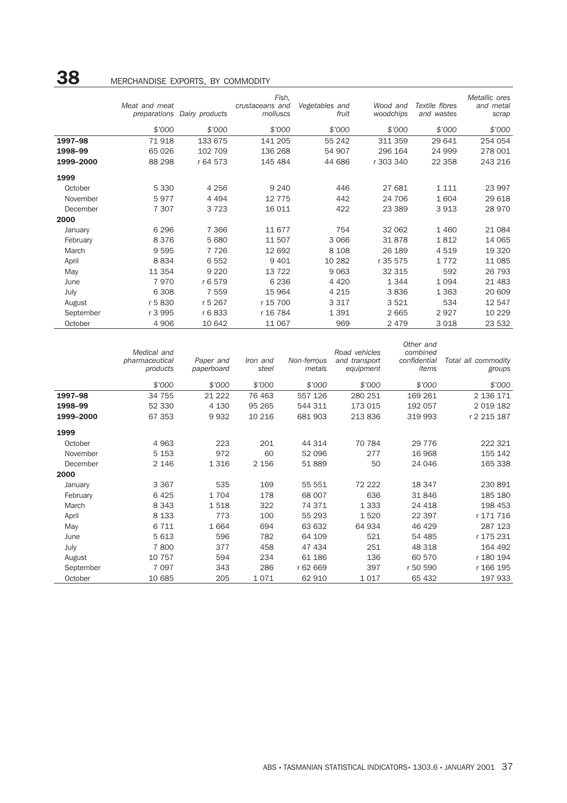# **38** MERCHANDISE EXPORTS, BY COMMODITY

|           |               |                             | Fish,                       |                         |                       |                              | Metallic ores      |
|-----------|---------------|-----------------------------|-----------------------------|-------------------------|-----------------------|------------------------------|--------------------|
|           | Meat and meat | preparations Dairy products | crustaceans and<br>molluscs | Vegetables and<br>fruit | Wood and<br>woodchips | Textile fibres<br>and wastes | and metal<br>scrap |
|           |               |                             |                             |                         |                       |                              |                    |
|           | \$'000        | \$'000                      | \$'000                      | \$'000                  | \$'000                | \$'000                       | \$'000             |
| 1997-98   | 71918         | 133 675                     | 141 205                     | 55 242                  | 311 359               | 29 641                       | 254 054            |
| 1998-99   | 65 0 26       | 102 709                     | 136 268                     | 54 907                  | 296 164               | 24 999                       | 278 001            |
| 1999-2000 | 88 298        | r 64 573                    | 145 484                     | 44 686                  | r 303 340             | 22 3 5 8                     | 243 216            |
| 1999      |               |                             |                             |                         |                       |                              |                    |
| October   | 5 3 3 0       | 4 2 5 6                     | 9 2 4 0                     | 446                     | 27 681                | 1 1 1 1                      | 23 997             |
| November  | 5977          | 4 4 9 4                     | 12 7 7 5                    | 442                     | 24 706                | 1 604                        | 29 618             |
| December  | 7 3 0 7       | 3 7 2 3                     | 16 011                      | 422                     | 23 389                | 3913                         | 28 970             |
| 2000      |               |                             |                             |                         |                       |                              |                    |
| January   | 6 2 9 6       | 7 3 6 6                     | 11 677                      | 754                     | 32 062                | 1 4 6 0                      | 21 084             |
| February  | 8376          | 5 6 8 0                     | 11 507                      | 3 0 6 6                 | 31878                 | 1812                         | 14 065             |
| March     | 9595          | 7 7 2 6                     | 12 692                      | 8 1 0 8                 | 26 189                | 4 5 1 9                      | 19 320             |
| April     | 8834          | 6 5 5 2                     | 9 4 0 1                     | 10 282                  | r 35 575              | 1 7 7 2                      | 11 085             |
| May       | 11 3 5 4      | 9 2 2 0                     | 13 7 22                     | 9 0 6 3                 | 32 315                | 592                          | 26 793             |
| June      | 7970          | r 6 579                     | 6 2 3 6                     | 4 4 2 0                 | 1344                  | 1 0 9 4                      | 21 483             |
| July      | 6 3 0 8       | 7 5 5 9                     | 15 964                      | 4 2 1 5                 | 3836                  | 1 3 6 3                      | 20 609             |
| August    | r 5830        | r 5 267                     | r 15 700                    | 3 3 1 7                 | 3521                  | 534                          | 12 547             |
| September | r 3 995       | r 6 833                     | r 16 784                    | 1 3 9 1                 | 2 6 6 5               | 2927                         | 10 229             |
| October   | 4 9 0 6       | 10 642                      | 11 067                      | 969                     | 2 4 7 9               | 3 0 18                       | 23 532             |

|           | Medical and<br>pharmaceutical<br>products | Paper and<br>paperboard | Iron and<br>steel | Non-ferrous<br>metals | Road vehicles<br>and transport<br>equipment | Other and<br>combined<br>confidential<br>items | Total all commodity<br>groups |
|-----------|-------------------------------------------|-------------------------|-------------------|-----------------------|---------------------------------------------|------------------------------------------------|-------------------------------|
|           | \$'000                                    | \$'000                  | \$'000            | \$'000                | \$'000                                      | \$'000                                         | \$7000                        |
| 1997-98   | 34 755                                    | 21 2 22                 | 76 463            | 557 126               | 280 251                                     | 169 261                                        | 2 136 171                     |
| 1998-99   | 52 330                                    | 4 1 3 0                 | 95 265            | 544 311               | 173 015                                     | 192 057                                        | 2 0 1 9 1 8 2                 |
| 1999-2000 | 67 353                                    | 9932                    | 10 216            | 681 903               | 213 836                                     | 319 993                                        | r 2 215 187                   |
| 1999      |                                           |                         |                   |                       |                                             |                                                |                               |
| October   | 4 9 6 3                                   | 223                     | 201               | 44 314                | 70 784                                      | 29 7 7 6                                       | 222 321                       |
| November  | 5 1 5 3                                   | 972                     | 60                | 52 096                | 277                                         | 16 968                                         | 155 142                       |
| December  | 2 1 4 6                                   | 1 3 1 6                 | 2 1 5 6           | 51889                 | 50                                          | 24 046                                         | 165 338                       |
| 2000      |                                           |                         |                   |                       |                                             |                                                |                               |
| January   | 3 3 6 7                                   | 535                     | 169               | 55 551                | 72 222                                      | 18 347                                         | 230 891                       |
| February  | 6425                                      | 1704                    | 178               | 68 007                | 636                                         | 31 846                                         | 185 180                       |
| March     | 8 3 4 3                                   | 1518                    | 322               | 74 371                | 1 3 3 3                                     | 24 4 18                                        | 198 453                       |
| April     | 8 1 3 3                                   | 773                     | 100               | 55 293                | 1520                                        | 22 397                                         | r 171 716                     |
| May       | 6 7 1 1                                   | 1664                    | 694               | 63 632                | 64 934                                      | 46 429                                         | 287 123                       |
| June      | 5 6 1 3                                   | 596                     | 782               | 64 109                | 521                                         | 54 485                                         | r 175 231                     |
| July      | 7800                                      | 377                     | 458               | 47 434                | 251                                         | 48 318                                         | 164 492                       |
| August    | 10 757                                    | 594                     | 234               | 61 186                | 136                                         | 60 570                                         | r 180 194                     |
| September | 7 0 9 7                                   | 343                     | 286               | r 62 669              | 397                                         | r 50 590                                       | r 166 195                     |
| October   | 10 685                                    | 205                     | 1071              | 62 910                | 1017                                        | 65 432                                         | 197 933                       |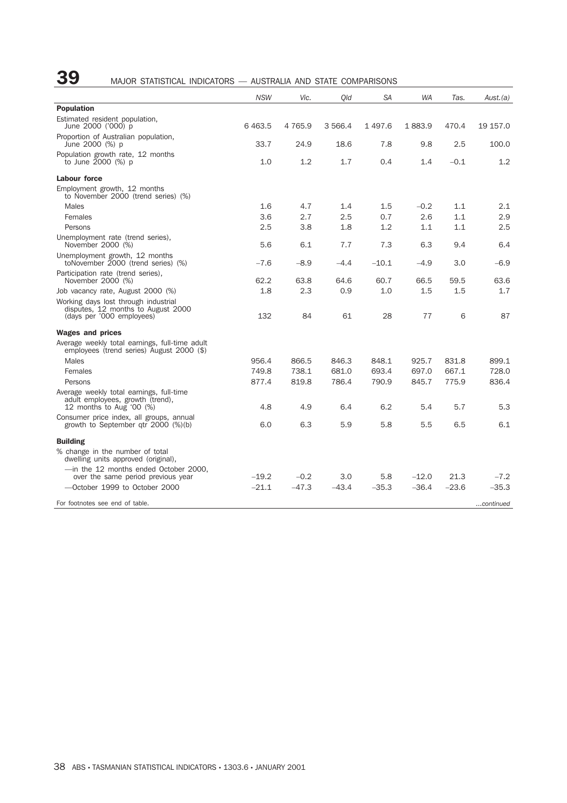# **39** MAJOR STATISTICAL INDICATORS — AUSTRALIA AND STATE COMPARISONS

|                                                                                                          | <b>NSW</b> | Vic.       | Old     | <b>SA</b> | <b>WA</b> | Tas.    | Aust.(a)  |
|----------------------------------------------------------------------------------------------------------|------------|------------|---------|-----------|-----------|---------|-----------|
| <b>Population</b>                                                                                        |            |            |         |           |           |         |           |
| Estimated resident population,<br>June 2000 ('000) p                                                     | 6463.5     | 4 7 6 5 .9 | 3 566.4 | 1497.6    | 1883.9    | 470.4   | 19 157.0  |
| Proportion of Australian population,<br>June 2000 (%) p                                                  | 33.7       | 24.9       | 18.6    | 7.8       | 9.8       | 2.5     | 100.0     |
| Population growth rate, 12 months<br>to June $2000$ (%) p                                                | 1.0        | 1.2        | 1.7     | 0.4       | 1.4       | $-0.1$  | 1.2       |
| Labour force                                                                                             |            |            |         |           |           |         |           |
| Employment growth, 12 months<br>to November 2000 (trend series) (%)                                      |            |            |         |           |           |         |           |
| Males                                                                                                    | 1.6        | 4.7        | 1.4     | 1.5       | $-0.2$    | 1.1     | 2.1       |
| Females                                                                                                  | 3.6        | 2.7        | 2.5     | 0.7       | 2.6       | 1.1     | 2.9       |
| Persons                                                                                                  | 2.5        | 3.8        | 1.8     | 1.2       | 1.1       | 1.1     | 2.5       |
| Unemployment rate (trend series),<br>November 2000 (%)                                                   | 5.6        | 6.1        | 7.7     | 7.3       | 6.3       | 9.4     | 6.4       |
| Unemployment growth, 12 months<br>toNovember 2000 (trend series) (%)                                     | $-7.6$     | $-8.9$     | $-4.4$  | $-10.1$   | $-4.9$    | 3.0     | -6.9      |
| Participation rate (trend series),<br>November 2000 (%)                                                  | 62.2       | 63.8       | 64.6    | 60.7      | 66.5      | 59.5    | 63.6      |
| Job vacancy rate, August 2000 (%)                                                                        | 1.8        | 2.3        | 0.9     | 1.0       | 1.5       | 1.5     | 1.7       |
| Working days lost through industrial<br>disputes, 12 months to August 2000<br>(days per '000 employees)  | 132        | 84         | 61      | 28        | 77        | 6       | 87        |
| <b>Wages and prices</b>                                                                                  |            |            |         |           |           |         |           |
| Average weekly total earnings, full-time adult<br>employees (trend series) August 2000 (\$)              |            |            |         |           |           |         |           |
| Males                                                                                                    | 956.4      | 866.5      | 846.3   | 848.1     | 925.7     | 831.8   | 899.1     |
| Females                                                                                                  | 749.8      | 738.1      | 681.0   | 693.4     | 697.0     | 667.1   | 728.0     |
| Persons                                                                                                  | 877.4      | 819.8      | 786.4   | 790.9     | 845.7     | 775.9   | 836.4     |
| Average weekly total earnings, full-time<br>adult employees, growth (trend),<br>12 months to Aug '00 (%) | 4.8        | 4.9        | 6.4     | 6.2       | 5.4       | 5.7     | 5.3       |
| Consumer price index, all groups, annual                                                                 |            |            |         |           |           |         |           |
| growth to September gtr 2000 (%)(b)                                                                      | 6.0        | 6.3        | 5.9     | 5.8       | 5.5       | 6.5     | 6.1       |
| <b>Building</b>                                                                                          |            |            |         |           |           |         |           |
| % change in the number of total<br>dwelling units approved (original),                                   |            |            |         |           |           |         |           |
| —in the 12 months ended October 2000,<br>over the same period previous year                              | $-19.2$    | $-0.2$     | 3.0     | 5.8       | $-12.0$   | 21.3    | $-7.2$    |
| -October 1999 to October 2000                                                                            | $-21.1$    | $-47.3$    | $-43.4$ | $-35.3$   | $-36.4$   | $-23.6$ | $-35.3$   |
| For footnotes see end of table.                                                                          |            |            |         |           |           |         | continued |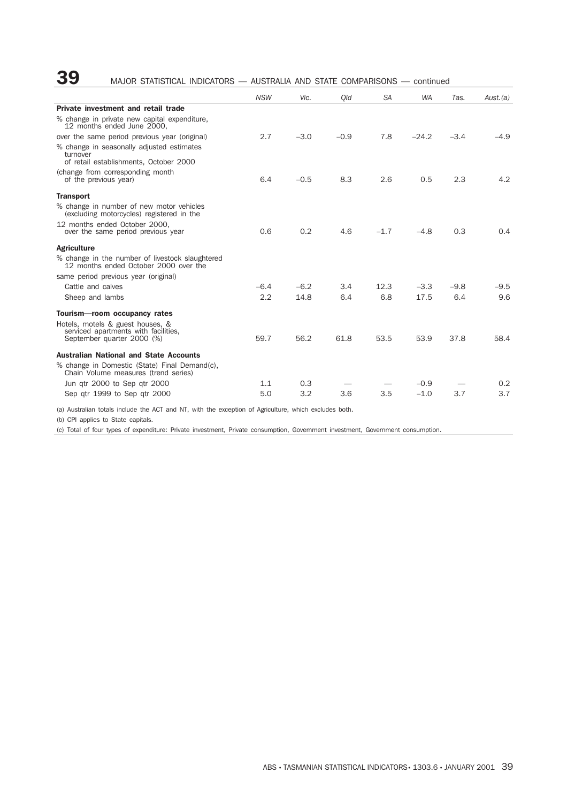## **39** MAJOR STATISTICAL INDICATORS — AUSTRALIA AND STATE COMPARISONS — continued

|                                                                                                 | <b>NSW</b> | Vic.   | Old    | <b>SA</b> | <b>WA</b> | Tas.   | Aust.(a) |
|-------------------------------------------------------------------------------------------------|------------|--------|--------|-----------|-----------|--------|----------|
| Private investment and retail trade                                                             |            |        |        |           |           |        |          |
| % change in private new capital expenditure,<br>12 months ended June 2000.                      |            |        |        |           |           |        |          |
| over the same period previous year (original)                                                   | 2.7        | $-3.0$ | $-0.9$ | 7.8       | $-24.2$   | $-3.4$ | $-4.9$   |
| % change in seasonally adjusted estimates<br>turnover<br>of retail establishments, October 2000 |            |        |        |           |           |        |          |
| (change from corresponding month<br>of the previous year)                                       | 6.4        | $-0.5$ | 8.3    | 2.6       | 0.5       | 2.3    | 4.2      |
| <b>Transport</b>                                                                                |            |        |        |           |           |        |          |
| % change in number of new motor vehicles<br>(excluding motorcycles) registered in the           |            |        |        |           |           |        |          |
| 12 months ended October 2000.<br>over the same period previous year                             | 0.6        | 0.2    | 4.6    | $-1.7$    | $-4.8$    | 0.3    | 0.4      |
| <b>Agriculture</b>                                                                              |            |        |        |           |           |        |          |
| % change in the number of livestock slaughtered<br>12 months ended October 2000 over the        |            |        |        |           |           |        |          |
| same period previous year (original)                                                            |            |        |        |           |           |        |          |
| Cattle and calves                                                                               | $-6.4$     | $-6.2$ | 3.4    | 12.3      | $-3.3$    | $-9.8$ | $-9.5$   |
| Sheep and lambs                                                                                 | 2.2        | 14.8   | 6.4    | 6.8       | 17.5      | 6.4    | 9.6      |
| Tourism-room occupancy rates                                                                    |            |        |        |           |           |        |          |
| Hotels, motels & guest houses, &                                                                |            |        |        |           |           |        |          |
| serviced apartments with facilities.<br>September quarter 2000 (%)                              | 59.7       | 56.2   | 61.8   | 53.5      | 53.9      | 37.8   | 58.4     |
| <b>Australian National and State Accounts</b><br>% change in Domestic (State) Final Demand(c),  |            |        |        |           |           |        |          |
| Chain Volume measures (trend series)                                                            |            |        |        |           |           |        |          |
| Jun gtr 2000 to Sep gtr 2000                                                                    | 1.1        | 0.3    |        |           | $-0.9$    |        | 0.2      |
| Sep gtr 1999 to Sep gtr 2000                                                                    | 5.0        | 3.2    | 3.6    | 3.5       | $-1.0$    | 3.7    | 3.7      |

(a) Australian totals include the ACT and NT, with the exception of Agriculture, which excludes both.

(b) CPI applies to State capitals.

(c) Total of four types of expenditure: Private investment, Private consumption, Government investment, Government consumption.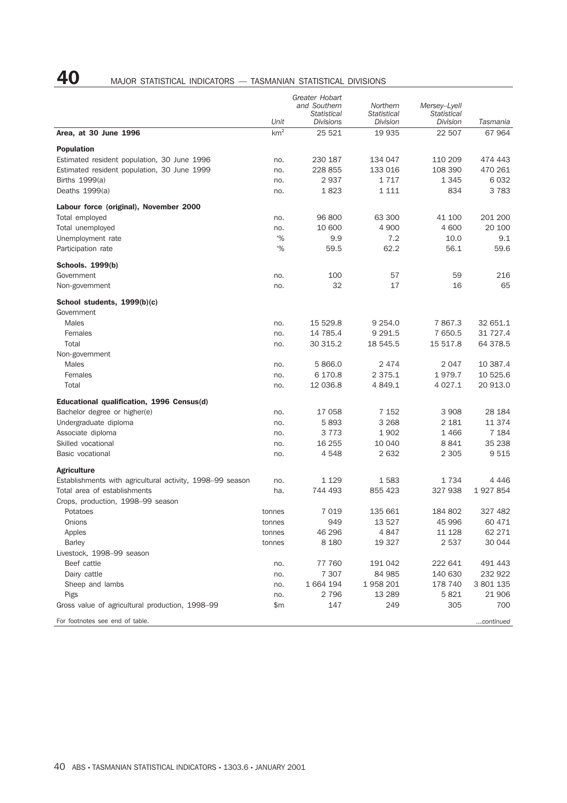# **40** MAJOR STATISTICAL INDICATORS — TASMANIAN STATISTICAL DIVISIONS

|                                                           |                         | Greater Hobart<br>and Southern<br><b>Statistical</b> | Northern<br><b>Statistical</b> | Mersey-Lyell<br><b>Statistical</b> |                    |
|-----------------------------------------------------------|-------------------------|------------------------------------------------------|--------------------------------|------------------------------------|--------------------|
| Area, at 30 June 1996                                     | Unit<br>km <sup>2</sup> | <b>Divisions</b><br>25 5 21                          | Division<br>19 935             | Division<br>22 507                 | Tasmania<br>67 964 |
|                                                           |                         |                                                      |                                |                                    |                    |
| <b>Population</b>                                         |                         |                                                      |                                |                                    |                    |
| Estimated resident population, 30 June 1996               | no.                     | 230 187                                              | 134 047                        | 110 209                            | 474 443            |
| Estimated resident population, 30 June 1999               | no.                     | 228 855                                              | 133 016                        | 108 390                            | 470 261            |
| Births 1999(a)                                            | no.                     | 2937                                                 | 1717                           | 1 3 4 5                            | 6 0 3 2            |
| Deaths $1999(a)$                                          | no.                     | 1823                                                 | 1 1 1 1                        | 834                                | 3 7 8 3            |
| Labour force (original), November 2000                    |                         |                                                      |                                |                                    |                    |
| Total employed                                            | no.                     | 96 800                                               | 63 300                         | 41 100                             | 201 200            |
| Total unemployed                                          | no.                     | 10 600                                               | 4 9 0 0                        | 4 600                              | 20 100             |
| Unemployment rate                                         | $\frac{10}{6}$          | 9.9                                                  | 7.2                            | 10.0                               | 9.1                |
| Participation rate                                        | $\frac{10}{6}$          | 59.5                                                 | 62.2                           | 56.1                               | 59.6               |
| <b>Schools. 1999(b)</b>                                   |                         |                                                      |                                |                                    |                    |
| Government                                                | no.                     | 100                                                  | 57                             | 59                                 | 216                |
| Non-government                                            | no.                     | 32                                                   | 17                             | 16                                 | 65                 |
| School students, 1999(b)(c)                               |                         |                                                      |                                |                                    |                    |
| Government                                                |                         |                                                      |                                |                                    |                    |
| <b>Males</b>                                              | no.                     | 15 529.8                                             | 9 2 5 4 . 0                    | 7867.3                             | 32 651.1           |
| Females                                                   | no.                     | 14 785.4                                             | 9 2 9 1.5                      | 7 650.5                            | 31 727.4           |
| Total                                                     | no.                     | 30 315.2                                             | 18 545.5                       | 15 517.8                           | 64 378.5           |
| Non-government                                            |                         |                                                      |                                |                                    |                    |
| <b>Males</b>                                              | no.                     | 5866.0                                               | 2474                           | 2047                               | 10 387.4           |
| Females                                                   | no.                     | 6 170.8                                              | 2 3 7 5 . 1                    | 1979.7                             | 10 525.6           |
| Total                                                     | no.                     | 12 036.8                                             | 4 8 4 9.1                      | 4 0 27.1                           | 20 913.0           |
| Educational qualification, 1996 Census(d)                 |                         |                                                      |                                |                                    |                    |
| Bachelor degree or higher(e)                              | no.                     | 17 058                                               | 7 1 5 2                        | 3 9 0 8                            | 28 184             |
| Undergraduate diploma                                     | no.                     | 5893                                                 | 3 2 6 8                        | 2 1 8 1                            | 11 374             |
| Associate diploma                                         | no.                     | 3 7 7 3                                              | 1902                           | 1466                               | 7 1 8 4            |
| Skilled vocational                                        | no.                     | 16 255                                               | 10 040                         | 8841                               | 35 238             |
| Basic vocational                                          | no.                     | 4548                                                 | 2632                           | 2 3 0 5                            | 9 5 1 5            |
| <b>Agriculture</b>                                        |                         |                                                      |                                |                                    |                    |
| Establishments with agricultural activity, 1998–99 season | no.                     | 1 1 2 9                                              | 1583                           | 1734                               | 4 4 4 6            |
| Total area of establishments                              | ha.                     | 744 493                                              | 855 423                        | 327 938                            | 1927854            |
| Crops, production, 1998-99 season                         |                         |                                                      |                                |                                    |                    |
| Potatoes                                                  | tonnes                  | 7 0 1 9                                              | 135 661                        | 184 802                            | 327 482            |
| Onions                                                    | tonnes                  | 949                                                  | 13 527                         | 45 996                             | 60 471             |
| Apples                                                    | tonnes                  | 46 296                                               | 4847                           | 11 128                             | 62 271             |
| <b>Barley</b>                                             | tonnes                  | 8 1 8 0                                              | 19 327                         | 2 5 3 7                            | 30 044             |
| Livestock, 1998-99 season                                 |                         |                                                      |                                |                                    |                    |
| Beef cattle                                               | no.                     | 77 760                                               | 191 042                        | 222 641                            | 491 443            |
| Dairy cattle                                              | no.                     | 7 3 0 7                                              | 84 985                         | 140 630                            | 232 922            |
| Sheep and lambs                                           | no.                     | 1 664 194                                            | 1958 201                       | 178 740                            | 3 801 135          |
| Pigs                                                      | no.                     | 2 796                                                | 13 2 8 9                       | 5821                               | 21 906             |
| Gross value of agricultural production, 1998–99           | \$m                     | 147                                                  | 249                            | 305                                | 700                |
| For footnotes see end of table.                           |                         |                                                      |                                |                                    | continued          |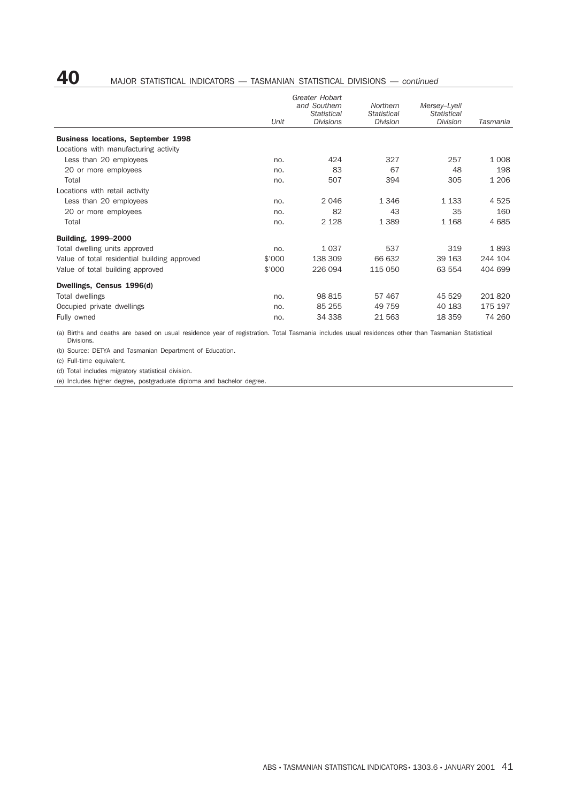# **40** MAJOR STATISTICAL INDICATORS — TASMANIAN STATISTICAL DIVISIONS — *continued*

|                                              |        | Greater Hobart<br>and Southern         | Northern                       | Mersey-Lyell                   |          |
|----------------------------------------------|--------|----------------------------------------|--------------------------------|--------------------------------|----------|
|                                              | Unit   | <b>Statistical</b><br><b>Divisions</b> | <b>Statistical</b><br>Division | <b>Statistical</b><br>Division | Tasmania |
| <b>Business locations, September 1998</b>    |        |                                        |                                |                                |          |
| Locations with manufacturing activity        |        |                                        |                                |                                |          |
| Less than 20 employees                       | no.    | 424                                    | 327                            | 257                            | 1 0 0 8  |
| 20 or more employees                         | no.    | 83                                     | 67                             | 48                             | 198      |
| Total                                        | no.    | 507                                    | 394                            | 305                            | 1 2 0 6  |
| Locations with retail activity               |        |                                        |                                |                                |          |
| Less than 20 employees                       | no.    | 2046                                   | 1 3 4 6                        | 1 1 3 3                        | 4 5 2 5  |
| 20 or more employees                         | no.    | 82                                     | 43                             | 35                             | 160      |
| Total                                        | no.    | 2 1 2 8                                | 1 3 8 9                        | 1 1 6 8                        | 4 6 8 5  |
| Building, 1999-2000                          |        |                                        |                                |                                |          |
| Total dwelling units approved                | no.    | 1 0 3 7                                | 537                            | 319                            | 1893     |
| Value of total residential building approved | \$'000 | 138 309                                | 66 632                         | 39 163                         | 244 104  |
| Value of total building approved             | \$'000 | 226 094                                | 115 050                        | 63 554                         | 404 699  |
| Dwellings, Census 1996(d)                    |        |                                        |                                |                                |          |
| Total dwellings                              | no.    | 98 815                                 | 57 467                         | 45 529                         | 201 820  |
| Occupied private dwellings                   | no.    | 85 255                                 | 49 759                         | 40 183                         | 175 197  |
| Fully owned                                  | no.    | 34 338                                 | 21 5 63                        | 18 359                         | 74 260   |

(a) Births and deaths are based on usual residence year of registration. Total Tasmania includes usual residences other than Tasmanian Statistical Divisions.

(b) Source: DETYA and Tasmanian Department of Education.

(c) Full-time equivalent.

(d) Total includes migratory statistical division.

(e) Includes higher degree, postgraduate diploma and bachelor degree.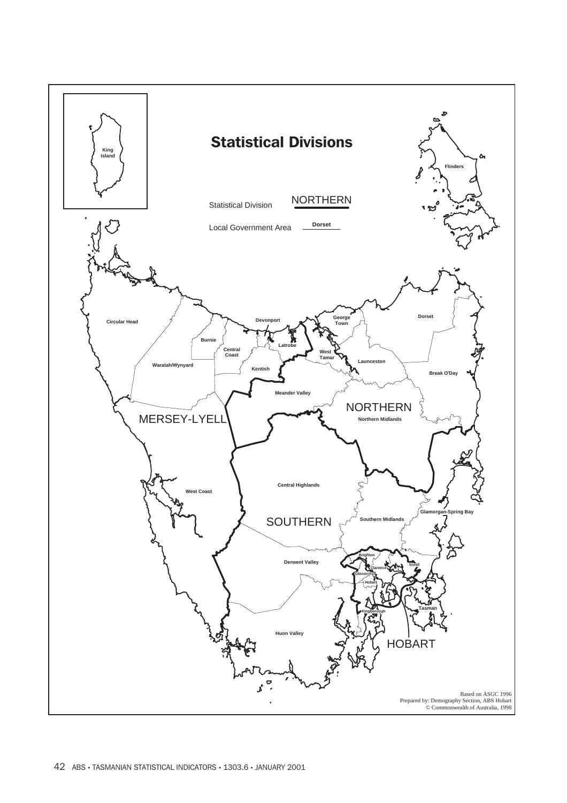